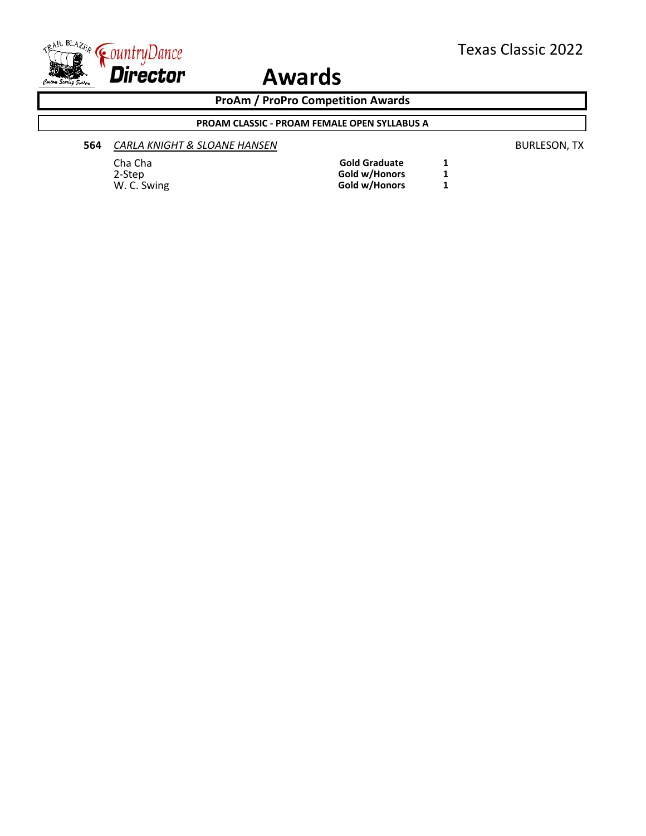

**ProAm / ProPro Competition Awards**

#### **PROAM CLASSIC - PROAM FEMALE OPEN SYLLABUS A**

#### **564** *CARLA KNIGHT & SLOANE HANSEN* BURLESON, TX

#### Cha Cha **Gold Graduate** 1<br>
2-Step **1 Gold W/Honors** 1 2-Step **Gold w/Honors 1** W. C. Swing **Gold w/Honors 1**

| <b>Gold Graduate</b> |  |
|----------------------|--|
| Gold w/Honors        |  |
| Gold w/Honors        |  |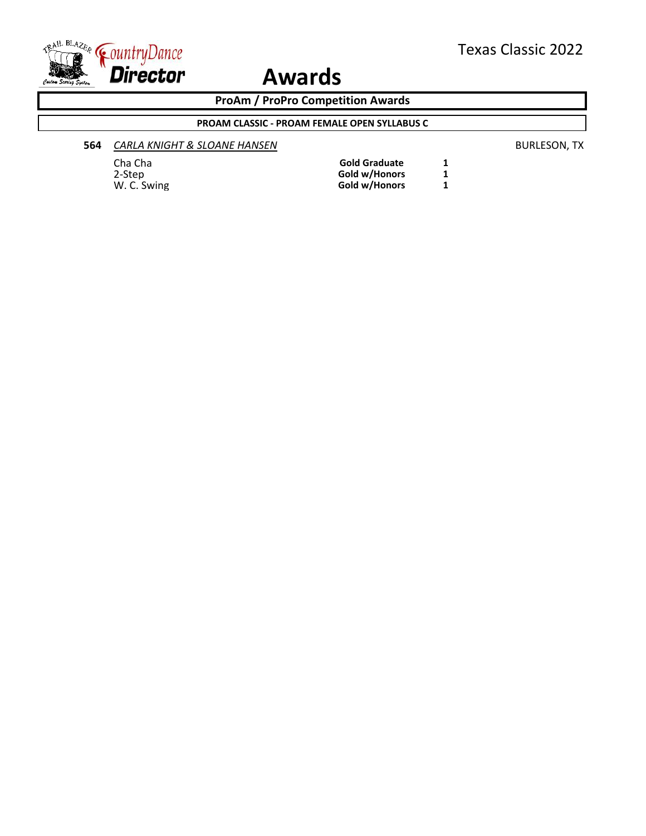

**ProAm / ProPro Competition Awards**

#### **PROAM CLASSIC - PROAM FEMALE OPEN SYLLABUS C**

#### **564** *CARLA KNIGHT & SLOANE HANSEN* BURLESON, TX

#### Cha Cha **Gold Graduate** 1<br>
2-Step **1 Gold W/Honors** 1 2-Step **Gold w/Honors 1** W. C. Swing **Gold w/Honors 1**

| <b>Gold Graduate</b> |  |
|----------------------|--|
| Gold w/Honors        |  |
| Gold w/Honors        |  |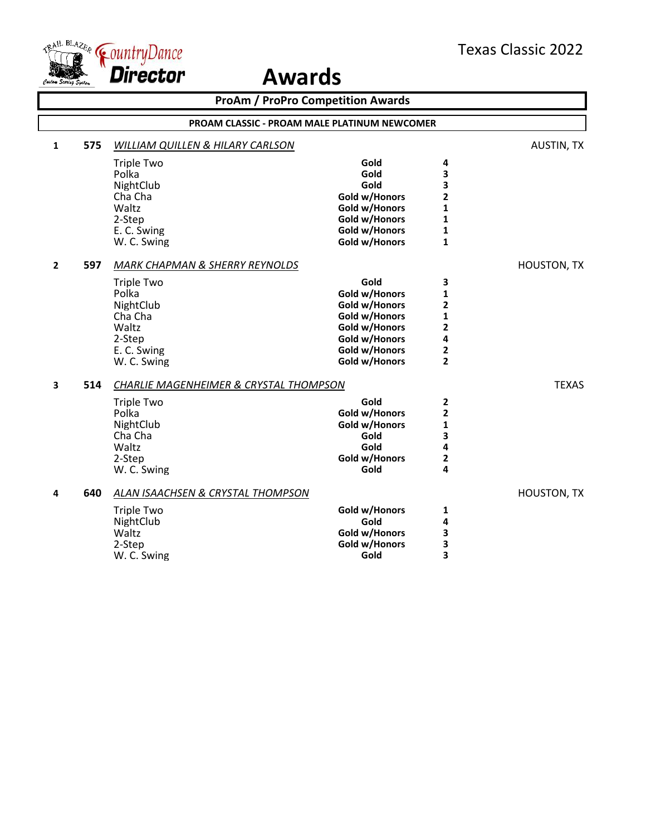



|              | <b>ProAm / ProPro Competition Awards</b> |                                              |               |                         |                    |  |
|--------------|------------------------------------------|----------------------------------------------|---------------|-------------------------|--------------------|--|
|              |                                          | PROAM CLASSIC - PROAM MALE PLATINUM NEWCOMER |               |                         |                    |  |
| $\mathbf{1}$ | 575                                      | <b>WILLIAM QUILLEN &amp; HILARY CARLSON</b>  |               |                         | <b>AUSTIN, TX</b>  |  |
|              |                                          | <b>Triple Two</b>                            | Gold          | 4                       |                    |  |
|              |                                          | Polka                                        | Gold          | 3                       |                    |  |
|              |                                          | NightClub                                    | Gold          | 3                       |                    |  |
|              |                                          | Cha Cha                                      | Gold w/Honors | $\overline{\mathbf{2}}$ |                    |  |
|              |                                          | Waltz                                        | Gold w/Honors | $\mathbf{1}$            |                    |  |
|              |                                          | 2-Step                                       | Gold w/Honors | $\mathbf{1}$            |                    |  |
|              |                                          | E. C. Swing                                  | Gold w/Honors | 1                       |                    |  |
|              |                                          | W. C. Swing                                  | Gold w/Honors | $\mathbf{1}$            |                    |  |
| $\mathbf{2}$ | 597                                      | <b>MARK CHAPMAN &amp; SHERRY REYNOLDS</b>    |               |                         | <b>HOUSTON, TX</b> |  |
|              |                                          | <b>Triple Two</b>                            | Gold          | 3                       |                    |  |
|              |                                          | Polka                                        | Gold w/Honors | 1                       |                    |  |
|              |                                          | NightClub                                    | Gold w/Honors | 2                       |                    |  |
|              |                                          | Cha Cha                                      | Gold w/Honors | $\mathbf{1}$            |                    |  |
|              |                                          | Waltz                                        | Gold w/Honors | $\overline{2}$          |                    |  |
|              |                                          | 2-Step                                       | Gold w/Honors | 4                       |                    |  |
|              |                                          | E. C. Swing                                  | Gold w/Honors | 2                       |                    |  |
|              |                                          | W. C. Swing                                  | Gold w/Honors | $\overline{2}$          |                    |  |
| 3            | 514                                      | CHARLIE MAGENHEIMER & CRYSTAL THOMPSON       |               |                         | <b>TEXAS</b>       |  |
|              |                                          | <b>Triple Two</b>                            | Gold          | $\mathbf{2}$            |                    |  |
|              |                                          | Polka                                        | Gold w/Honors | $\mathbf{2}$            |                    |  |
|              |                                          | NightClub                                    | Gold w/Honors | 1                       |                    |  |
|              |                                          | Cha Cha                                      | Gold          | 3                       |                    |  |
|              |                                          | Waltz                                        | Gold          | 4                       |                    |  |
|              |                                          | 2-Step                                       | Gold w/Honors | 2                       |                    |  |
|              |                                          | W. C. Swing                                  | Gold          | 4                       |                    |  |
| 4            | 640                                      | ALAN ISAACHSEN & CRYSTAL THOMPSON            |               |                         | <b>HOUSTON, TX</b> |  |
|              |                                          | <b>Triple Two</b>                            | Gold w/Honors | 1                       |                    |  |
|              |                                          | NightClub                                    | Gold          | 4                       |                    |  |
|              |                                          | Waltz                                        | Gold w/Honors | 3                       |                    |  |
|              |                                          | 2-Step                                       | Gold w/Honors | 3                       |                    |  |
|              |                                          | W. C. Swing                                  | Gold          | 3                       |                    |  |
|              |                                          |                                              |               |                         |                    |  |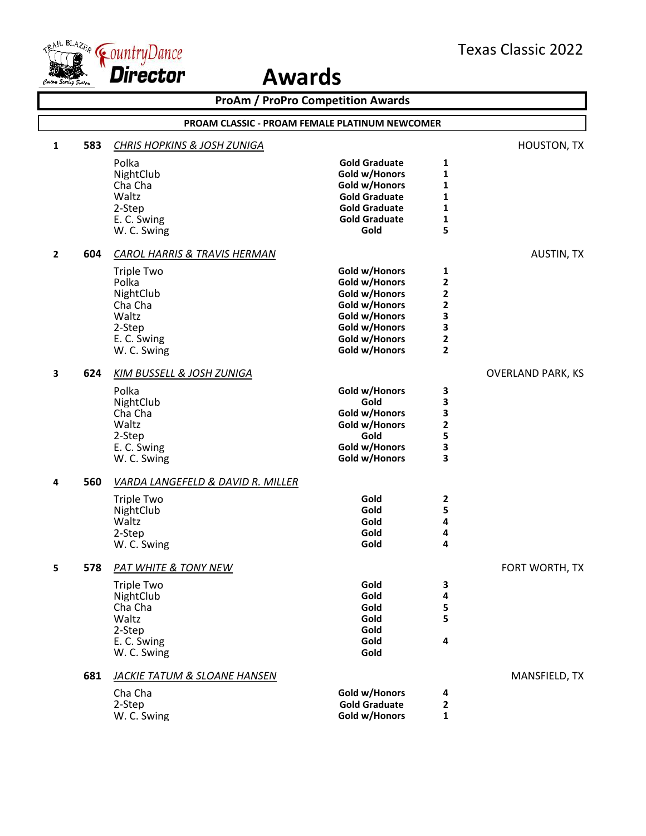

|   | <b>ProAm / ProPro Competition Awards</b>       |                                         |                      |              |                          |  |  |
|---|------------------------------------------------|-----------------------------------------|----------------------|--------------|--------------------------|--|--|
|   | PROAM CLASSIC - PROAM FEMALE PLATINUM NEWCOMER |                                         |                      |              |                          |  |  |
| 1 | 583                                            | <b>CHRIS HOPKINS &amp; JOSH ZUNIGA</b>  |                      |              | <b>HOUSTON, TX</b>       |  |  |
|   |                                                | Polka                                   | <b>Gold Graduate</b> | 1            |                          |  |  |
|   |                                                | NightClub                               | Gold w/Honors        | 1            |                          |  |  |
|   |                                                | Cha Cha                                 | Gold w/Honors        | 1            |                          |  |  |
|   |                                                | Waltz                                   | <b>Gold Graduate</b> | 1            |                          |  |  |
|   |                                                | 2-Step                                  | <b>Gold Graduate</b> | 1            |                          |  |  |
|   |                                                | E. C. Swing                             | <b>Gold Graduate</b> | 1            |                          |  |  |
|   |                                                | W. C. Swing                             | Gold                 | 5            |                          |  |  |
| 2 | 604                                            | <b>CAROL HARRIS &amp; TRAVIS HERMAN</b> |                      |              | <b>AUSTIN, TX</b>        |  |  |
|   |                                                | <b>Triple Two</b>                       | Gold w/Honors        | 1            |                          |  |  |
|   |                                                | Polka                                   | Gold w/Honors        | 2            |                          |  |  |
|   |                                                | NightClub                               | Gold w/Honors        | 2            |                          |  |  |
|   |                                                | Cha Cha                                 | Gold w/Honors        | 2            |                          |  |  |
|   |                                                | Waltz                                   | Gold w/Honors        | 3            |                          |  |  |
|   |                                                | 2-Step                                  | Gold w/Honors        | 3            |                          |  |  |
|   |                                                | E. C. Swing                             | Gold w/Honors        | 2            |                          |  |  |
|   |                                                | W. C. Swing                             | Gold w/Honors        | $\mathbf{2}$ |                          |  |  |
| 3 | 624                                            | KIM BUSSELL & JOSH ZUNIGA               |                      |              | <b>OVERLAND PARK, KS</b> |  |  |
|   |                                                | Polka                                   | Gold w/Honors        | 3            |                          |  |  |
|   |                                                | NightClub                               | Gold                 | 3            |                          |  |  |
|   |                                                | Cha Cha                                 | Gold w/Honors        | 3            |                          |  |  |
|   |                                                | Waltz                                   | Gold w/Honors        | 2            |                          |  |  |
|   |                                                | 2-Step                                  | Gold                 | 5            |                          |  |  |
|   |                                                | E. C. Swing                             | Gold w/Honors        | 3            |                          |  |  |
|   |                                                | W. C. Swing                             | Gold w/Honors        | 3            |                          |  |  |
| 4 | 560                                            | VARDA LANGEFELD & DAVID R. MILLER       |                      |              |                          |  |  |
|   |                                                | <b>Triple Two</b>                       | Gold                 | 2            |                          |  |  |
|   |                                                | NightClub                               | Gold                 | 5            |                          |  |  |
|   |                                                | Waltz                                   | Gold                 | 4            |                          |  |  |
|   |                                                | 2-Step                                  | Gold                 | 4            |                          |  |  |
|   |                                                | W. C. Swing                             | Gold                 | 4            |                          |  |  |
|   | 578                                            | PAT WHITE & TONY NEW                    |                      |              | FORT WORTH, TX           |  |  |
|   |                                                | <b>Triple Two</b>                       | Gold                 | 3            |                          |  |  |
|   |                                                | NightClub                               | Gold                 | 4            |                          |  |  |
|   |                                                | Cha Cha                                 | Gold                 | 5            |                          |  |  |
|   |                                                | Waltz                                   | Gold                 | 5            |                          |  |  |
|   |                                                | 2-Step                                  | Gold                 |              |                          |  |  |
|   |                                                | E. C. Swing                             | Gold                 | 4            |                          |  |  |
|   |                                                | W. C. Swing                             | Gold                 |              |                          |  |  |
|   | 681                                            | <b>JACKIE TATUM &amp; SLOANE HANSEN</b> |                      |              | MANSFIELD, TX            |  |  |
|   |                                                | Cha Cha                                 | Gold w/Honors        | 4            |                          |  |  |
|   |                                                | 2-Step                                  | <b>Gold Graduate</b> | 2            |                          |  |  |
|   |                                                | W. C. Swing                             | Gold w/Honors        | 1            |                          |  |  |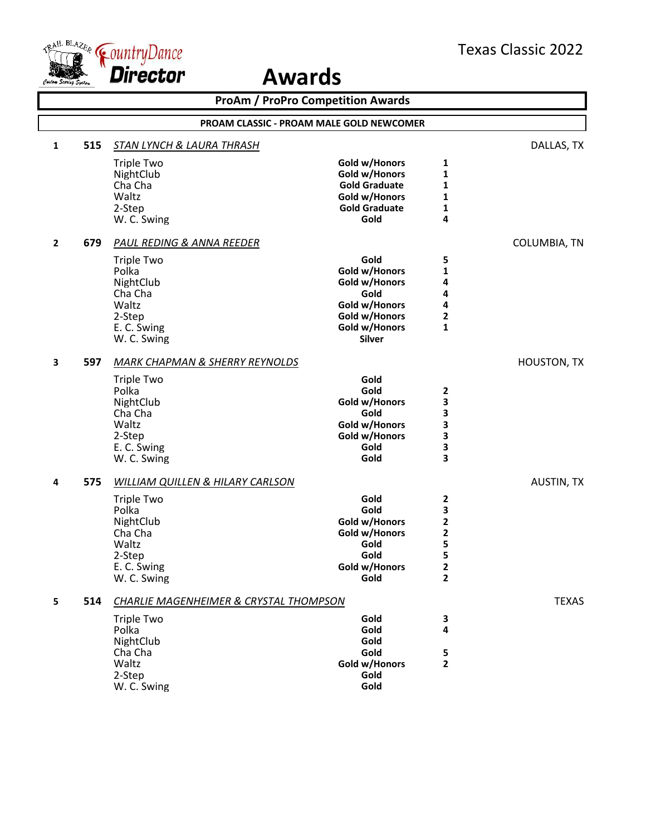

|                | <b>ProAm / ProPro Competition Awards</b> |                                             |                       |                         |                    |  |  |
|----------------|------------------------------------------|---------------------------------------------|-----------------------|-------------------------|--------------------|--|--|
|                | PROAM CLASSIC - PROAM MALE GOLD NEWCOMER |                                             |                       |                         |                    |  |  |
| 1              | 515                                      | <b>STAN LYNCH &amp; LAURA THRASH</b>        |                       |                         | DALLAS, TX         |  |  |
|                |                                          | <b>Triple Two</b>                           | Gold w/Honors         | 1                       |                    |  |  |
|                |                                          | NightClub                                   | Gold w/Honors         | 1                       |                    |  |  |
|                |                                          | Cha Cha                                     | <b>Gold Graduate</b>  | 1                       |                    |  |  |
|                |                                          | Waltz                                       | Gold w/Honors         | 1                       |                    |  |  |
|                |                                          | 2-Step                                      | <b>Gold Graduate</b>  | 1                       |                    |  |  |
|                |                                          | W. C. Swing                                 | Gold                  | 4                       |                    |  |  |
| $\overline{2}$ | 679                                      | PAUL REDING & ANNA REEDER                   |                       |                         | COLUMBIA, TN       |  |  |
|                |                                          | <b>Triple Two</b>                           | Gold                  | 5                       |                    |  |  |
|                |                                          | Polka                                       | Gold w/Honors         | 1                       |                    |  |  |
|                |                                          | NightClub                                   | Gold w/Honors         | 4                       |                    |  |  |
|                |                                          | Cha Cha                                     | Gold                  | 4                       |                    |  |  |
|                |                                          | Waltz                                       | Gold w/Honors         | 4                       |                    |  |  |
|                |                                          | 2-Step                                      | Gold w/Honors         | $\mathbf{2}$            |                    |  |  |
|                |                                          | E. C. Swing                                 | Gold w/Honors         | $\mathbf{1}$            |                    |  |  |
|                |                                          | W. C. Swing                                 | <b>Silver</b>         |                         |                    |  |  |
| 3              | 597                                      | <b>MARK CHAPMAN &amp; SHERRY REYNOLDS</b>   |                       |                         | <b>HOUSTON, TX</b> |  |  |
|                |                                          | <b>Triple Two</b>                           | Gold                  |                         |                    |  |  |
|                |                                          | Polka                                       | Gold                  | $\mathbf{2}$            |                    |  |  |
|                |                                          | NightClub                                   | Gold w/Honors         | 3                       |                    |  |  |
|                |                                          | Cha Cha                                     | Gold                  | 3                       |                    |  |  |
|                |                                          | Waltz                                       | Gold w/Honors         | 3                       |                    |  |  |
|                |                                          | 2-Step                                      | Gold w/Honors         | 3                       |                    |  |  |
|                |                                          | E. C. Swing                                 | Gold                  | 3                       |                    |  |  |
|                |                                          | W. C. Swing                                 | Gold                  | 3                       |                    |  |  |
| 4              | 575                                      | <b>WILLIAM QUILLEN &amp; HILARY CARLSON</b> |                       |                         | AUSTIN, TX         |  |  |
|                |                                          | <b>Triple Two</b>                           | Gold                  | $\overline{\mathbf{2}}$ |                    |  |  |
|                |                                          | Polka                                       | Gold                  | 3                       |                    |  |  |
|                |                                          | NightClub                                   | Gold w/Honors         | 2                       |                    |  |  |
|                |                                          | Cha Cha                                     | Gold w/Honors         | $\overline{\mathbf{c}}$ |                    |  |  |
|                |                                          | Waltz                                       | Gold                  | 5                       |                    |  |  |
|                |                                          | 2-Step                                      | Gold                  | 5                       |                    |  |  |
|                |                                          | E. C. Swing<br>W. C. Swing                  | Gold w/Honors<br>Gold | 2<br>2                  |                    |  |  |
|                |                                          |                                             |                       |                         |                    |  |  |
| 5              | 514                                      | CHARLIE MAGENHEIMER & CRYSTAL THOMPSON      |                       |                         | <b>TEXAS</b>       |  |  |
|                |                                          | <b>Triple Two</b>                           | Gold                  | 3                       |                    |  |  |
|                |                                          | Polka                                       | Gold                  | 4                       |                    |  |  |
|                |                                          | NightClub                                   | Gold                  |                         |                    |  |  |
|                |                                          | Cha Cha                                     | Gold                  | 5                       |                    |  |  |
|                |                                          | Waltz                                       | Gold w/Honors         | $\mathbf{2}$            |                    |  |  |
|                |                                          | 2-Step                                      | Gold                  |                         |                    |  |  |
|                |                                          | W. C. Swing                                 | Gold                  |                         |                    |  |  |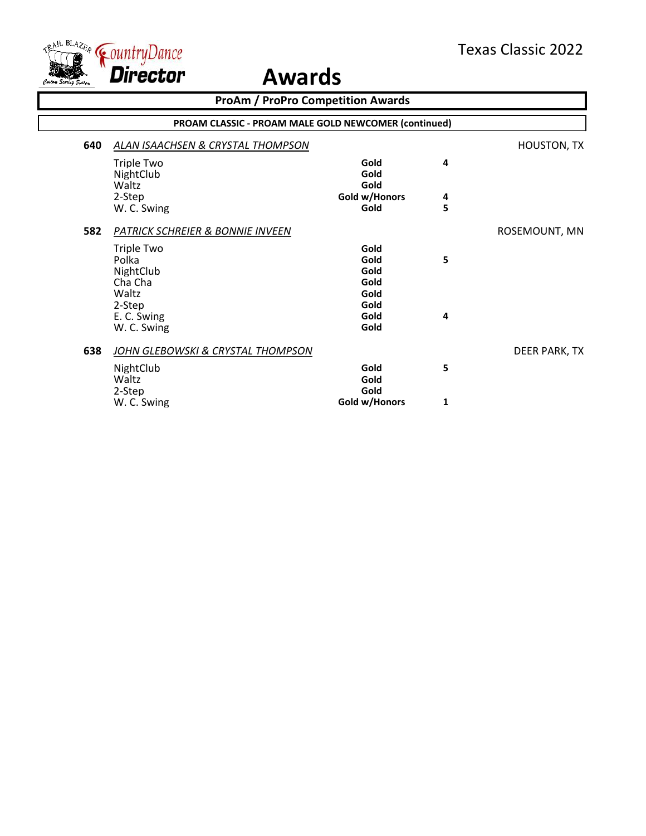

| <b>ProAm / ProPro Competition Awards</b> |                                                      |                              |        |                    |
|------------------------------------------|------------------------------------------------------|------------------------------|--------|--------------------|
|                                          | PROAM CLASSIC - PROAM MALE GOLD NEWCOMER (continued) |                              |        |                    |
| 640                                      | ALAN ISAACHSEN & CRYSTAL THOMPSON                    |                              |        | <b>HOUSTON, TX</b> |
|                                          | <b>Triple Two</b><br>NightClub<br>Waltz              | Gold<br>Gold<br>Gold         | 4      |                    |
|                                          | 2-Step<br>W. C. Swing                                | Gold w/Honors<br>Gold        | 4<br>5 |                    |
| 582                                      | PATRICK SCHREIER & BONNIE INVEEN                     |                              |        | ROSEMOUNT, MN      |
|                                          | <b>Triple Two</b><br>Polka<br>NightClub<br>Cha Cha   | Gold<br>Gold<br>Gold<br>Gold | 5      |                    |
|                                          | Waltz<br>2-Step<br>E. C. Swing<br>W. C. Swing        | Gold<br>Gold<br>Gold<br>Gold | 4      |                    |
| 638                                      | JOHN GLEBOWSKI & CRYSTAL THOMPSON                    |                              |        | DEER PARK, TX      |
|                                          | NightClub<br>Waltz<br>2-Step                         | Gold<br>Gold<br>Gold         | 5      |                    |
|                                          | W. C. Swing                                          | Gold w/Honors                | 1      |                    |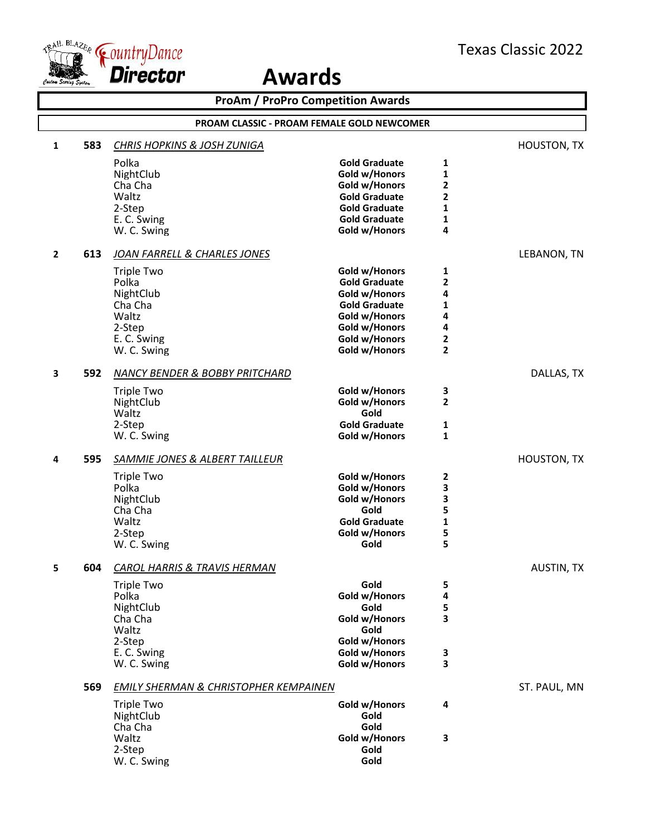

|              | <b>ProAm / ProPro Competition Awards</b> |                                                                                                     |                                                                                                                                                    |                                                             |                    |  |
|--------------|------------------------------------------|-----------------------------------------------------------------------------------------------------|----------------------------------------------------------------------------------------------------------------------------------------------------|-------------------------------------------------------------|--------------------|--|
|              |                                          | PROAM CLASSIC - PROAM FEMALE GOLD NEWCOMER                                                          |                                                                                                                                                    |                                                             |                    |  |
| 1            | 583                                      | <b>CHRIS HOPKINS &amp; JOSH ZUNIGA</b>                                                              |                                                                                                                                                    |                                                             | <b>HOUSTON, TX</b> |  |
|              |                                          | Polka<br>NightClub<br>Cha Cha<br>Waltz<br>2-Step<br>E. C. Swing<br>W. C. Swing                      | <b>Gold Graduate</b><br>Gold w/Honors<br>Gold w/Honors<br><b>Gold Graduate</b><br><b>Gold Graduate</b><br><b>Gold Graduate</b><br>Gold w/Honors    | 1<br>1<br>2<br>2<br>1<br>1<br>4                             |                    |  |
| $\mathbf{2}$ | 613                                      | JOAN FARRELL & CHARLES JONES                                                                        |                                                                                                                                                    |                                                             | LEBANON, TN        |  |
|              |                                          | <b>Triple Two</b><br>Polka<br>NightClub<br>Cha Cha<br>Waltz<br>2-Step<br>E. C. Swing<br>W. C. Swing | Gold w/Honors<br><b>Gold Graduate</b><br>Gold w/Honors<br><b>Gold Graduate</b><br>Gold w/Honors<br>Gold w/Honors<br>Gold w/Honors<br>Gold w/Honors | 1<br>$\overline{2}$<br>4<br>1<br>4<br>4<br>$\mathbf 2$<br>2 |                    |  |
| 3            | 592                                      | NANCY BENDER & BOBBY PRITCHARD                                                                      |                                                                                                                                                    |                                                             | DALLAS, TX         |  |
|              |                                          | <b>Triple Two</b><br>NightClub<br>Waltz<br>2-Step<br>W. C. Swing                                    | Gold w/Honors<br>Gold w/Honors<br>Gold<br><b>Gold Graduate</b><br>Gold w/Honors                                                                    | 3<br>$\mathbf{2}$<br>1<br>$\mathbf{1}$                      |                    |  |
| 4            | 595                                      | <b>SAMMIE JONES &amp; ALBERT TAILLEUR</b>                                                           |                                                                                                                                                    |                                                             | <b>HOUSTON, TX</b> |  |
|              |                                          | <b>Triple Two</b><br>Polka<br>NightClub<br>Cha Cha<br>Waltz<br>2-Step<br>W. C. Swing                | Gold w/Honors<br>Gold w/Honors<br>Gold w/Honors<br>Gold<br><b>Gold Graduate</b><br>Gold w/Honors<br>Gold                                           | 2<br>3<br>3<br>5<br>$\mathbf{1}$<br>5<br>5                  |                    |  |
| 5.           | 604                                      | <b>CAROL HARRIS &amp; TRAVIS HERMAN</b>                                                             |                                                                                                                                                    |                                                             | <b>AUSTIN, TX</b>  |  |
|              |                                          | Triple Two<br>Polka<br>NightClub<br>Cha Cha<br>Waltz<br>2-Step<br>E. C. Swing<br>W. C. Swing        | Gold<br>Gold w/Honors<br>Gold<br>Gold w/Honors<br>Gold<br>Gold w/Honors<br>Gold w/Honors<br>Gold w/Honors                                          | 5<br>4<br>5<br>3<br>3<br>3                                  |                    |  |
|              | 569                                      | <b>EMILY SHERMAN &amp; CHRISTOPHER KEMPAINEN</b>                                                    |                                                                                                                                                    |                                                             | ST. PAUL, MN       |  |
|              |                                          | <b>Triple Two</b><br>NightClub<br>Cha Cha<br>Waltz                                                  | Gold w/Honors<br>Gold<br>Gold<br>Gold w/Honors                                                                                                     | 4<br>3                                                      |                    |  |
|              |                                          | 2-Step<br>W. C. Swing                                                                               | Gold<br>Gold                                                                                                                                       |                                                             |                    |  |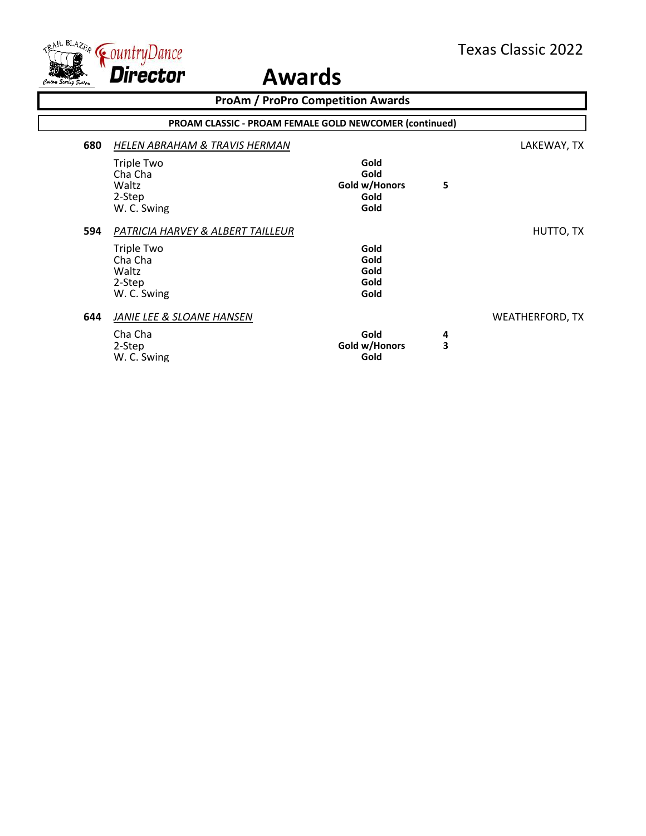

|     | <b>ProAm / ProPro Competition Awards</b>                      |                                               |   |                        |  |  |
|-----|---------------------------------------------------------------|-----------------------------------------------|---|------------------------|--|--|
|     | <b>PROAM CLASSIC - PROAM FEMALE GOLD NEWCOMER (continued)</b> |                                               |   |                        |  |  |
| 680 | <b>HELEN ABRAHAM &amp; TRAVIS HERMAN</b>                      |                                               |   | LAKEWAY, TX            |  |  |
|     | Triple Two<br>Cha Cha<br>Waltz<br>2-Step<br>W. C. Swing       | Gold<br>Gold<br>Gold w/Honors<br>Gold<br>Gold | 5 |                        |  |  |
| 594 | PATRICIA HARVEY & ALBERT TAILLEUR                             |                                               |   | HUTTO, TX              |  |  |
|     | Triple Two<br>Cha Cha<br>Waltz<br>2-Step<br>W. C. Swing       | Gold<br>Gold<br>Gold<br>Gold<br>Gold          |   |                        |  |  |
| 644 | JANIE LEE & SLOANE HANSEN<br>Cha Cha                          | Gold                                          | 4 | <b>WEATHERFORD, TX</b> |  |  |
|     | 2-Step<br>W. C. Swing                                         | Gold w/Honors<br>Gold                         | 3 |                        |  |  |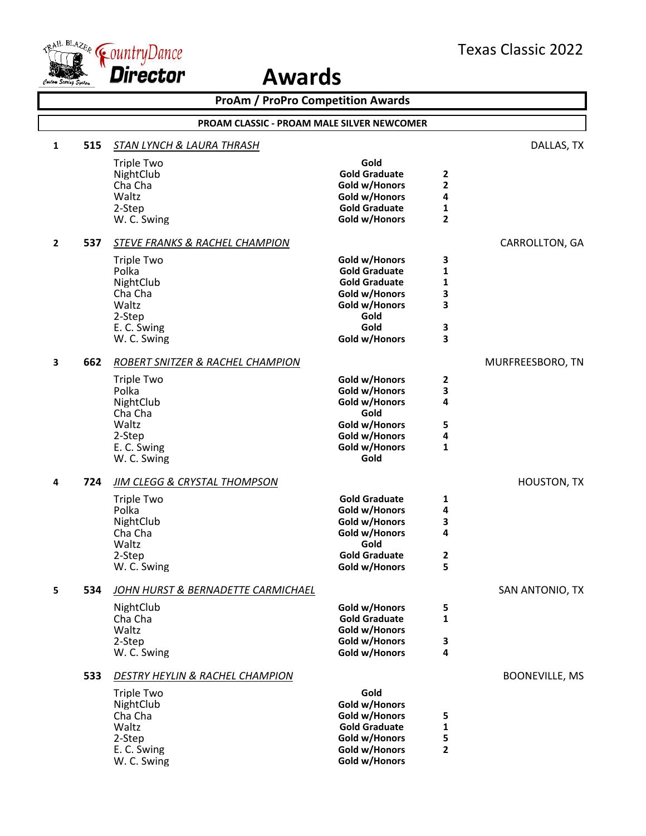

| <b>ProAm / ProPro Competition Awards</b> |                                            |                                                                                                                               |                                                                                                                                  |                                    |                       |  |
|------------------------------------------|--------------------------------------------|-------------------------------------------------------------------------------------------------------------------------------|----------------------------------------------------------------------------------------------------------------------------------|------------------------------------|-----------------------|--|
|                                          | PROAM CLASSIC - PROAM MALE SILVER NEWCOMER |                                                                                                                               |                                                                                                                                  |                                    |                       |  |
| 1                                        | 515                                        | <b>STAN LYNCH &amp; LAURA THRASH</b>                                                                                          |                                                                                                                                  |                                    | DALLAS, TX            |  |
|                                          |                                            | <b>Triple Two</b><br>NightClub<br>Cha Cha<br>Waltz<br>2-Step<br>W. C. Swing                                                   | Gold<br><b>Gold Graduate</b><br>Gold w/Honors<br>Gold w/Honors<br><b>Gold Graduate</b><br>Gold w/Honors                          | 2<br>2<br>4<br>1<br>$\overline{2}$ |                       |  |
| $\overline{2}$                           | 537                                        | STEVE FRANKS & RACHEL CHAMPION                                                                                                |                                                                                                                                  |                                    | CARROLLTON, GA        |  |
|                                          |                                            | <b>Triple Two</b><br>Polka<br>NightClub<br>Cha Cha<br>Waltz<br>2-Step<br>E. C. Swing<br>W. C. Swing                           | Gold w/Honors<br><b>Gold Graduate</b><br><b>Gold Graduate</b><br>Gold w/Honors<br>Gold w/Honors<br>Gold<br>Gold<br>Gold w/Honors | 3<br>1<br>1<br>3<br>3<br>3<br>3    |                       |  |
| 3                                        | 662                                        | ROBERT SNITZER & RACHEL CHAMPION                                                                                              |                                                                                                                                  |                                    | MURFREESBORO, TN      |  |
|                                          |                                            | <b>Triple Two</b><br>Polka<br>NightClub<br>Cha Cha<br>Waltz<br>2-Step<br>E. C. Swing<br>W. C. Swing                           | Gold w/Honors<br>Gold w/Honors<br>Gold w/Honors<br>Gold<br>Gold w/Honors<br>Gold w/Honors<br>Gold w/Honors<br>Gold               | 2<br>3<br>4<br>5<br>4<br>1         |                       |  |
| 4                                        | 724                                        | <b>JIM CLEGG &amp; CRYSTAL THOMPSON</b>                                                                                       |                                                                                                                                  |                                    | HOUSTON, TX           |  |
|                                          |                                            | <b>Triple Two</b><br>Polka<br>NightClub<br>Cha Cha<br>Waltz<br>2-Step<br>W. C. Swing                                          | <b>Gold Graduate</b><br>Gold w/Honors<br>Gold w/Honors<br>Gold w/Honors<br>Gold<br><b>Gold Graduate</b><br>Gold w/Honors         | 1<br>4<br>3<br>4<br>2<br>5         |                       |  |
| 5                                        | 534                                        | JOHN HURST & BERNADETTE CARMICHAEL                                                                                            |                                                                                                                                  |                                    | SAN ANTONIO, TX       |  |
|                                          |                                            | NightClub<br>Cha Cha<br>Waltz<br>2-Step<br>W. C. Swing                                                                        | Gold w/Honors<br><b>Gold Graduate</b><br>Gold w/Honors<br>Gold w/Honors<br>Gold w/Honors                                         | 5<br>$\mathbf{1}$<br>3<br>4        |                       |  |
|                                          | 533                                        | DESTRY HEYLIN & RACHEL CHAMPION<br><b>Triple Two</b><br>NightClub<br>Cha Cha<br>Waltz<br>2-Step<br>E. C. Swing<br>W. C. Swing | Gold<br>Gold w/Honors<br>Gold w/Honors<br><b>Gold Graduate</b><br>Gold w/Honors<br>Gold w/Honors<br>Gold w/Honors                | 5<br>1<br>5<br>$\overline{2}$      | <b>BOONEVILLE, MS</b> |  |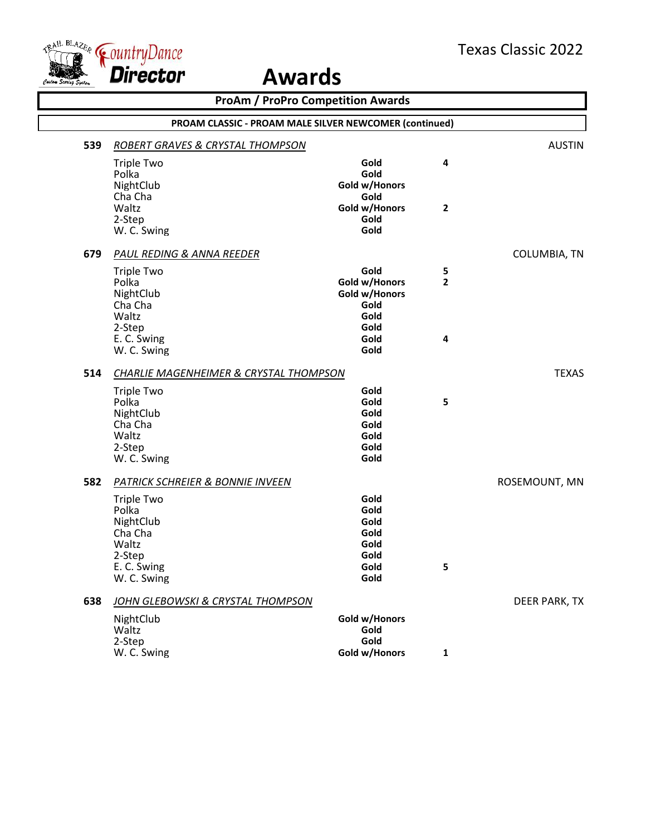

 $\overline{\Gamma}$ 

|     | <b>ProAm / ProPro Competition Awards</b>                                                                                                           |                                                                                |                                   |               |  |  |
|-----|----------------------------------------------------------------------------------------------------------------------------------------------------|--------------------------------------------------------------------------------|-----------------------------------|---------------|--|--|
|     | PROAM CLASSIC - PROAM MALE SILVER NEWCOMER (continued)                                                                                             |                                                                                |                                   |               |  |  |
| 539 | <b>ROBERT GRAVES &amp; CRYSTAL THOMPSON</b>                                                                                                        |                                                                                |                                   | <b>AUSTIN</b> |  |  |
|     | <b>Triple Two</b><br>Polka<br>NightClub<br>Cha Cha                                                                                                 | Gold<br>Gold<br>Gold w/Honors<br>Gold                                          | 4                                 |               |  |  |
|     | Waltz<br>2-Step<br>W. C. Swing                                                                                                                     | Gold w/Honors<br>Gold<br>Gold                                                  | 2                                 |               |  |  |
| 679 | <b>PAUL REDING &amp; ANNA REEDER</b>                                                                                                               |                                                                                |                                   | COLUMBIA, TN  |  |  |
|     | <b>Triple Two</b><br>Polka<br>NightClub<br>Cha Cha<br>Waltz<br>2-Step<br>E. C. Swing<br>W. C. Swing                                                | Gold<br>Gold w/Honors<br>Gold w/Honors<br>Gold<br>Gold<br>Gold<br>Gold<br>Gold | 5<br>$\overline{\mathbf{2}}$<br>4 |               |  |  |
| 514 | CHARLIE MAGENHEIMER & CRYSTAL THOMPSON                                                                                                             |                                                                                |                                   | <b>TEXAS</b>  |  |  |
|     | <b>Triple Two</b><br>Polka<br>NightClub<br>Cha Cha<br>Waltz<br>2-Step<br>W. C. Swing                                                               | Gold<br>Gold<br>Gold<br>Gold<br>Gold<br>Gold<br>Gold                           | 5                                 |               |  |  |
| 582 | <b>PATRICK SCHREIER &amp; BONNIE INVEEN</b><br><b>Triple Two</b><br>Polka<br>NightClub<br>Cha Cha<br>Waltz<br>2-Step<br>E. C. Swing<br>W. C. Swing | Gold<br>Gold<br>Gold<br>Gold<br>Gold<br>Gold<br>Gold<br>Gold                   | 5                                 | ROSEMOUNT, MN |  |  |
| 638 | JOHN GLEBOWSKI & CRYSTAL THOMPSON                                                                                                                  |                                                                                |                                   | DEER PARK, TX |  |  |
|     | NightClub<br>Waltz<br>2-Step<br>W. C. Swing                                                                                                        | Gold w/Honors<br>Gold<br>Gold<br>Gold w/Honors                                 | 1                                 |               |  |  |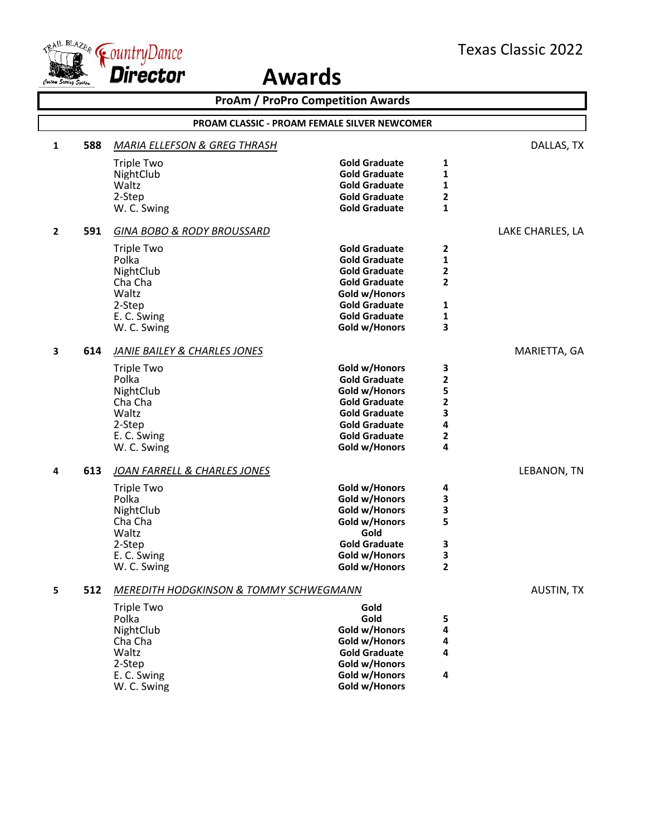

| <b>ProAm / ProPro Competition Awards</b> |                                                     |                                                   |                                       |                |                   |  |
|------------------------------------------|-----------------------------------------------------|---------------------------------------------------|---------------------------------------|----------------|-------------------|--|
|                                          | <b>PROAM CLASSIC - PROAM FEMALE SILVER NEWCOMER</b> |                                                   |                                       |                |                   |  |
| $\mathbf{1}$                             | 588                                                 | <b>MARIA ELLEFSON &amp; GREG THRASH</b>           |                                       |                | DALLAS, TX        |  |
|                                          |                                                     | <b>Triple Two</b>                                 | <b>Gold Graduate</b>                  | 1              |                   |  |
|                                          |                                                     | NightClub                                         | <b>Gold Graduate</b>                  | 1              |                   |  |
|                                          |                                                     | Waltz                                             | <b>Gold Graduate</b>                  | 1              |                   |  |
|                                          |                                                     | 2-Step                                            | <b>Gold Graduate</b>                  | 2              |                   |  |
|                                          |                                                     | W. C. Swing                                       | <b>Gold Graduate</b>                  | 1              |                   |  |
| $\mathbf{2}$                             | 591                                                 | <b>GINA BOBO &amp; RODY BROUSSARD</b>             |                                       |                | LAKE CHARLES, LA  |  |
|                                          |                                                     | <b>Triple Two</b>                                 | <b>Gold Graduate</b>                  | 2              |                   |  |
|                                          |                                                     | Polka                                             | <b>Gold Graduate</b>                  | 1              |                   |  |
|                                          |                                                     | NightClub                                         | <b>Gold Graduate</b>                  | 2              |                   |  |
|                                          |                                                     | Cha Cha                                           | <b>Gold Graduate</b>                  | $\overline{2}$ |                   |  |
|                                          |                                                     | Waltz                                             | Gold w/Honors                         |                |                   |  |
|                                          |                                                     | 2-Step                                            | <b>Gold Graduate</b>                  | 1              |                   |  |
|                                          |                                                     | E. C. Swing                                       | <b>Gold Graduate</b>                  | 1              |                   |  |
|                                          |                                                     | W. C. Swing                                       | Gold w/Honors                         | 3              |                   |  |
| 3                                        | 614                                                 | <b>JANIE BAILEY &amp; CHARLES JONES</b>           |                                       |                | MARIETTA, GA      |  |
|                                          |                                                     | Triple Two                                        | Gold w/Honors                         | 3              |                   |  |
|                                          |                                                     | Polka                                             | <b>Gold Graduate</b>                  | 2              |                   |  |
|                                          |                                                     | NightClub                                         | Gold w/Honors                         | 5              |                   |  |
|                                          |                                                     | Cha Cha                                           | <b>Gold Graduate</b>                  | 2              |                   |  |
|                                          |                                                     | Waltz                                             | <b>Gold Graduate</b>                  | 3              |                   |  |
|                                          |                                                     | 2-Step                                            | <b>Gold Graduate</b>                  | 4              |                   |  |
|                                          |                                                     | E. C. Swing<br>W. C. Swing                        | <b>Gold Graduate</b><br>Gold w/Honors | 2<br>4         |                   |  |
|                                          |                                                     |                                                   |                                       |                |                   |  |
| 4                                        | 613                                                 | JOAN FARRELL & CHARLES JONES                      |                                       |                | LEBANON, TN       |  |
|                                          |                                                     | <b>Triple Two</b>                                 | Gold w/Honors                         | 4              |                   |  |
|                                          |                                                     | Polka                                             | Gold w/Honors                         | 3              |                   |  |
|                                          |                                                     | NightClub                                         | Gold w/Honors                         | 3              |                   |  |
|                                          |                                                     | Cha Cha                                           | Gold w/Honors<br>Gold                 | 5              |                   |  |
|                                          |                                                     | Waltz                                             | <b>Gold Graduate</b>                  |                |                   |  |
|                                          |                                                     | 2-Step<br>E. C. Swing                             | Gold w/Honors                         | З<br>3         |                   |  |
|                                          |                                                     | W. C. Swing                                       | Gold w/Honors                         | 2              |                   |  |
| 5                                        | 512                                                 | <b>MEREDITH HODGKINSON &amp; TOMMY SCHWEGMANN</b> |                                       |                | <b>AUSTIN, TX</b> |  |
|                                          |                                                     | <b>Triple Two</b>                                 | Gold                                  |                |                   |  |
|                                          |                                                     | Polka                                             | Gold                                  | 5              |                   |  |
|                                          |                                                     | NightClub                                         | Gold w/Honors                         | 4              |                   |  |
|                                          |                                                     | Cha Cha                                           | Gold w/Honors                         | 4              |                   |  |
|                                          |                                                     | Waltz                                             | <b>Gold Graduate</b>                  | 4              |                   |  |
|                                          |                                                     | 2-Step                                            | Gold w/Honors                         |                |                   |  |
|                                          |                                                     | E. C. Swing                                       | Gold w/Honors                         | 4              |                   |  |
|                                          |                                                     | W. C. Swing                                       | Gold w/Honors                         |                |                   |  |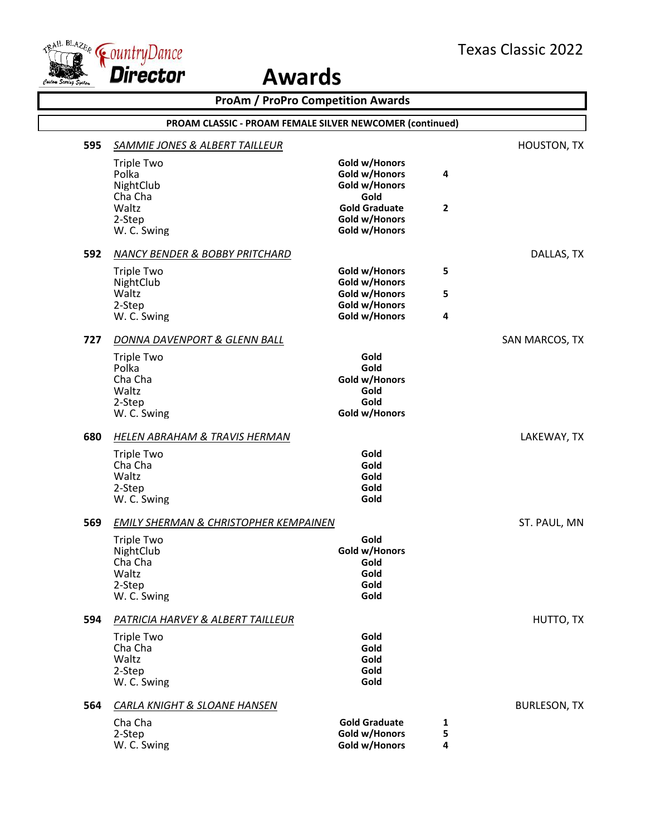

|     | <b>ProAm / ProPro Competition Awards</b><br>PROAM CLASSIC - PROAM FEMALE SILVER NEWCOMER (continued) |                                                                |              |                     |  |  |
|-----|------------------------------------------------------------------------------------------------------|----------------------------------------------------------------|--------------|---------------------|--|--|
|     |                                                                                                      |                                                                |              |                     |  |  |
| 595 | <b>SAMMIE JONES &amp; ALBERT TAILLEUR</b>                                                            |                                                                |              | <b>HOUSTON, TX</b>  |  |  |
|     | <b>Triple Two</b><br>Polka<br>NightClub                                                              | Gold w/Honors<br>Gold w/Honors<br>Gold w/Honors                | 4            |                     |  |  |
|     | Cha Cha<br>Waltz<br>2-Step<br>W. C. Swing                                                            | Gold<br><b>Gold Graduate</b><br>Gold w/Honors<br>Gold w/Honors | $\mathbf{2}$ |                     |  |  |
| 592 | <b>NANCY BENDER &amp; BOBBY PRITCHARD</b>                                                            |                                                                |              | DALLAS, TX          |  |  |
|     | <b>Triple Two</b><br>NightClub                                                                       | Gold w/Honors<br>Gold w/Honors                                 | 5            |                     |  |  |
|     | Waltz<br>2-Step                                                                                      | Gold w/Honors<br>Gold w/Honors                                 | 5            |                     |  |  |
|     | W. C. Swing                                                                                          | Gold w/Honors                                                  | 4            |                     |  |  |
| 727 | <b>DONNA DAVENPORT &amp; GLENN BALL</b>                                                              |                                                                |              | SAN MARCOS, TX      |  |  |
|     | <b>Triple Two</b><br>Polka<br>Cha Cha<br>Waltz<br>2-Step                                             | Gold<br>Gold<br>Gold w/Honors<br>Gold<br>Gold                  |              |                     |  |  |
|     | W. C. Swing                                                                                          | Gold w/Honors                                                  |              |                     |  |  |
| 680 | <b>HELEN ABRAHAM &amp; TRAVIS HERMAN</b>                                                             |                                                                |              | LAKEWAY, TX         |  |  |
|     | <b>Triple Two</b><br>Cha Cha<br>Waltz<br>2-Step<br>W. C. Swing                                       | Gold<br>Gold<br>Gold<br>Gold<br>Gold                           |              |                     |  |  |
| 569 | <b>EMILY SHERMAN &amp; CHRISTOPHER KEMPAINEN</b>                                                     |                                                                |              | ST. PAUL, MN        |  |  |
|     | <b>Triple Two</b><br>NightClub<br>Cha Cha<br>Waltz<br>2-Step<br>W. C. Swing                          | Gold<br>Gold w/Honors<br>Gold<br>Gold<br>Gold<br>Gold          |              |                     |  |  |
| 594 | <b>PATRICIA HARVEY &amp; ALBERT TAILLEUR</b>                                                         |                                                                |              | HUTTO, TX           |  |  |
|     | <b>Triple Two</b><br>Cha Cha<br>Waltz<br>2-Step<br>W. C. Swing                                       | Gold<br>Gold<br>Gold<br>Gold<br>Gold                           |              |                     |  |  |
| 564 | <b>CARLA KNIGHT &amp; SLOANE HANSEN</b>                                                              |                                                                |              | <b>BURLESON, TX</b> |  |  |
|     | Cha Cha<br>2-Step<br>W. C. Swing                                                                     | <b>Gold Graduate</b><br>Gold w/Honors<br>Gold w/Honors         | 1<br>5<br>4  |                     |  |  |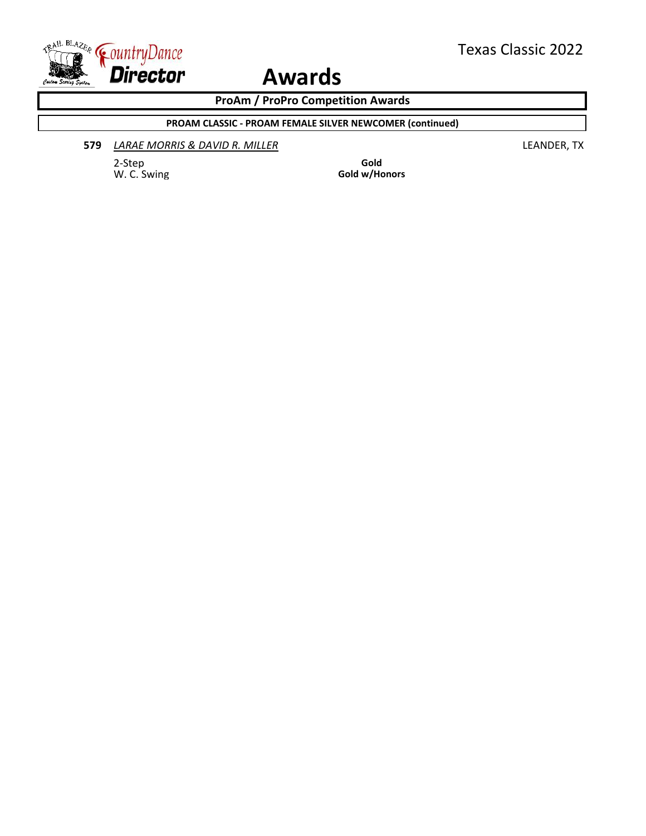

**ProAm / ProPro Competition Awards**

**PROAM CLASSIC - PROAM FEMALE SILVER NEWCOMER (continued)**

#### **579** *LARAE MORRIS & DAVID R. MILLER* LEANDER, TX

2-Step **Gold**<br>
W. C. Swing **Gold** W. C. Swing

Gold w/Honors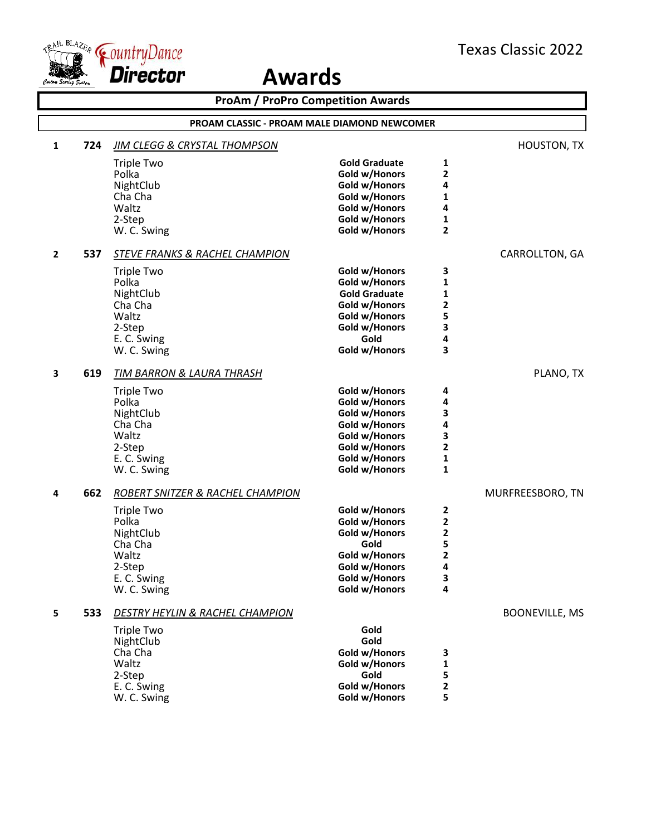

|              |     | <b>ProAm / ProPro Competition Awards</b>    |                                |                         |                       |
|--------------|-----|---------------------------------------------|--------------------------------|-------------------------|-----------------------|
|              |     | PROAM CLASSIC - PROAM MALE DIAMOND NEWCOMER |                                |                         |                       |
| $\mathbf{1}$ | 724 | <b>JIM CLEGG &amp; CRYSTAL THOMPSON</b>     |                                |                         | <b>HOUSTON, TX</b>    |
|              |     | <b>Triple Two</b>                           | <b>Gold Graduate</b>           | 1                       |                       |
|              |     | Polka                                       | Gold w/Honors                  | 2                       |                       |
|              |     | NightClub                                   | Gold w/Honors                  | 4                       |                       |
|              |     | Cha Cha                                     | Gold w/Honors                  | 1                       |                       |
|              |     | Waltz                                       | Gold w/Honors                  | 4                       |                       |
|              |     | 2-Step<br>W. C. Swing                       | Gold w/Honors<br>Gold w/Honors | 1<br>2                  |                       |
|              |     |                                             |                                |                         |                       |
| $\mathbf{2}$ | 537 | <b>STEVE FRANKS &amp; RACHEL CHAMPION</b>   |                                |                         | CARROLLTON, GA        |
|              |     | <b>Triple Two</b>                           | Gold w/Honors                  | 3                       |                       |
|              |     | Polka                                       | Gold w/Honors                  | 1                       |                       |
|              |     | NightClub                                   | <b>Gold Graduate</b>           | 1                       |                       |
|              |     | Cha Cha                                     | Gold w/Honors                  | 2                       |                       |
|              |     | Waltz<br>2-Step                             | Gold w/Honors<br>Gold w/Honors | 5<br>3                  |                       |
|              |     | E. C. Swing                                 | Gold                           | 4                       |                       |
|              |     | W. C. Swing                                 | Gold w/Honors                  | 3                       |                       |
|              |     |                                             |                                |                         |                       |
| 3            | 619 | TIM BARRON & LAURA THRASH                   |                                |                         | PLANO, TX             |
|              |     | <b>Triple Two</b>                           | Gold w/Honors                  | 4                       |                       |
|              |     | Polka                                       | Gold w/Honors                  | 4                       |                       |
|              |     | NightClub                                   | Gold w/Honors                  | 3                       |                       |
|              |     | Cha Cha<br>Waltz                            | Gold w/Honors                  | 4                       |                       |
|              |     | 2-Step                                      | Gold w/Honors<br>Gold w/Honors | 3<br>2                  |                       |
|              |     | E. C. Swing                                 | Gold w/Honors                  | 1                       |                       |
|              |     | W. C. Swing                                 | Gold w/Honors                  | 1                       |                       |
| 4            | 662 | <b>ROBERT SNITZER &amp; RACHEL CHAMPION</b> |                                |                         | MURFREESBORO, TN      |
|              |     | <b>Triple Two</b>                           | Gold w/Honors                  | 2                       |                       |
|              |     | Polka                                       | Gold w/Honors                  | $\mathbf 2$             |                       |
|              |     | NightClub                                   | Gold w/Honors                  | 2                       |                       |
|              |     | Cha Cha                                     | Gold                           | 5                       |                       |
|              |     | Waltz                                       | Gold w/Honors                  | $\overline{\mathbf{c}}$ |                       |
|              |     | 2-Step                                      | Gold w/Honors                  | Δ                       |                       |
|              |     | E. C. Swing                                 | Gold w/Honors                  | 3                       |                       |
|              |     | W. C. Swing                                 | Gold w/Honors                  | 4                       |                       |
| 5            | 533 | DESTRY HEYLIN & RACHEL CHAMPION             |                                |                         | <b>BOONEVILLE, MS</b> |
|              |     | <b>Triple Two</b>                           | Gold                           |                         |                       |
|              |     | NightClub                                   | Gold                           |                         |                       |
|              |     | Cha Cha                                     | Gold w/Honors                  | 3                       |                       |
|              |     | Waltz                                       | Gold w/Honors                  | 1                       |                       |
|              |     | 2-Step                                      | Gold<br>Gold w/Honors          | 5<br>2                  |                       |
|              |     | E. C. Swing<br>W. C. Swing                  | Gold w/Honors                  | 5                       |                       |
|              |     |                                             |                                |                         |                       |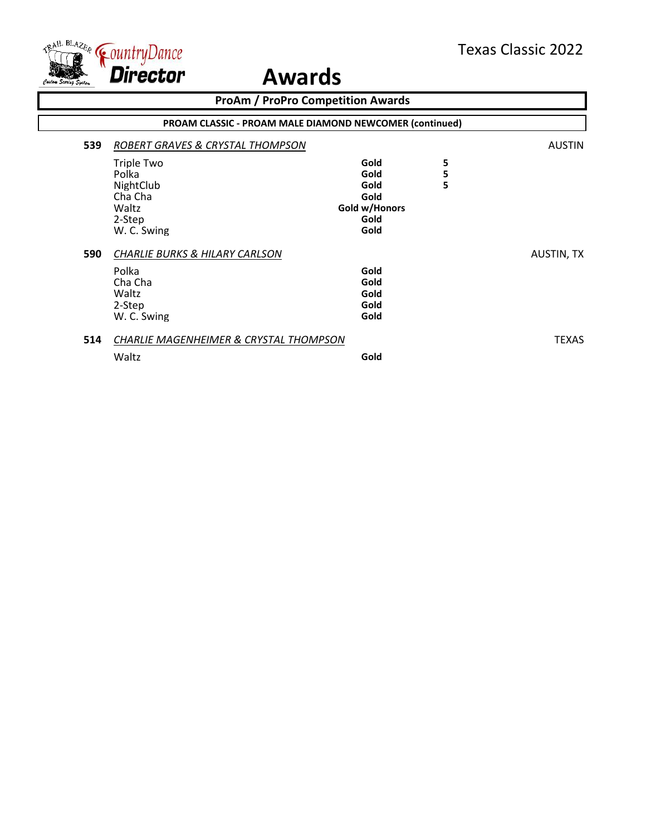

|     | <b>ProAm / ProPro Competition Awards</b>                                                        |                                                               |             |                   |  |  |
|-----|-------------------------------------------------------------------------------------------------|---------------------------------------------------------------|-------------|-------------------|--|--|
|     | PROAM CLASSIC - PROAM MALE DIAMOND NEWCOMER (continued)                                         |                                                               |             |                   |  |  |
| 539 | ROBERT GRAVES & CRYSTAL THOMPSON                                                                |                                                               |             | <b>AUSTIN</b>     |  |  |
|     | Triple Two<br>Polka<br>NightClub<br>Cha Cha<br>Waltz<br>2-Step<br>W. C. Swing                   | Gold<br>Gold<br>Gold<br>Gold<br>Gold w/Honors<br>Gold<br>Gold | 5<br>5<br>5 |                   |  |  |
| 590 | <b>CHARLIE BURKS &amp; HILARY CARLSON</b><br>Polka<br>Cha Cha<br>Waltz<br>2-Step<br>W. C. Swing | Gold<br>Gold<br>Gold<br>Gold<br>Gold                          |             | <b>AUSTIN, TX</b> |  |  |
| 514 | <b>CHARLIE MAGENHEIMER &amp; CRYSTAL THOMPSON</b><br>Waltz                                      | Gold                                                          |             | <b>TEXAS</b>      |  |  |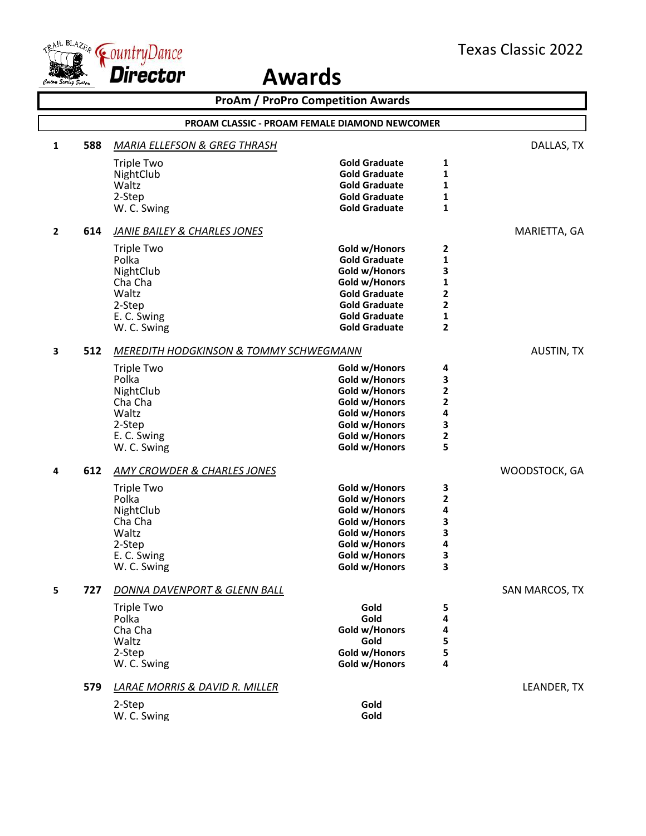

|              | <b>ProAm / ProPro Competition Awards</b> |                                                      |                      |                |                   |
|--------------|------------------------------------------|------------------------------------------------------|----------------------|----------------|-------------------|
|              |                                          | <b>PROAM CLASSIC - PROAM FEMALE DIAMOND NEWCOMER</b> |                      |                |                   |
| 1            | 588                                      | <b>MARIA ELLEFSON &amp; GREG THRASH</b>              |                      |                | DALLAS, TX        |
|              |                                          | <b>Triple Two</b>                                    | <b>Gold Graduate</b> | 1              |                   |
|              |                                          | NightClub                                            | <b>Gold Graduate</b> | $\mathbf{1}$   |                   |
|              |                                          | Waltz                                                | <b>Gold Graduate</b> | 1              |                   |
|              |                                          | 2-Step                                               | <b>Gold Graduate</b> | 1              |                   |
|              |                                          | W. C. Swing                                          | <b>Gold Graduate</b> | 1              |                   |
| $\mathbf{2}$ | 614                                      | <b>JANIE BAILEY &amp; CHARLES JONES</b>              |                      |                | MARIETTA, GA      |
|              |                                          | <b>Triple Two</b>                                    | Gold w/Honors        | 2              |                   |
|              |                                          | Polka                                                | <b>Gold Graduate</b> | 1              |                   |
|              |                                          | NightClub                                            | Gold w/Honors        | 3              |                   |
|              |                                          | Cha Cha                                              | Gold w/Honors        | 1              |                   |
|              |                                          | Waltz                                                | <b>Gold Graduate</b> | 2              |                   |
|              |                                          | 2-Step                                               | <b>Gold Graduate</b> | $\mathbf{2}$   |                   |
|              |                                          | E. C. Swing                                          | <b>Gold Graduate</b> | 1              |                   |
|              |                                          | W. C. Swing                                          | <b>Gold Graduate</b> | $\overline{2}$ |                   |
| 3            | 512                                      | <b>MEREDITH HODGKINSON &amp; TOMMY SCHWEGMANN</b>    |                      |                | <b>AUSTIN, TX</b> |
|              |                                          | <b>Triple Two</b>                                    | Gold w/Honors        | 4              |                   |
|              |                                          | Polka                                                | Gold w/Honors        | 3              |                   |
|              |                                          | NightClub                                            | Gold w/Honors        | $\mathbf{2}$   |                   |
|              |                                          | Cha Cha                                              | Gold w/Honors        | 2              |                   |
|              |                                          | Waltz                                                | Gold w/Honors        | 4              |                   |
|              |                                          | 2-Step                                               | Gold w/Honors        | 3              |                   |
|              |                                          | E. C. Swing                                          | Gold w/Honors        | $\mathbf{2}$   |                   |
|              |                                          | W. C. Swing                                          | Gold w/Honors        | 5              |                   |
| 4            | 612                                      | <b>AMY CROWDER &amp; CHARLES JONES</b>               |                      |                | WOODSTOCK, GA     |
|              |                                          | <b>Triple Two</b>                                    | Gold w/Honors        | 3              |                   |
|              |                                          | Polka                                                | Gold w/Honors        | $\mathbf{2}$   |                   |
|              |                                          | NightClub                                            | Gold w/Honors        | 4              |                   |
|              |                                          | Cha Cha                                              | Gold w/Honors        | 3              |                   |
|              |                                          | Waltz                                                | Gold w/Honors        | 3              |                   |
|              |                                          | 2-Step                                               | Gold w/Honors        | 4              |                   |
|              |                                          | E. C. Swing                                          | Gold w/Honors        | 3              |                   |
|              |                                          | W. C. Swing                                          | Gold w/Honors        | 3              |                   |
| 5            | 727                                      | DONNA DAVENPORT & GLENN BALL                         |                      |                | SAN MARCOS, TX    |
|              |                                          | <b>Triple Two</b>                                    | Gold                 | 5              |                   |
|              |                                          | Polka                                                | Gold                 | 4              |                   |
|              |                                          | Cha Cha                                              | Gold w/Honors        | 4              |                   |
|              |                                          | Waltz                                                | Gold                 | 5              |                   |
|              |                                          | 2-Step                                               | Gold w/Honors        | 5              |                   |
|              |                                          | W. C. Swing                                          | Gold w/Honors        | 4              |                   |
|              | 579                                      | <b>LARAE MORRIS &amp; DAVID R. MILLER</b>            |                      |                | LEANDER, TX       |
|              |                                          | 2-Step                                               | Gold                 |                |                   |
|              |                                          | W. C. Swing                                          | Gold                 |                |                   |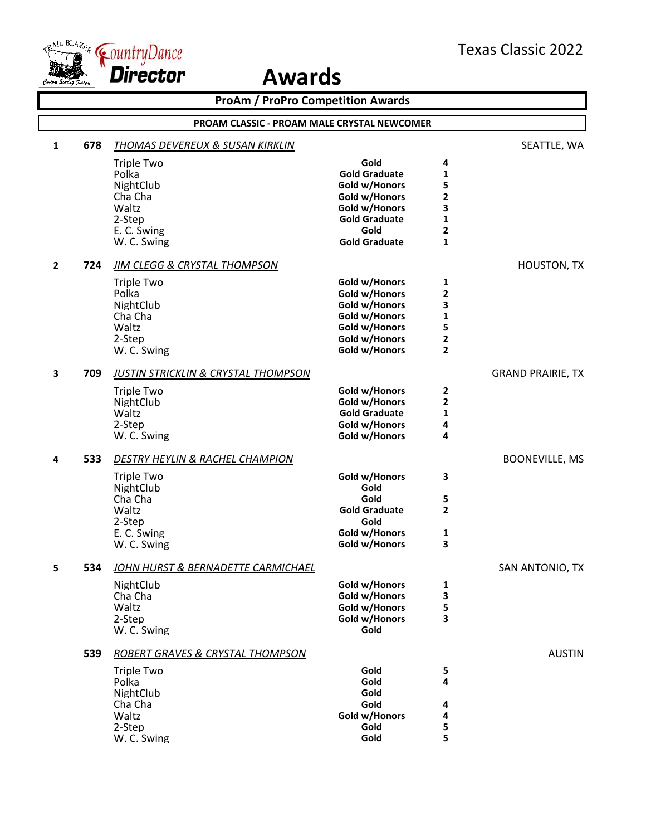

|              |     | <b>ProAm / ProPro Competition Awards</b>           |                                |                              |                          |
|--------------|-----|----------------------------------------------------|--------------------------------|------------------------------|--------------------------|
|              |     | <b>PROAM CLASSIC - PROAM MALE CRYSTAL NEWCOMER</b> |                                |                              |                          |
| 1            | 678 | <u>THOMAS DEVEREUX &amp; SUSAN KIRKLIN</u>         |                                |                              | SEATTLE, WA              |
|              |     | <b>Triple Two</b>                                  | Gold                           | 4                            |                          |
|              |     | Polka                                              | <b>Gold Graduate</b>           | 1                            |                          |
|              |     | NightClub                                          | Gold w/Honors                  | 5                            |                          |
|              |     | Cha Cha                                            | Gold w/Honors                  | 2                            |                          |
|              |     | Waltz                                              | Gold w/Honors                  | 3                            |                          |
|              |     | 2-Step<br>E. C. Swing                              | <b>Gold Graduate</b><br>Gold   | 1<br>$\overline{\mathbf{c}}$ |                          |
|              |     | W. C. Swing                                        | <b>Gold Graduate</b>           | $\mathbf{1}$                 |                          |
| $\mathbf{2}$ | 724 | <b>JIM CLEGG &amp; CRYSTAL THOMPSON</b>            |                                |                              | <b>HOUSTON, TX</b>       |
|              |     | <b>Triple Two</b>                                  | Gold w/Honors                  | 1                            |                          |
|              |     | Polka                                              | Gold w/Honors                  | $\overline{\mathbf{c}}$      |                          |
|              |     | NightClub                                          | Gold w/Honors                  | 3                            |                          |
|              |     | Cha Cha                                            | Gold w/Honors                  | 1                            |                          |
|              |     | Waltz                                              | Gold w/Honors                  | 5                            |                          |
|              |     | 2-Step                                             | Gold w/Honors                  | 2                            |                          |
|              |     | W. C. Swing                                        | Gold w/Honors                  | 2                            |                          |
| 3            | 709 | <b>JUSTIN STRICKLIN &amp; CRYSTAL THOMPSON</b>     |                                |                              | <b>GRAND PRAIRIE, TX</b> |
|              |     | <b>Triple Two</b>                                  | Gold w/Honors                  | 2                            |                          |
|              |     | NightClub                                          | Gold w/Honors                  | 2                            |                          |
|              |     | Waltz                                              | <b>Gold Graduate</b>           | 1                            |                          |
|              |     | 2-Step                                             | Gold w/Honors                  | 4                            |                          |
|              |     | W. C. Swing                                        | Gold w/Honors                  | 4                            |                          |
| 4            | 533 | <b>DESTRY HEYLIN &amp; RACHEL CHAMPION</b>         |                                |                              | <b>BOONEVILLE, MS</b>    |
|              |     | <b>Triple Two</b>                                  | Gold w/Honors                  | 3                            |                          |
|              |     | NightClub                                          | Gold                           |                              |                          |
|              |     | Cha Cha                                            | Gold                           | 5                            |                          |
|              |     | Waltz                                              | <b>Gold Graduate</b>           | 2                            |                          |
|              |     | 2-Step                                             | Gold                           |                              |                          |
|              |     | E. C. Swing<br>W. C. Swing                         | Gold w/Honors<br>Gold w/Honors | 1<br>3                       |                          |
|              |     |                                                    |                                |                              |                          |
| 5            | 534 | <u>JOHN HURST &amp; BERNADETTE CARMICHAEL</u>      |                                |                              | SAN ANTONIO, TX          |
|              |     | NightClub                                          | Gold w/Honors                  | 1                            |                          |
|              |     | Cha Cha                                            | Gold w/Honors                  | 3                            |                          |
|              |     | Waltz                                              | Gold w/Honors                  | 5                            |                          |
|              |     | 2-Step                                             | Gold w/Honors                  | 3                            |                          |
|              |     | W. C. Swing                                        | Gold                           |                              |                          |
|              | 539 | ROBERT GRAVES & CRYSTAL THOMPSON                   |                                |                              | <b>AUSTIN</b>            |
|              |     | <b>Triple Two</b>                                  | Gold                           | 5                            |                          |
|              |     | Polka                                              | Gold                           | 4                            |                          |
|              |     | NightClub                                          | Gold                           |                              |                          |
|              |     | Cha Cha<br>Waltz                                   | Gold<br>Gold w/Honors          | 4<br>4                       |                          |
|              |     | 2-Step                                             | Gold                           | 5                            |                          |
|              |     | W. C. Swing                                        | Gold                           | 5                            |                          |
|              |     |                                                    |                                |                              |                          |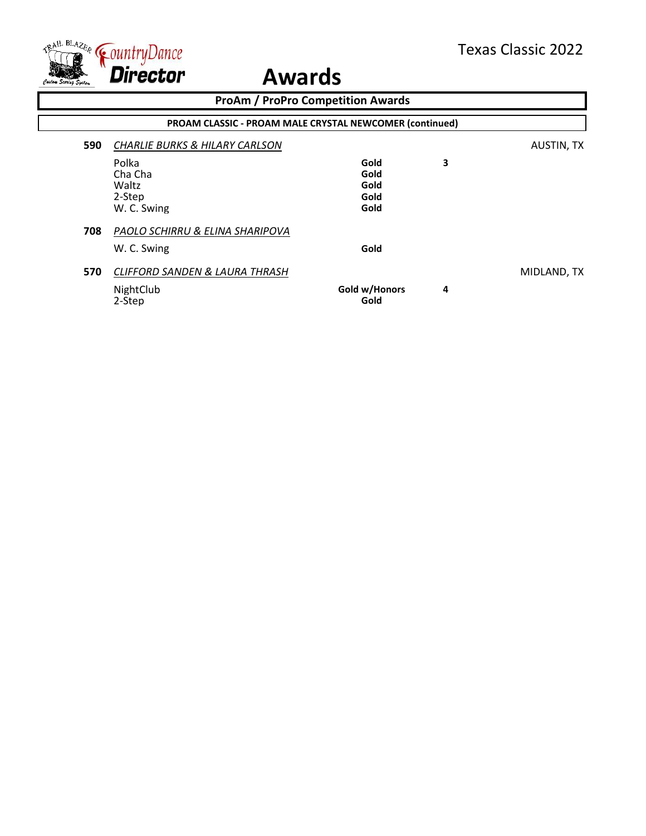

|     | <b>ProAm / ProPro Competition Awards</b>                         |                                      |   |             |  |
|-----|------------------------------------------------------------------|--------------------------------------|---|-------------|--|
|     | PROAM CLASSIC - PROAM MALE CRYSTAL NEWCOMER (continued)          |                                      |   |             |  |
| 590 | <b>CHARLIE BURKS &amp; HILARY CARLSON</b>                        |                                      |   | AUSTIN, TX  |  |
|     | Polka<br>Cha Cha<br>Waltz<br>2-Step<br>W. C. Swing               | Gold<br>Gold<br>Gold<br>Gold<br>Gold | 3 |             |  |
| 708 | PAOLO SCHIRRU & ELINA SHARIPOVA<br>W. C. Swing                   | Gold                                 |   |             |  |
| 570 | <b>CLIFFORD SANDEN &amp; LAURA THRASH</b><br>NightClub<br>2-Step | Gold w/Honors<br>Gold                | 4 | MIDLAND, TX |  |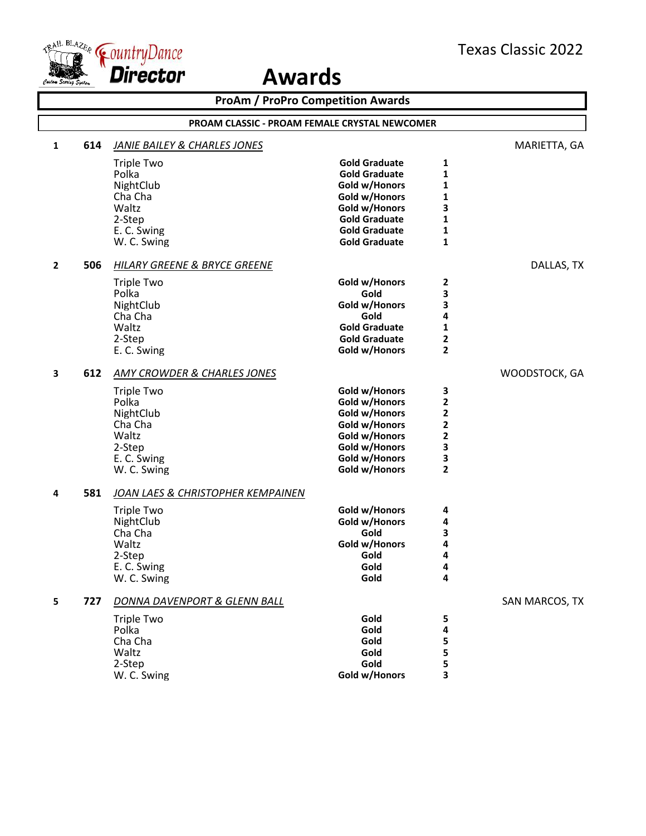

|                |     |                                         | <b>ProAm / ProPro Competition Awards</b>             |                   |                |
|----------------|-----|-----------------------------------------|------------------------------------------------------|-------------------|----------------|
|                |     |                                         | <b>PROAM CLASSIC - PROAM FEMALE CRYSTAL NEWCOMER</b> |                   |                |
| 1              | 614 | <b>JANIE BAILEY &amp; CHARLES JONES</b> |                                                      |                   | MARIETTA, GA   |
|                |     | <b>Triple Two</b>                       | <b>Gold Graduate</b>                                 | 1                 |                |
|                |     | Polka                                   | <b>Gold Graduate</b>                                 | 1                 |                |
|                |     | NightClub                               | Gold w/Honors                                        | 1                 |                |
|                |     | Cha Cha                                 | Gold w/Honors                                        | 1                 |                |
|                |     | Waltz                                   | Gold w/Honors                                        | 3                 |                |
|                |     | 2-Step                                  | <b>Gold Graduate</b>                                 | 1                 |                |
|                |     | E. C. Swing<br>W. C. Swing              | <b>Gold Graduate</b><br><b>Gold Graduate</b>         | 1<br>$\mathbf{1}$ |                |
|                |     |                                         |                                                      |                   |                |
| $\overline{2}$ | 506 | HILARY GREENE & BRYCE GREENE            |                                                      |                   | DALLAS, TX     |
|                |     | <b>Triple Two</b>                       | Gold w/Honors                                        | 2                 |                |
|                |     | Polka                                   | Gold                                                 | 3                 |                |
|                |     | NightClub                               | Gold w/Honors                                        | 3                 |                |
|                |     | Cha Cha                                 | Gold                                                 | 4                 |                |
|                |     | Waltz                                   | <b>Gold Graduate</b>                                 | 1                 |                |
|                |     | 2-Step<br>E. C. Swing                   | <b>Gold Graduate</b><br>Gold w/Honors                | 2<br>$\mathbf{2}$ |                |
|                |     |                                         |                                                      |                   |                |
| 3              | 612 | <b>AMY CROWDER &amp; CHARLES JONES</b>  |                                                      |                   | WOODSTOCK, GA  |
|                |     | <b>Triple Two</b>                       | Gold w/Honors                                        | 3                 |                |
|                |     | Polka                                   | Gold w/Honors                                        | 2                 |                |
|                |     | NightClub                               | Gold w/Honors                                        | 2                 |                |
|                |     | Cha Cha                                 | Gold w/Honors                                        | 2                 |                |
|                |     | Waltz<br>2-Step                         | Gold w/Honors                                        | 2<br>3            |                |
|                |     | E. C. Swing                             | Gold w/Honors<br>Gold w/Honors                       | 3                 |                |
|                |     | W. C. Swing                             | Gold w/Honors                                        | $\overline{2}$    |                |
|                |     |                                         |                                                      |                   |                |
| 4              | 581 | JOAN LAES & CHRISTOPHER KEMPAINEN       |                                                      |                   |                |
|                |     | <b>Triple Two</b>                       | Gold w/Honors                                        | 4                 |                |
|                |     | NightClub                               | Gold w/Honors                                        | 4                 |                |
|                |     | Cha Cha<br>Waltz                        | Gold<br>Gold w/Honors                                | 3<br>4            |                |
|                |     | 2-Step                                  | Gold                                                 | 4                 |                |
|                |     | E. C. Swing                             | Gold                                                 | 4                 |                |
|                |     | W. C. Swing                             | Gold                                                 | 4                 |                |
| 5              | 727 | DONNA DAVENPORT & GLENN BALL            |                                                      |                   | SAN MARCOS, TX |
|                |     | <b>Triple Two</b>                       | Gold                                                 | 5                 |                |
|                |     | Polka                                   | Gold                                                 | 4                 |                |
|                |     | Cha Cha                                 | Gold                                                 | 5                 |                |
|                |     | Waltz                                   | Gold                                                 | 5                 |                |
|                |     | 2-Step                                  | Gold                                                 | 5                 |                |
|                |     | W. C. Swing                             | Gold w/Honors                                        | 3                 |                |
|                |     |                                         |                                                      |                   |                |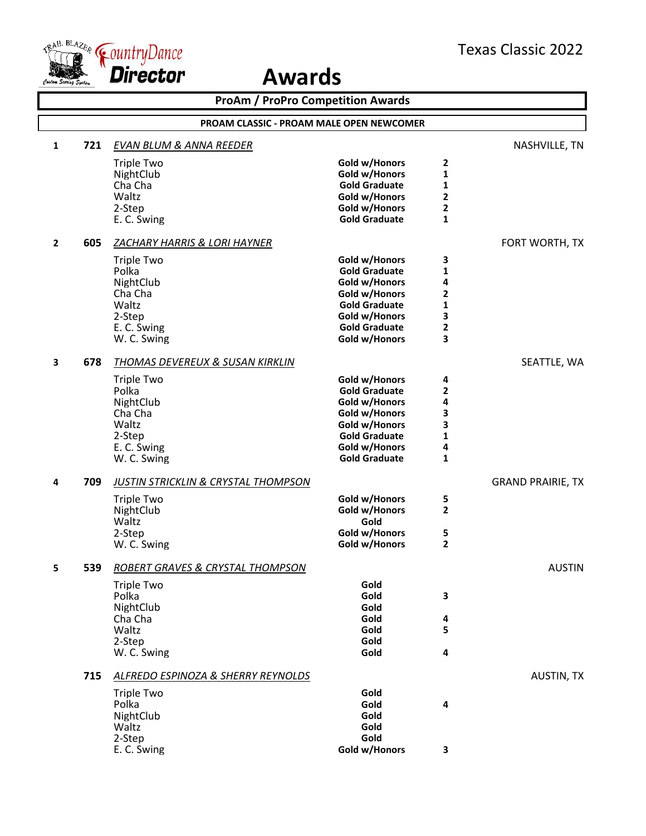

|              | <b>ProAm / ProPro Competition Awards</b> |                                                |                      |                |                          |  |
|--------------|------------------------------------------|------------------------------------------------|----------------------|----------------|--------------------------|--|
|              |                                          | PROAM CLASSIC - PROAM MALE OPEN NEWCOMER       |                      |                |                          |  |
| 1            | 721                                      | EVAN BLUM & ANNA REEDER                        |                      |                | NASHVILLE, TN            |  |
|              |                                          | <b>Triple Two</b>                              | Gold w/Honors        | 2              |                          |  |
|              |                                          | NightClub                                      | Gold w/Honors        | 1              |                          |  |
|              |                                          | Cha Cha                                        | <b>Gold Graduate</b> | 1              |                          |  |
|              |                                          | Waltz                                          | Gold w/Honors        | $\mathbf{2}$   |                          |  |
|              |                                          | 2-Step                                         | Gold w/Honors        | $\mathbf 2$    |                          |  |
|              |                                          | E. C. Swing                                    | <b>Gold Graduate</b> | $\mathbf{1}$   |                          |  |
| $\mathbf{2}$ | 605                                      | ZACHARY HARRIS & LORI HAYNER                   |                      |                | FORT WORTH, TX           |  |
|              |                                          | <b>Triple Two</b>                              | Gold w/Honors        | 3              |                          |  |
|              |                                          | Polka                                          | <b>Gold Graduate</b> | 1              |                          |  |
|              |                                          | NightClub                                      | Gold w/Honors        | 4              |                          |  |
|              |                                          | Cha Cha                                        | Gold w/Honors        | $\overline{2}$ |                          |  |
|              |                                          | Waltz                                          | <b>Gold Graduate</b> | 1              |                          |  |
|              |                                          | 2-Step                                         | Gold w/Honors        | 3              |                          |  |
|              |                                          | E. C. Swing                                    | <b>Gold Graduate</b> | $\mathbf{2}$   |                          |  |
|              |                                          | W. C. Swing                                    | Gold w/Honors        | 3              |                          |  |
| 3            | 678                                      | THOMAS DEVEREUX & SUSAN KIRKLIN                |                      |                | SEATTLE, WA              |  |
|              |                                          | <b>Triple Two</b>                              | Gold w/Honors        | 4              |                          |  |
|              |                                          | Polka                                          | <b>Gold Graduate</b> | $\mathbf 2$    |                          |  |
|              |                                          | NightClub                                      | Gold w/Honors        | 4              |                          |  |
|              |                                          | Cha Cha                                        | Gold w/Honors        | 3              |                          |  |
|              |                                          | Waltz                                          | Gold w/Honors        | 3              |                          |  |
|              |                                          | 2-Step                                         | <b>Gold Graduate</b> | 1              |                          |  |
|              |                                          | E. C. Swing                                    | Gold w/Honors        | 4              |                          |  |
|              |                                          | W. C. Swing                                    | <b>Gold Graduate</b> | $\mathbf{1}$   |                          |  |
| 4            | 709                                      | <b>JUSTIN STRICKLIN &amp; CRYSTAL THOMPSON</b> |                      |                | <b>GRAND PRAIRIE, TX</b> |  |
|              |                                          | <b>Triple Two</b>                              | Gold w/Honors        | 5              |                          |  |
|              |                                          | NightClub                                      | Gold w/Honors        | $\mathbf{2}$   |                          |  |
|              |                                          | Waltz                                          | Gold                 |                |                          |  |
|              |                                          | 2-Step                                         | Gold w/Honors        | 5              |                          |  |
|              |                                          | W. C. Swing                                    | Gold w/Honors        | $\overline{2}$ |                          |  |
|              | 539                                      | ROBERT GRAVES & CRYSTAL THOMPSON               |                      |                | <b>AUSTIN</b>            |  |
|              |                                          | <b>Triple Two</b>                              | Gold                 |                |                          |  |
|              |                                          | Polka                                          | Gold                 | 3              |                          |  |
|              |                                          | NightClub                                      | Gold                 |                |                          |  |
|              |                                          | Cha Cha                                        | Gold                 | 4              |                          |  |
|              |                                          | Waltz                                          | Gold                 | 5              |                          |  |
|              |                                          | 2-Step                                         | Gold                 |                |                          |  |
|              |                                          | W. C. Swing                                    | Gold                 | 4              |                          |  |
|              | 715                                      | ALFREDO ESPINOZA & SHERRY REYNOLDS             |                      |                | <b>AUSTIN, TX</b>        |  |
|              |                                          | <b>Triple Two</b>                              | Gold                 |                |                          |  |
|              |                                          | Polka                                          | Gold                 | 4              |                          |  |
|              |                                          | NightClub                                      | Gold                 |                |                          |  |
|              |                                          | Waltz                                          | Gold                 |                |                          |  |
|              |                                          | 2-Step                                         | Gold                 |                |                          |  |
|              |                                          | E. C. Swing                                    | Gold w/Honors        | 3              |                          |  |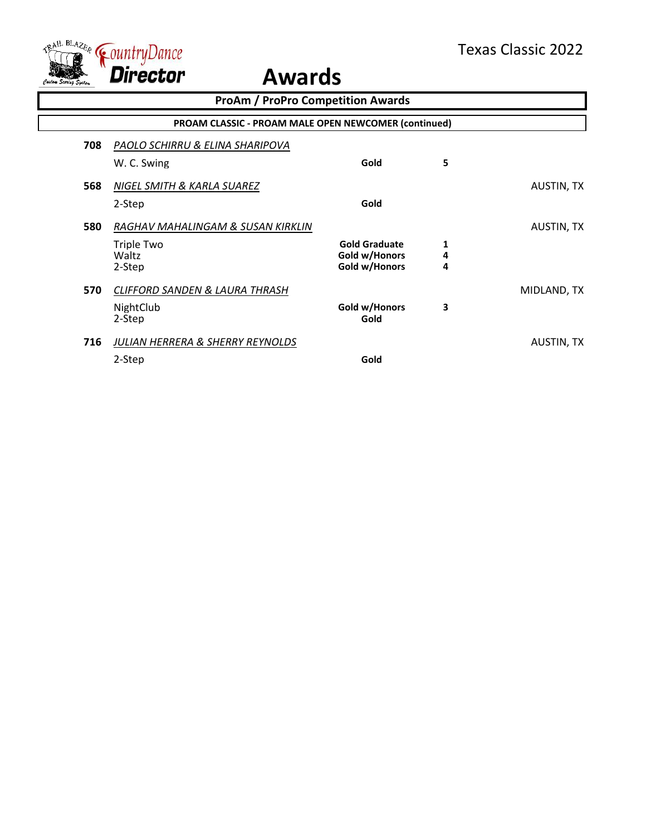

|     | <b>ProAm / ProPro Competition Awards</b>                    |                      |   |                   |
|-----|-------------------------------------------------------------|----------------------|---|-------------------|
|     | <b>PROAM CLASSIC - PROAM MALE OPEN NEWCOMER (continued)</b> |                      |   |                   |
| 708 | PAOLO SCHIRRU & ELINA SHARIPOVA                             |                      |   |                   |
|     | W. C. Swing                                                 | Gold                 | 5 |                   |
| 568 | NIGEL SMITH & KARLA SUAREZ                                  |                      |   | <b>AUSTIN, TX</b> |
|     | 2-Step                                                      | Gold                 |   |                   |
| 580 | RAGHAV MAHALINGAM & SUSAN KIRKLIN                           |                      |   | <b>AUSTIN, TX</b> |
|     | Triple Two                                                  | <b>Gold Graduate</b> | 1 |                   |
|     | Waltz                                                       | Gold w/Honors        | 4 |                   |
|     | 2-Step                                                      | Gold w/Honors        | 4 |                   |
| 570 | CLIFFORD SANDEN & LAURA THRASH                              |                      |   | MIDLAND, TX       |
|     | NightClub                                                   | Gold w/Honors        | 3 |                   |
|     | 2-Step                                                      | Gold                 |   |                   |
| 716 | JULIAN HERRERA & SHERRY REYNOLDS                            |                      |   | AUSTIN, TX        |
|     | 2-Step                                                      | Gold                 |   |                   |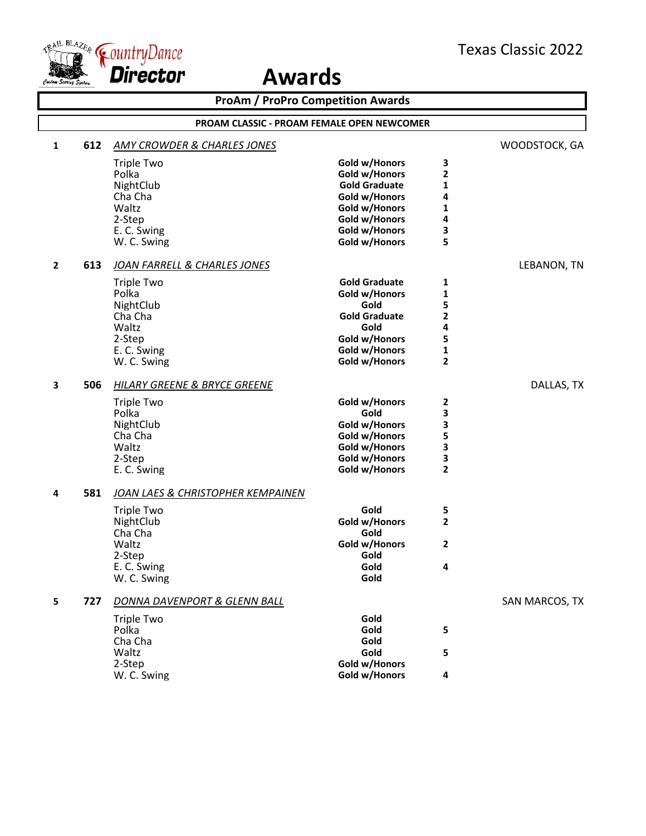

|              | <b>ProAm / ProPro Competition Awards</b> |                                                   |                      |                     |                |  |
|--------------|------------------------------------------|---------------------------------------------------|----------------------|---------------------|----------------|--|
|              |                                          | <b>PROAM CLASSIC - PROAM FEMALE OPEN NEWCOMER</b> |                      |                     |                |  |
| 1            | 612                                      | <b>AMY CROWDER &amp; CHARLES JONES</b>            |                      |                     | WOODSTOCK, GA  |  |
|              |                                          | <b>Triple Two</b>                                 | Gold w/Honors        | 3                   |                |  |
|              |                                          | Polka                                             | Gold w/Honors        | $\mathbf{2}$        |                |  |
|              |                                          | NightClub                                         | <b>Gold Graduate</b> | 1                   |                |  |
|              |                                          | Cha Cha                                           | Gold w/Honors        | 4                   |                |  |
|              |                                          | Waltz                                             | Gold w/Honors        | 1                   |                |  |
|              |                                          | 2-Step                                            | Gold w/Honors        | 4                   |                |  |
|              |                                          | E. C. Swing                                       | Gold w/Honors        | 3                   |                |  |
|              |                                          | W. C. Swing                                       | Gold w/Honors        | 5                   |                |  |
| $\mathbf{2}$ | 613                                      | JOAN FARRELL & CHARLES JONES                      |                      |                     | LEBANON, TN    |  |
|              |                                          | <b>Triple Two</b>                                 | <b>Gold Graduate</b> | 1                   |                |  |
|              |                                          | Polka                                             | Gold w/Honors        | 1                   |                |  |
|              |                                          | NightClub                                         | Gold                 | 5                   |                |  |
|              |                                          | Cha Cha                                           | <b>Gold Graduate</b> | $\mathbf 2$         |                |  |
|              |                                          | Waltz                                             | Gold                 | 4                   |                |  |
|              |                                          | 2-Step                                            | Gold w/Honors        | 5                   |                |  |
|              |                                          | E. C. Swing                                       | Gold w/Honors        | 1<br>$\overline{2}$ |                |  |
|              |                                          | W. C. Swing                                       | Gold w/Honors        |                     |                |  |
| 3            | 506                                      | <b>HILARY GREENE &amp; BRYCE GREENE</b>           |                      |                     | DALLAS, TX     |  |
|              |                                          | <b>Triple Two</b>                                 | Gold w/Honors        | 2                   |                |  |
|              |                                          | Polka                                             | Gold                 | 3                   |                |  |
|              |                                          | NightClub                                         | Gold w/Honors        | 3                   |                |  |
|              |                                          | Cha Cha                                           | Gold w/Honors        | 5                   |                |  |
|              |                                          | Waltz                                             | Gold w/Honors        | 3                   |                |  |
|              |                                          | 2-Step                                            | Gold w/Honors        | 3<br>$\overline{2}$ |                |  |
|              |                                          | E. C. Swing                                       | Gold w/Honors        |                     |                |  |
| 4            | 581                                      | JOAN LAES & CHRISTOPHER KEMPAINEN                 |                      |                     |                |  |
|              |                                          | Triple Two                                        | Gold                 | 5                   |                |  |
|              |                                          | NightClub                                         | Gold w/Honors        | $\mathbf{2}$        |                |  |
|              |                                          | Cha Cha                                           | Gold                 |                     |                |  |
|              |                                          | Waltz                                             | Gold w/Honors        | $\overline{2}$      |                |  |
|              |                                          | 2-Step                                            | Gold                 |                     |                |  |
|              |                                          | E. C. Swing                                       | Gold                 | 4                   |                |  |
|              |                                          | W. C. Swing                                       | Gold                 |                     |                |  |
| 5            | 727                                      | DONNA DAVENPORT & GLENN BALL                      |                      |                     | SAN MARCOS, TX |  |
|              |                                          | <b>Triple Two</b>                                 | Gold                 |                     |                |  |
|              |                                          | Polka                                             | Gold                 | 5                   |                |  |
|              |                                          | Cha Cha                                           | Gold                 |                     |                |  |
|              |                                          | Waltz                                             | Gold                 | 5                   |                |  |
|              |                                          | 2-Step                                            | Gold w/Honors        |                     |                |  |
|              |                                          | W. C. Swing                                       | Gold w/Honors        | 4                   |                |  |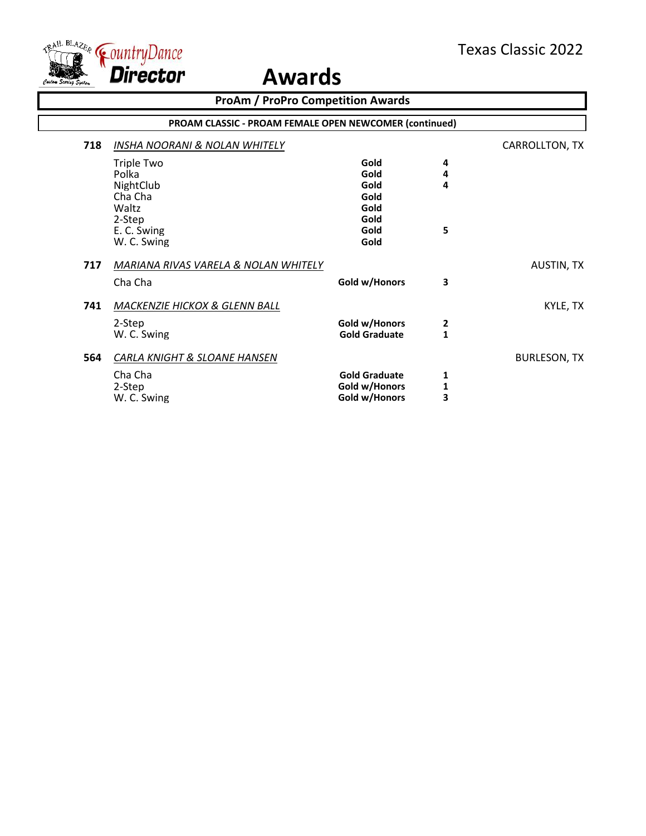

|     | <b>ProAm / ProPro Competition Awards</b>               |                      |              |                     |  |  |  |
|-----|--------------------------------------------------------|----------------------|--------------|---------------------|--|--|--|
|     | PROAM CLASSIC - PROAM FEMALE OPEN NEWCOMER (continued) |                      |              |                     |  |  |  |
| 718 | <b>INSHA NOORANI &amp; NOLAN WHITELY</b>               |                      |              | CARROLLTON, TX      |  |  |  |
|     | <b>Triple Two</b>                                      | Gold                 | 4            |                     |  |  |  |
|     | Polka                                                  | Gold                 | 4            |                     |  |  |  |
|     | NightClub                                              | Gold                 | 4            |                     |  |  |  |
|     | Cha Cha                                                | Gold                 |              |                     |  |  |  |
|     | Waltz                                                  | Gold                 |              |                     |  |  |  |
|     | 2-Step                                                 | Gold                 |              |                     |  |  |  |
|     | E. C. Swing                                            | Gold                 | 5            |                     |  |  |  |
|     | W. C. Swing                                            | Gold                 |              |                     |  |  |  |
| 717 | MARIANA RIVAS VARELA & NOLAN WHITELY                   |                      |              | <b>AUSTIN, TX</b>   |  |  |  |
|     | Cha Cha                                                | Gold w/Honors        | 3            |                     |  |  |  |
| 741 | MACKENZIE HICKOX & GLENN BALL                          |                      |              | KYLE, TX            |  |  |  |
|     | 2-Step                                                 | Gold w/Honors        | 2            |                     |  |  |  |
|     | W. C. Swing                                            | <b>Gold Graduate</b> | $\mathbf{1}$ |                     |  |  |  |
|     |                                                        |                      |              |                     |  |  |  |
| 564 | CARLA KNIGHT & SLOANE HANSEN                           |                      |              | <b>BURLESON, TX</b> |  |  |  |
|     | Cha Cha                                                | <b>Gold Graduate</b> | 1            |                     |  |  |  |
|     | 2-Step                                                 | Gold w/Honors        | 1            |                     |  |  |  |
|     | W. C. Swing                                            | Gold w/Honors        | 3            |                     |  |  |  |
|     |                                                        |                      |              |                     |  |  |  |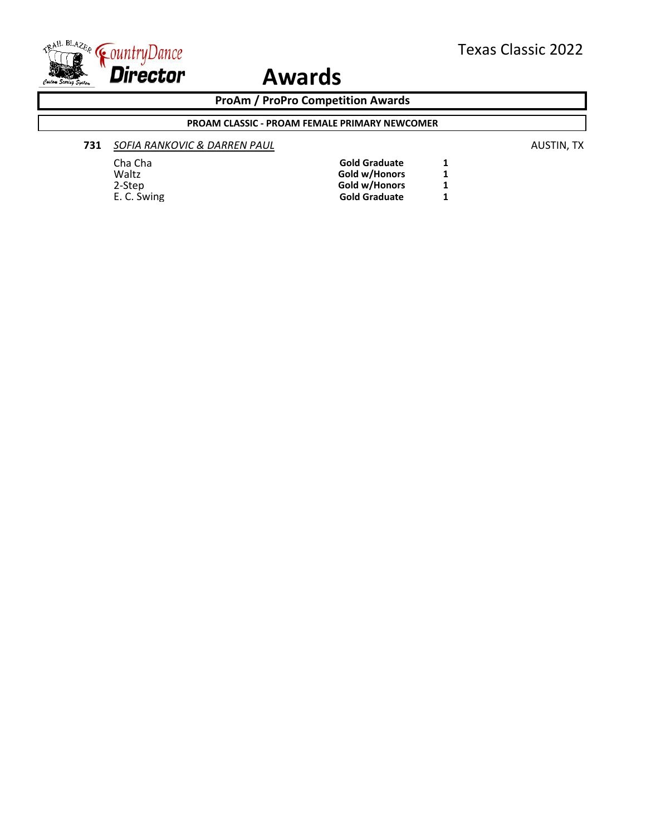

**ProAm / ProPro Competition Awards**

#### **PROAM CLASSIC - PROAM FEMALE PRIMARY NEWCOMER**

#### **731** *SOFIA RANKOVIC & DARREN PAUL* AUSTIN, TX

Cha Cha **Gold Graduate 1** Waltz<br>
2-Step<br>
2-Step<br>
1 2-Step **Gold w/Honors** 1<br>
E. C. Swing **1 Gold Graduate**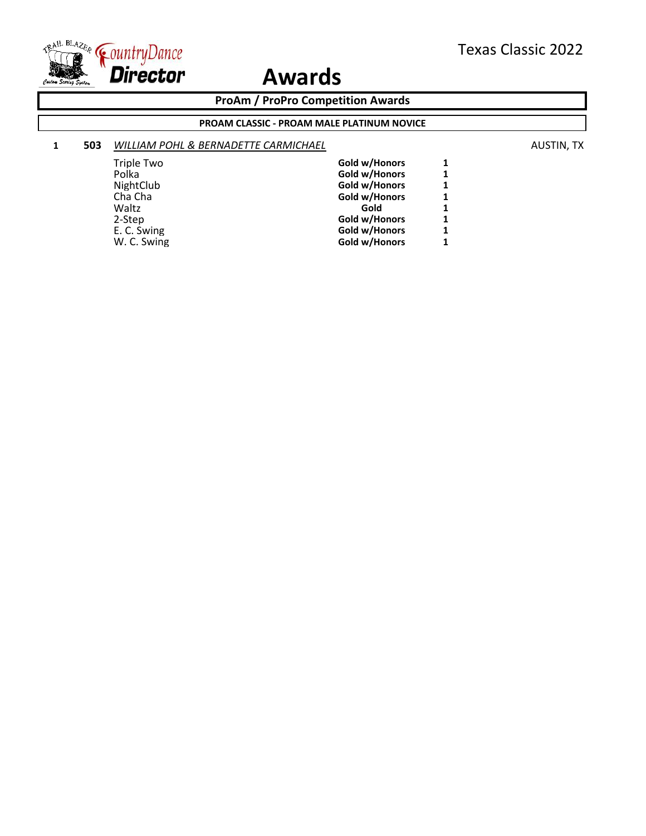

**ProAm / ProPro Competition Awards**

#### **PROAM CLASSIC - PROAM MALE PLATINUM NOVICE**

#### **1 <b>503 WILLIAM POHL & BERNADETTE CARMICHAEL AUSTIN, TX AUSTIN, TX**

| Triple Two  | Gold w/Honors | 1 |
|-------------|---------------|---|
| Polka       | Gold w/Honors | 1 |
| NightClub   | Gold w/Honors | 1 |
| Cha Cha     | Gold w/Honors | 1 |
| Waltz       | Gold          | 1 |
| 2-Step      | Gold w/Honors | 1 |
| E. C. Swing | Gold w/Honors | 1 |
| W. C. Swing | Gold w/Honors | 1 |
|             |               |   |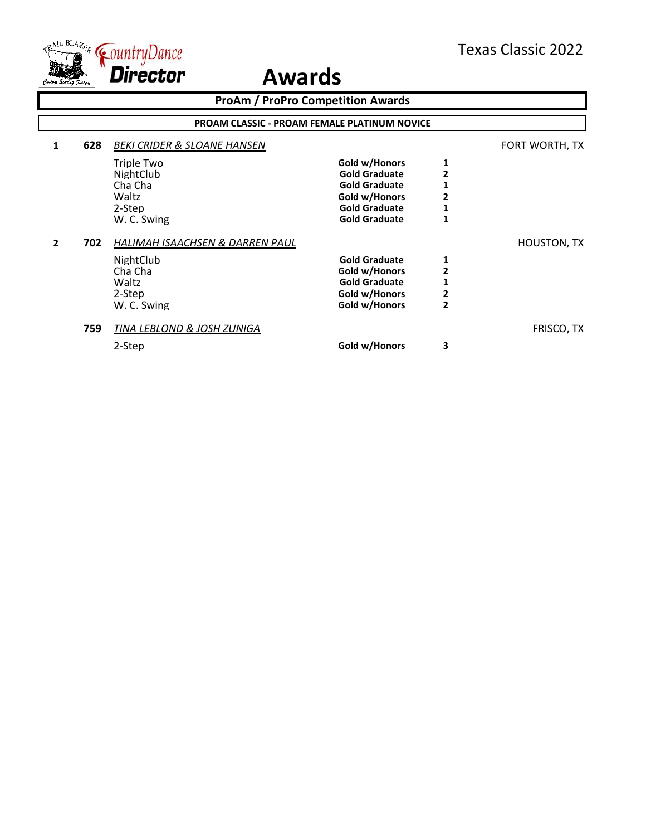

|              | <b>ProAm / ProPro Competition Awards</b><br><b>PROAM CLASSIC - PROAM FEMALE PLATINUM NOVICE</b> |                                                                                           |                                                                                                                                |                               |                    |  |  |
|--------------|-------------------------------------------------------------------------------------------------|-------------------------------------------------------------------------------------------|--------------------------------------------------------------------------------------------------------------------------------|-------------------------------|--------------------|--|--|
|              |                                                                                                 |                                                                                           |                                                                                                                                |                               |                    |  |  |
| 1            | 628                                                                                             | <b>BEKI CRIDER &amp; SLOANE HANSEN</b>                                                    |                                                                                                                                |                               | FORT WORTH, TX     |  |  |
|              |                                                                                                 | Triple Two<br>NightClub<br>Cha Cha<br>Waltz<br>2-Step<br>W. C. Swing                      | Gold w/Honors<br><b>Gold Graduate</b><br><b>Gold Graduate</b><br>Gold w/Honors<br><b>Gold Graduate</b><br><b>Gold Graduate</b> | 1<br>2                        |                    |  |  |
| $\mathbf{z}$ | 702                                                                                             | HALIMAH ISAACHSEN & DARREN PAUL<br>NightClub<br>Cha Cha<br>Waltz<br>2-Step<br>W. C. Swing | <b>Gold Graduate</b><br>Gold w/Honors<br><b>Gold Graduate</b><br>Gold w/Honors<br>Gold w/Honors                                | 1<br>2<br>2<br>$\overline{2}$ | <b>HOUSTON, TX</b> |  |  |
|              | 759                                                                                             | TINA LEBLOND & JOSH ZUNIGA<br>2-Step                                                      | Gold w/Honors                                                                                                                  | 3                             | FRISCO, TX         |  |  |
|              |                                                                                                 |                                                                                           |                                                                                                                                |                               |                    |  |  |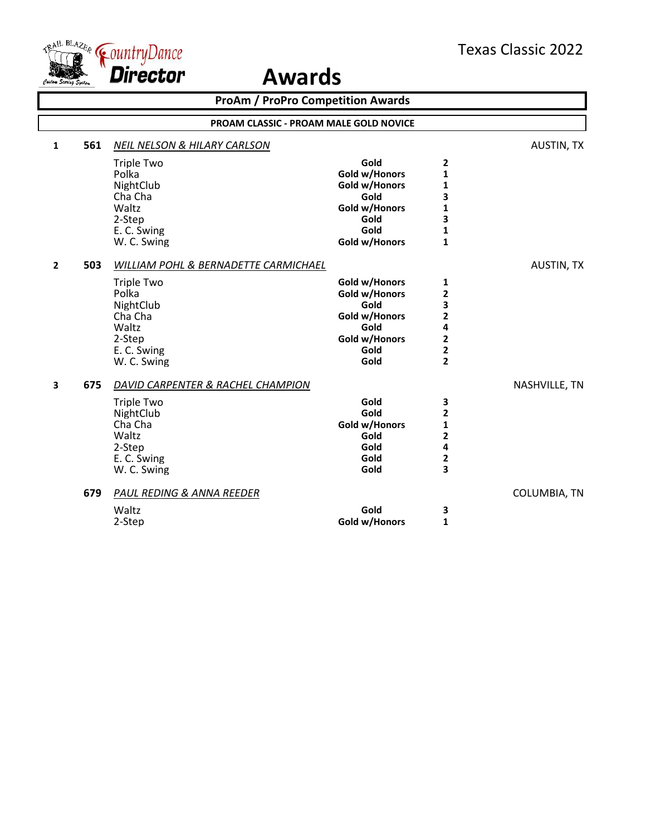

|                |     | <b>ProAm / ProPro Competition Awards</b>      |               |                         |                   |
|----------------|-----|-----------------------------------------------|---------------|-------------------------|-------------------|
|                |     | <b>PROAM CLASSIC - PROAM MALE GOLD NOVICE</b> |               |                         |                   |
| $\mathbf{1}$   | 561 | <b>NEIL NELSON &amp; HILARY CARLSON</b>       |               |                         | <b>AUSTIN, TX</b> |
|                |     | <b>Triple Two</b>                             | Gold          | 2                       |                   |
|                |     | Polka                                         | Gold w/Honors | $\mathbf{1}$            |                   |
|                |     | NightClub                                     | Gold w/Honors | 1                       |                   |
|                |     | Cha Cha                                       | Gold          | 3                       |                   |
|                |     | Waltz                                         | Gold w/Honors | $\mathbf{1}$            |                   |
|                |     | 2-Step                                        | Gold          | 3                       |                   |
|                |     | E. C. Swing                                   | Gold          | $\mathbf{1}$            |                   |
|                |     | W. C. Swing                                   | Gold w/Honors | $\mathbf{1}$            |                   |
| $\overline{2}$ | 503 | WILLIAM POHL & BERNADETTE CARMICHAEL          |               |                         | <b>AUSTIN, TX</b> |
|                |     | <b>Triple Two</b>                             | Gold w/Honors | 1                       |                   |
|                |     | Polka                                         | Gold w/Honors | 2                       |                   |
|                |     | NightClub                                     | Gold          | 3                       |                   |
|                |     | Cha Cha                                       | Gold w/Honors | $\overline{\mathbf{c}}$ |                   |
|                |     | Waltz                                         | Gold          | 4                       |                   |
|                |     | 2-Step                                        | Gold w/Honors | $\overline{\mathbf{2}}$ |                   |
|                |     | E. C. Swing                                   | Gold          | $\overline{\mathbf{2}}$ |                   |
|                |     | W. C. Swing                                   | Gold          | $\overline{\mathbf{2}}$ |                   |
| 3              | 675 | DAVID CARPENTER & RACHEL CHAMPION             |               |                         | NASHVILLE, TN     |
|                |     | <b>Triple Two</b>                             | Gold          | 3                       |                   |
|                |     | NightClub                                     | Gold          | $\mathbf{2}$            |                   |
|                |     | Cha Cha                                       | Gold w/Honors | 1                       |                   |
|                |     | Waltz                                         | Gold          | 2                       |                   |
|                |     | 2-Step                                        | Gold          | 4                       |                   |
|                |     | E. C. Swing                                   | Gold          | $\mathbf 2$             |                   |
|                |     | W. C. Swing                                   | Gold          | 3                       |                   |
|                | 679 | PAUL REDING & ANNA REEDER                     |               |                         | COLUMBIA, TN      |
|                |     | Waltz                                         | Gold          | 3                       |                   |
|                |     | 2-Step                                        | Gold w/Honors | 1                       |                   |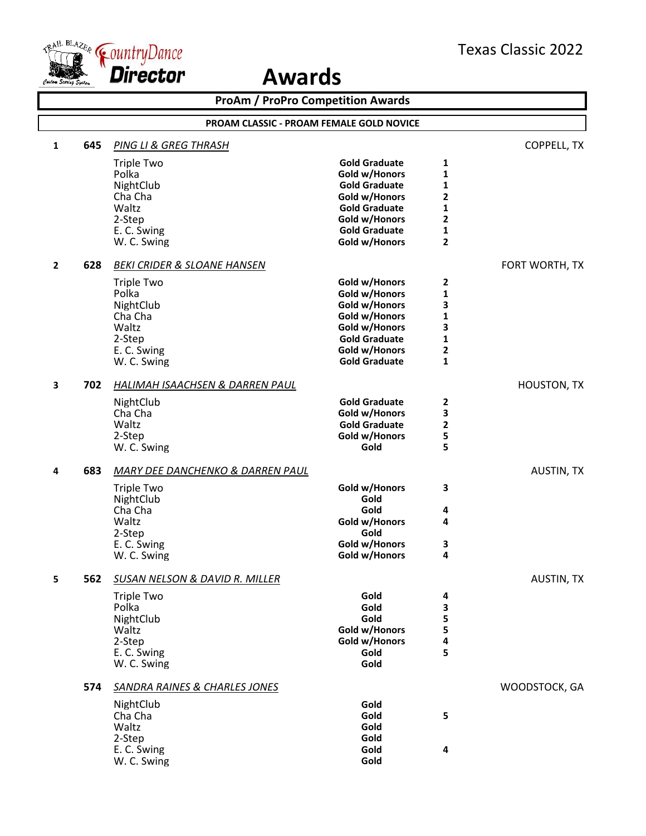

| <b>ProAm / ProPro Competition Awards</b> |     |                                             |                                       |                |                    |  |
|------------------------------------------|-----|---------------------------------------------|---------------------------------------|----------------|--------------------|--|
| PROAM CLASSIC - PROAM FEMALE GOLD NOVICE |     |                                             |                                       |                |                    |  |
| 1                                        | 645 | PING LI & GREG THRASH                       |                                       |                | COPPELL, TX        |  |
|                                          |     | <b>Triple Two</b>                           | <b>Gold Graduate</b>                  | 1              |                    |  |
|                                          |     | Polka                                       | Gold w/Honors                         | 1              |                    |  |
|                                          |     | NightClub                                   | <b>Gold Graduate</b>                  | 1              |                    |  |
|                                          |     | Cha Cha<br>Waltz                            | Gold w/Honors<br><b>Gold Graduate</b> | 2<br>1         |                    |  |
|                                          |     | 2-Step                                      | Gold w/Honors                         | 2              |                    |  |
|                                          |     | E. C. Swing                                 | <b>Gold Graduate</b>                  | 1              |                    |  |
|                                          |     | W. C. Swing                                 | Gold w/Honors                         | $\overline{2}$ |                    |  |
| $\mathbf{2}$                             | 628 | <b>BEKI CRIDER &amp; SLOANE HANSEN</b>      |                                       |                | FORT WORTH, TX     |  |
|                                          |     | <b>Triple Two</b>                           | Gold w/Honors                         | 2              |                    |  |
|                                          |     | Polka                                       | Gold w/Honors                         | 1              |                    |  |
|                                          |     | NightClub                                   | Gold w/Honors                         | 3              |                    |  |
|                                          |     | Cha Cha                                     | Gold w/Honors                         | 1              |                    |  |
|                                          |     | Waltz                                       | Gold w/Honors<br><b>Gold Graduate</b> | 3              |                    |  |
|                                          |     | 2-Step<br>E. C. Swing                       | Gold w/Honors                         | 1<br>2         |                    |  |
|                                          |     | W. C. Swing                                 | <b>Gold Graduate</b>                  | $\mathbf{1}$   |                    |  |
| 3                                        | 702 | HALIMAH ISAACHSEN & DARREN PAUL             |                                       |                | <b>HOUSTON, TX</b> |  |
|                                          |     | NightClub                                   | <b>Gold Graduate</b>                  | 2              |                    |  |
|                                          |     | Cha Cha                                     | Gold w/Honors                         | 3              |                    |  |
|                                          |     | Waltz                                       | <b>Gold Graduate</b>                  | 2              |                    |  |
|                                          |     | 2-Step                                      | Gold w/Honors                         | 5              |                    |  |
|                                          |     | W. C. Swing                                 | Gold                                  | 5              |                    |  |
| 4                                        | 683 | <b>MARY DEE DANCHENKO &amp; DARREN PAUL</b> |                                       |                | AUSTIN, TX         |  |
|                                          |     | <b>Triple Two</b>                           | Gold w/Honors                         | 3              |                    |  |
|                                          |     | NightClub                                   | Gold<br>Gold                          |                |                    |  |
|                                          |     | Cha Cha<br>Waltz                            | Gold w/Honors                         | 4<br>4         |                    |  |
|                                          |     | 2-Step                                      | Gold                                  |                |                    |  |
|                                          |     | E. C. Swing                                 | Gold w/Honors                         | З              |                    |  |
|                                          |     | W. C. Swing                                 | Gold w/Honors                         | 4              |                    |  |
| 5                                        | 562 | SUSAN NELSON & DAVID R. MILLER              |                                       |                | <b>AUSTIN, TX</b>  |  |
|                                          |     | <b>Triple Two</b>                           | Gold                                  | 4              |                    |  |
|                                          |     | Polka                                       | Gold                                  | 3              |                    |  |
|                                          |     | NightClub                                   | Gold                                  | 5              |                    |  |
|                                          |     | Waltz                                       | Gold w/Honors                         | 5              |                    |  |
|                                          |     | 2-Step<br>E. C. Swing                       | Gold w/Honors<br>Gold                 | 4<br>5         |                    |  |
|                                          |     | W. C. Swing                                 | Gold                                  |                |                    |  |
|                                          | 574 | <b>SANDRA RAINES &amp; CHARLES JONES</b>    |                                       |                | WOODSTOCK, GA      |  |
|                                          |     | NightClub                                   | Gold                                  |                |                    |  |
|                                          |     | Cha Cha                                     | Gold                                  | 5              |                    |  |
|                                          |     | Waltz                                       | Gold                                  |                |                    |  |
|                                          |     | 2-Step                                      | Gold                                  |                |                    |  |
|                                          |     | E. C. Swing                                 | Gold                                  | $\pmb{4}$      |                    |  |
|                                          |     | W. C. Swing                                 | Gold                                  |                |                    |  |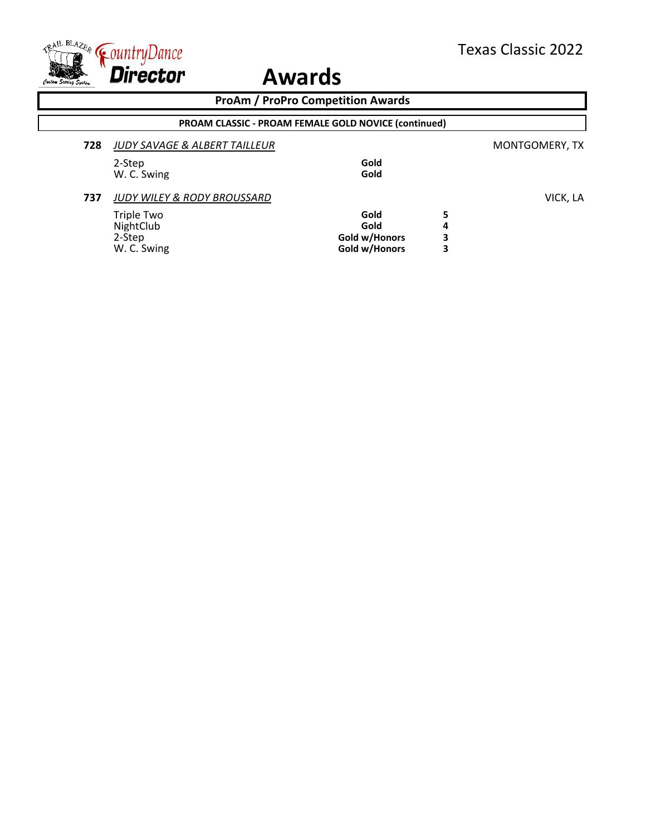

|                |   | <b>PROAM CLASSIC - PROAM FEMALE GOLD NOVICE (continued)</b> |                                        |     |
|----------------|---|-------------------------------------------------------------|----------------------------------------|-----|
| MONTGOMERY, TX |   |                                                             | JUDY SAVAGE & ALBERT TAILLEUR          | 728 |
|                |   | Gold                                                        | 2-Step                                 |     |
|                |   | Gold                                                        | W. C. Swing                            |     |
| VICK, LA       |   |                                                             | <b>JUDY WILEY &amp; RODY BROUSSARD</b> | 737 |
|                | 5 | Gold                                                        | Triple Two                             |     |
|                | 4 | Gold                                                        | NightClub                              |     |
|                | 3 | Gold w/Honors                                               | 2-Step                                 |     |
|                | 3 | Gold w/Honors                                               | W. C. Swing                            |     |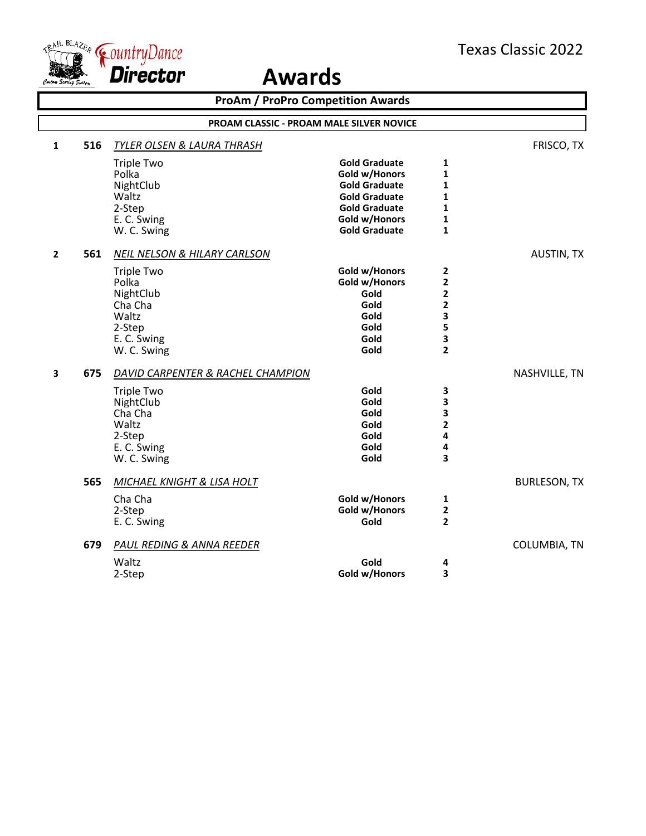

| <b>ProAm / ProPro Competition Awards</b> |     |                                                                                                                                                |                                                                                                                                                        |                                                      |                     |  |
|------------------------------------------|-----|------------------------------------------------------------------------------------------------------------------------------------------------|--------------------------------------------------------------------------------------------------------------------------------------------------------|------------------------------------------------------|---------------------|--|
|                                          |     |                                                                                                                                                | PROAM CLASSIC - PROAM MALE SILVER NOVICE                                                                                                               |                                                      |                     |  |
| $\mathbf{1}$                             | 516 | <b>TYLER OLSEN &amp; LAURA THRASH</b>                                                                                                          |                                                                                                                                                        |                                                      | FRISCO, TX          |  |
|                                          |     | <b>Triple Two</b><br>Polka<br>NightClub<br>Waltz<br>2-Step<br>E. C. Swing<br>W. C. Swing                                                       | <b>Gold Graduate</b><br>Gold w/Honors<br><b>Gold Graduate</b><br><b>Gold Graduate</b><br><b>Gold Graduate</b><br>Gold w/Honors<br><b>Gold Graduate</b> | 1<br>1<br>1<br>1<br>$\mathbf{1}$<br>1<br>$\mathbf 1$ |                     |  |
| $\mathbf{2}$                             | 561 | <b>NEIL NELSON &amp; HILARY CARLSON</b><br><b>Triple Two</b><br>Polka<br>NightClub<br>Cha Cha<br>Waltz<br>2-Step<br>E. C. Swing<br>W. C. Swing | Gold w/Honors<br>Gold w/Honors<br>Gold<br>Gold<br>Gold<br>Gold<br>Gold<br>Gold                                                                         | 2<br>2<br>2<br>2<br>3<br>5<br>3<br>$\overline{2}$    | <b>AUSTIN, TX</b>   |  |
| $\overline{\mathbf{3}}$                  | 675 | DAVID CARPENTER & RACHEL CHAMPION<br><b>Triple Two</b><br>NightClub<br>Cha Cha<br>Waltz<br>2-Step<br>E. C. Swing<br>W. C. Swing                | Gold<br>Gold<br>Gold<br>Gold<br>Gold<br>Gold<br>Gold                                                                                                   | 3<br>3<br>3<br>2<br>4<br>4<br>3                      | NASHVILLE, TN       |  |
|                                          | 565 | <b>MICHAEL KNIGHT &amp; LISA HOLT</b><br>Cha Cha<br>2-Step<br>E. C. Swing                                                                      | Gold w/Honors<br>Gold w/Honors<br>Gold                                                                                                                 | 1<br>$\mathbf{2}$<br>$\overline{2}$                  | <b>BURLESON, TX</b> |  |
|                                          | 679 | PAUL REDING & ANNA REEDER<br>Waltz<br>2-Step                                                                                                   | Gold<br>Gold w/Honors                                                                                                                                  | 4<br>3                                               | COLUMBIA, TN        |  |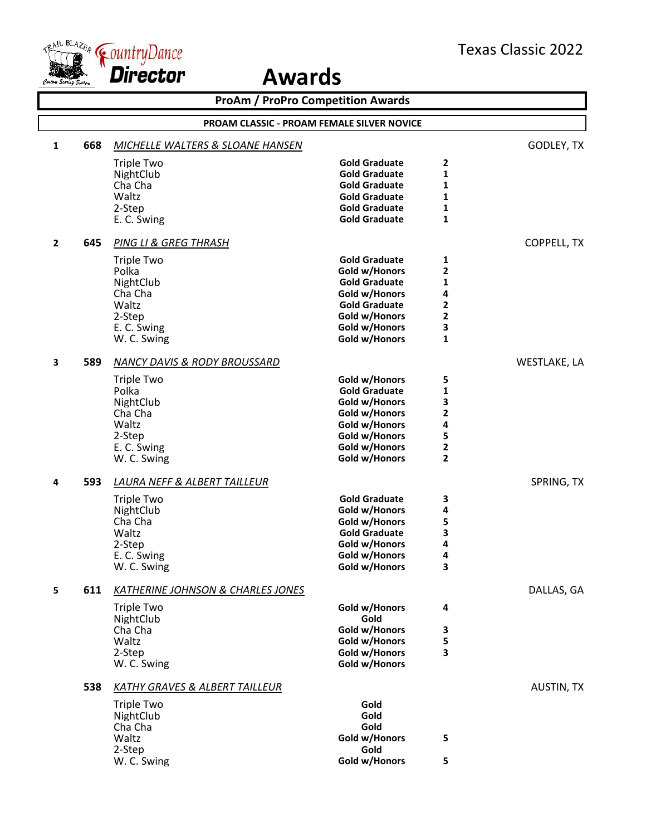

| PROAM CLASSIC - PROAM FEMALE SILVER NOVICE<br>668<br>GODLEY, TX<br>$\mathbf{1}$<br><b>MICHELLE WALTERS &amp; SLOANE HANSEN</b><br><b>Triple Two</b><br><b>Gold Graduate</b><br>2<br>$\mathbf{1}$<br>NightClub<br><b>Gold Graduate</b><br>Cha Cha<br><b>Gold Graduate</b><br>1<br>Waltz<br><b>Gold Graduate</b><br>1<br>$\mathbf{1}$<br>2-Step<br><b>Gold Graduate</b><br>$\mathbf{1}$<br><b>Gold Graduate</b><br>E. C. Swing<br>645<br>PING LI & GREG THRASH<br><b>COPPELL, TX</b><br>$\overline{2}$<br><b>Gold Graduate</b><br>1<br><b>Triple Two</b><br>$\mathbf{2}$<br>Polka<br>Gold w/Honors<br>$\mathbf{1}$<br>NightClub<br><b>Gold Graduate</b><br>Cha Cha<br>4<br>Gold w/Honors<br>2<br>Waltz<br><b>Gold Graduate</b><br>$\mathbf{2}$<br>2-Step<br>Gold w/Honors<br>3<br>Gold w/Honors<br>E. C. Swing<br>$\mathbf{1}$<br>Gold w/Honors<br>W. C. Swing<br>589<br>WESTLAKE, LA<br>3<br><b>NANCY DAVIS &amp; RODY BROUSSARD</b><br><b>Triple Two</b><br>Gold w/Honors<br>5<br>Polka<br><b>Gold Graduate</b><br>1<br>3<br>NightClub<br>Gold w/Honors<br>2<br>Cha Cha<br>Gold w/Honors<br>Waltz<br>4<br>Gold w/Honors<br>5<br>2-Step<br>Gold w/Honors<br>$\mathbf{2}$<br>E. C. Swing<br>Gold w/Honors<br>$\overline{2}$<br>W. C. Swing<br>Gold w/Honors<br>593<br><b>LAURA NEFF &amp; ALBERT TAILLEUR</b><br>SPRING, TX<br>4<br><b>Gold Graduate</b><br>3<br>Triple Two<br>NightClub<br>4<br>Gold w/Honors<br>5<br>Cha Cha<br>Gold w/Honors<br>3<br>Waltz<br><b>Gold Graduate</b><br>Gold w/Honors<br>4<br>2-Step<br>4<br>E. C. Swing<br>Gold w/Honors<br>W. C. Swing<br>Gold w/Honors<br>3<br>611<br>DALLAS, GA<br>5<br><b>KATHERINE JOHNSON &amp; CHARLES JONES</b><br>Gold w/Honors<br><b>Triple Two</b><br>4<br>Gold<br>NightClub<br>Cha Cha<br>Gold w/Honors<br>3<br>5<br>Waltz<br>Gold w/Honors<br>3<br>2-Step<br>Gold w/Honors<br>Gold w/Honors<br>W. C. Swing<br>538<br>AUSTIN, TX<br><b>KATHY GRAVES &amp; ALBERT TAILLEUR</b><br>Gold<br><b>Triple Two</b><br>NightClub<br>Gold<br>Cha Cha<br>Gold<br>Waltz<br>Gold w/Honors<br>5<br>Gold<br>2-Step<br>Gold w/Honors<br>W. C. Swing<br>5 | <b>ProAm / ProPro Competition Awards</b> |  |  |  |  |  |
|------------------------------------------------------------------------------------------------------------------------------------------------------------------------------------------------------------------------------------------------------------------------------------------------------------------------------------------------------------------------------------------------------------------------------------------------------------------------------------------------------------------------------------------------------------------------------------------------------------------------------------------------------------------------------------------------------------------------------------------------------------------------------------------------------------------------------------------------------------------------------------------------------------------------------------------------------------------------------------------------------------------------------------------------------------------------------------------------------------------------------------------------------------------------------------------------------------------------------------------------------------------------------------------------------------------------------------------------------------------------------------------------------------------------------------------------------------------------------------------------------------------------------------------------------------------------------------------------------------------------------------------------------------------------------------------------------------------------------------------------------------------------------------------------------------------------------------------------------------------------------------------------------------------------------------------------------------------------------------------------------------------------------------------------------------------------------------------------------|------------------------------------------|--|--|--|--|--|
|                                                                                                                                                                                                                                                                                                                                                                                                                                                                                                                                                                                                                                                                                                                                                                                                                                                                                                                                                                                                                                                                                                                                                                                                                                                                                                                                                                                                                                                                                                                                                                                                                                                                                                                                                                                                                                                                                                                                                                                                                                                                                                      |                                          |  |  |  |  |  |
|                                                                                                                                                                                                                                                                                                                                                                                                                                                                                                                                                                                                                                                                                                                                                                                                                                                                                                                                                                                                                                                                                                                                                                                                                                                                                                                                                                                                                                                                                                                                                                                                                                                                                                                                                                                                                                                                                                                                                                                                                                                                                                      |                                          |  |  |  |  |  |
|                                                                                                                                                                                                                                                                                                                                                                                                                                                                                                                                                                                                                                                                                                                                                                                                                                                                                                                                                                                                                                                                                                                                                                                                                                                                                                                                                                                                                                                                                                                                                                                                                                                                                                                                                                                                                                                                                                                                                                                                                                                                                                      |                                          |  |  |  |  |  |
|                                                                                                                                                                                                                                                                                                                                                                                                                                                                                                                                                                                                                                                                                                                                                                                                                                                                                                                                                                                                                                                                                                                                                                                                                                                                                                                                                                                                                                                                                                                                                                                                                                                                                                                                                                                                                                                                                                                                                                                                                                                                                                      |                                          |  |  |  |  |  |
|                                                                                                                                                                                                                                                                                                                                                                                                                                                                                                                                                                                                                                                                                                                                                                                                                                                                                                                                                                                                                                                                                                                                                                                                                                                                                                                                                                                                                                                                                                                                                                                                                                                                                                                                                                                                                                                                                                                                                                                                                                                                                                      |                                          |  |  |  |  |  |
|                                                                                                                                                                                                                                                                                                                                                                                                                                                                                                                                                                                                                                                                                                                                                                                                                                                                                                                                                                                                                                                                                                                                                                                                                                                                                                                                                                                                                                                                                                                                                                                                                                                                                                                                                                                                                                                                                                                                                                                                                                                                                                      |                                          |  |  |  |  |  |
|                                                                                                                                                                                                                                                                                                                                                                                                                                                                                                                                                                                                                                                                                                                                                                                                                                                                                                                                                                                                                                                                                                                                                                                                                                                                                                                                                                                                                                                                                                                                                                                                                                                                                                                                                                                                                                                                                                                                                                                                                                                                                                      |                                          |  |  |  |  |  |
|                                                                                                                                                                                                                                                                                                                                                                                                                                                                                                                                                                                                                                                                                                                                                                                                                                                                                                                                                                                                                                                                                                                                                                                                                                                                                                                                                                                                                                                                                                                                                                                                                                                                                                                                                                                                                                                                                                                                                                                                                                                                                                      |                                          |  |  |  |  |  |
|                                                                                                                                                                                                                                                                                                                                                                                                                                                                                                                                                                                                                                                                                                                                                                                                                                                                                                                                                                                                                                                                                                                                                                                                                                                                                                                                                                                                                                                                                                                                                                                                                                                                                                                                                                                                                                                                                                                                                                                                                                                                                                      |                                          |  |  |  |  |  |
|                                                                                                                                                                                                                                                                                                                                                                                                                                                                                                                                                                                                                                                                                                                                                                                                                                                                                                                                                                                                                                                                                                                                                                                                                                                                                                                                                                                                                                                                                                                                                                                                                                                                                                                                                                                                                                                                                                                                                                                                                                                                                                      |                                          |  |  |  |  |  |
|                                                                                                                                                                                                                                                                                                                                                                                                                                                                                                                                                                                                                                                                                                                                                                                                                                                                                                                                                                                                                                                                                                                                                                                                                                                                                                                                                                                                                                                                                                                                                                                                                                                                                                                                                                                                                                                                                                                                                                                                                                                                                                      |                                          |  |  |  |  |  |
|                                                                                                                                                                                                                                                                                                                                                                                                                                                                                                                                                                                                                                                                                                                                                                                                                                                                                                                                                                                                                                                                                                                                                                                                                                                                                                                                                                                                                                                                                                                                                                                                                                                                                                                                                                                                                                                                                                                                                                                                                                                                                                      |                                          |  |  |  |  |  |
|                                                                                                                                                                                                                                                                                                                                                                                                                                                                                                                                                                                                                                                                                                                                                                                                                                                                                                                                                                                                                                                                                                                                                                                                                                                                                                                                                                                                                                                                                                                                                                                                                                                                                                                                                                                                                                                                                                                                                                                                                                                                                                      |                                          |  |  |  |  |  |
|                                                                                                                                                                                                                                                                                                                                                                                                                                                                                                                                                                                                                                                                                                                                                                                                                                                                                                                                                                                                                                                                                                                                                                                                                                                                                                                                                                                                                                                                                                                                                                                                                                                                                                                                                                                                                                                                                                                                                                                                                                                                                                      |                                          |  |  |  |  |  |
|                                                                                                                                                                                                                                                                                                                                                                                                                                                                                                                                                                                                                                                                                                                                                                                                                                                                                                                                                                                                                                                                                                                                                                                                                                                                                                                                                                                                                                                                                                                                                                                                                                                                                                                                                                                                                                                                                                                                                                                                                                                                                                      |                                          |  |  |  |  |  |
|                                                                                                                                                                                                                                                                                                                                                                                                                                                                                                                                                                                                                                                                                                                                                                                                                                                                                                                                                                                                                                                                                                                                                                                                                                                                                                                                                                                                                                                                                                                                                                                                                                                                                                                                                                                                                                                                                                                                                                                                                                                                                                      |                                          |  |  |  |  |  |
|                                                                                                                                                                                                                                                                                                                                                                                                                                                                                                                                                                                                                                                                                                                                                                                                                                                                                                                                                                                                                                                                                                                                                                                                                                                                                                                                                                                                                                                                                                                                                                                                                                                                                                                                                                                                                                                                                                                                                                                                                                                                                                      |                                          |  |  |  |  |  |
|                                                                                                                                                                                                                                                                                                                                                                                                                                                                                                                                                                                                                                                                                                                                                                                                                                                                                                                                                                                                                                                                                                                                                                                                                                                                                                                                                                                                                                                                                                                                                                                                                                                                                                                                                                                                                                                                                                                                                                                                                                                                                                      |                                          |  |  |  |  |  |
|                                                                                                                                                                                                                                                                                                                                                                                                                                                                                                                                                                                                                                                                                                                                                                                                                                                                                                                                                                                                                                                                                                                                                                                                                                                                                                                                                                                                                                                                                                                                                                                                                                                                                                                                                                                                                                                                                                                                                                                                                                                                                                      |                                          |  |  |  |  |  |
|                                                                                                                                                                                                                                                                                                                                                                                                                                                                                                                                                                                                                                                                                                                                                                                                                                                                                                                                                                                                                                                                                                                                                                                                                                                                                                                                                                                                                                                                                                                                                                                                                                                                                                                                                                                                                                                                                                                                                                                                                                                                                                      |                                          |  |  |  |  |  |
|                                                                                                                                                                                                                                                                                                                                                                                                                                                                                                                                                                                                                                                                                                                                                                                                                                                                                                                                                                                                                                                                                                                                                                                                                                                                                                                                                                                                                                                                                                                                                                                                                                                                                                                                                                                                                                                                                                                                                                                                                                                                                                      |                                          |  |  |  |  |  |
|                                                                                                                                                                                                                                                                                                                                                                                                                                                                                                                                                                                                                                                                                                                                                                                                                                                                                                                                                                                                                                                                                                                                                                                                                                                                                                                                                                                                                                                                                                                                                                                                                                                                                                                                                                                                                                                                                                                                                                                                                                                                                                      |                                          |  |  |  |  |  |
|                                                                                                                                                                                                                                                                                                                                                                                                                                                                                                                                                                                                                                                                                                                                                                                                                                                                                                                                                                                                                                                                                                                                                                                                                                                                                                                                                                                                                                                                                                                                                                                                                                                                                                                                                                                                                                                                                                                                                                                                                                                                                                      |                                          |  |  |  |  |  |
|                                                                                                                                                                                                                                                                                                                                                                                                                                                                                                                                                                                                                                                                                                                                                                                                                                                                                                                                                                                                                                                                                                                                                                                                                                                                                                                                                                                                                                                                                                                                                                                                                                                                                                                                                                                                                                                                                                                                                                                                                                                                                                      |                                          |  |  |  |  |  |
|                                                                                                                                                                                                                                                                                                                                                                                                                                                                                                                                                                                                                                                                                                                                                                                                                                                                                                                                                                                                                                                                                                                                                                                                                                                                                                                                                                                                                                                                                                                                                                                                                                                                                                                                                                                                                                                                                                                                                                                                                                                                                                      |                                          |  |  |  |  |  |
|                                                                                                                                                                                                                                                                                                                                                                                                                                                                                                                                                                                                                                                                                                                                                                                                                                                                                                                                                                                                                                                                                                                                                                                                                                                                                                                                                                                                                                                                                                                                                                                                                                                                                                                                                                                                                                                                                                                                                                                                                                                                                                      |                                          |  |  |  |  |  |
|                                                                                                                                                                                                                                                                                                                                                                                                                                                                                                                                                                                                                                                                                                                                                                                                                                                                                                                                                                                                                                                                                                                                                                                                                                                                                                                                                                                                                                                                                                                                                                                                                                                                                                                                                                                                                                                                                                                                                                                                                                                                                                      |                                          |  |  |  |  |  |
|                                                                                                                                                                                                                                                                                                                                                                                                                                                                                                                                                                                                                                                                                                                                                                                                                                                                                                                                                                                                                                                                                                                                                                                                                                                                                                                                                                                                                                                                                                                                                                                                                                                                                                                                                                                                                                                                                                                                                                                                                                                                                                      |                                          |  |  |  |  |  |
|                                                                                                                                                                                                                                                                                                                                                                                                                                                                                                                                                                                                                                                                                                                                                                                                                                                                                                                                                                                                                                                                                                                                                                                                                                                                                                                                                                                                                                                                                                                                                                                                                                                                                                                                                                                                                                                                                                                                                                                                                                                                                                      |                                          |  |  |  |  |  |
|                                                                                                                                                                                                                                                                                                                                                                                                                                                                                                                                                                                                                                                                                                                                                                                                                                                                                                                                                                                                                                                                                                                                                                                                                                                                                                                                                                                                                                                                                                                                                                                                                                                                                                                                                                                                                                                                                                                                                                                                                                                                                                      |                                          |  |  |  |  |  |
|                                                                                                                                                                                                                                                                                                                                                                                                                                                                                                                                                                                                                                                                                                                                                                                                                                                                                                                                                                                                                                                                                                                                                                                                                                                                                                                                                                                                                                                                                                                                                                                                                                                                                                                                                                                                                                                                                                                                                                                                                                                                                                      |                                          |  |  |  |  |  |
|                                                                                                                                                                                                                                                                                                                                                                                                                                                                                                                                                                                                                                                                                                                                                                                                                                                                                                                                                                                                                                                                                                                                                                                                                                                                                                                                                                                                                                                                                                                                                                                                                                                                                                                                                                                                                                                                                                                                                                                                                                                                                                      |                                          |  |  |  |  |  |
|                                                                                                                                                                                                                                                                                                                                                                                                                                                                                                                                                                                                                                                                                                                                                                                                                                                                                                                                                                                                                                                                                                                                                                                                                                                                                                                                                                                                                                                                                                                                                                                                                                                                                                                                                                                                                                                                                                                                                                                                                                                                                                      |                                          |  |  |  |  |  |
|                                                                                                                                                                                                                                                                                                                                                                                                                                                                                                                                                                                                                                                                                                                                                                                                                                                                                                                                                                                                                                                                                                                                                                                                                                                                                                                                                                                                                                                                                                                                                                                                                                                                                                                                                                                                                                                                                                                                                                                                                                                                                                      |                                          |  |  |  |  |  |
|                                                                                                                                                                                                                                                                                                                                                                                                                                                                                                                                                                                                                                                                                                                                                                                                                                                                                                                                                                                                                                                                                                                                                                                                                                                                                                                                                                                                                                                                                                                                                                                                                                                                                                                                                                                                                                                                                                                                                                                                                                                                                                      |                                          |  |  |  |  |  |
|                                                                                                                                                                                                                                                                                                                                                                                                                                                                                                                                                                                                                                                                                                                                                                                                                                                                                                                                                                                                                                                                                                                                                                                                                                                                                                                                                                                                                                                                                                                                                                                                                                                                                                                                                                                                                                                                                                                                                                                                                                                                                                      |                                          |  |  |  |  |  |
|                                                                                                                                                                                                                                                                                                                                                                                                                                                                                                                                                                                                                                                                                                                                                                                                                                                                                                                                                                                                                                                                                                                                                                                                                                                                                                                                                                                                                                                                                                                                                                                                                                                                                                                                                                                                                                                                                                                                                                                                                                                                                                      |                                          |  |  |  |  |  |
|                                                                                                                                                                                                                                                                                                                                                                                                                                                                                                                                                                                                                                                                                                                                                                                                                                                                                                                                                                                                                                                                                                                                                                                                                                                                                                                                                                                                                                                                                                                                                                                                                                                                                                                                                                                                                                                                                                                                                                                                                                                                                                      |                                          |  |  |  |  |  |
|                                                                                                                                                                                                                                                                                                                                                                                                                                                                                                                                                                                                                                                                                                                                                                                                                                                                                                                                                                                                                                                                                                                                                                                                                                                                                                                                                                                                                                                                                                                                                                                                                                                                                                                                                                                                                                                                                                                                                                                                                                                                                                      |                                          |  |  |  |  |  |
|                                                                                                                                                                                                                                                                                                                                                                                                                                                                                                                                                                                                                                                                                                                                                                                                                                                                                                                                                                                                                                                                                                                                                                                                                                                                                                                                                                                                                                                                                                                                                                                                                                                                                                                                                                                                                                                                                                                                                                                                                                                                                                      |                                          |  |  |  |  |  |
|                                                                                                                                                                                                                                                                                                                                                                                                                                                                                                                                                                                                                                                                                                                                                                                                                                                                                                                                                                                                                                                                                                                                                                                                                                                                                                                                                                                                                                                                                                                                                                                                                                                                                                                                                                                                                                                                                                                                                                                                                                                                                                      |                                          |  |  |  |  |  |
|                                                                                                                                                                                                                                                                                                                                                                                                                                                                                                                                                                                                                                                                                                                                                                                                                                                                                                                                                                                                                                                                                                                                                                                                                                                                                                                                                                                                                                                                                                                                                                                                                                                                                                                                                                                                                                                                                                                                                                                                                                                                                                      |                                          |  |  |  |  |  |
|                                                                                                                                                                                                                                                                                                                                                                                                                                                                                                                                                                                                                                                                                                                                                                                                                                                                                                                                                                                                                                                                                                                                                                                                                                                                                                                                                                                                                                                                                                                                                                                                                                                                                                                                                                                                                                                                                                                                                                                                                                                                                                      |                                          |  |  |  |  |  |
|                                                                                                                                                                                                                                                                                                                                                                                                                                                                                                                                                                                                                                                                                                                                                                                                                                                                                                                                                                                                                                                                                                                                                                                                                                                                                                                                                                                                                                                                                                                                                                                                                                                                                                                                                                                                                                                                                                                                                                                                                                                                                                      |                                          |  |  |  |  |  |
|                                                                                                                                                                                                                                                                                                                                                                                                                                                                                                                                                                                                                                                                                                                                                                                                                                                                                                                                                                                                                                                                                                                                                                                                                                                                                                                                                                                                                                                                                                                                                                                                                                                                                                                                                                                                                                                                                                                                                                                                                                                                                                      |                                          |  |  |  |  |  |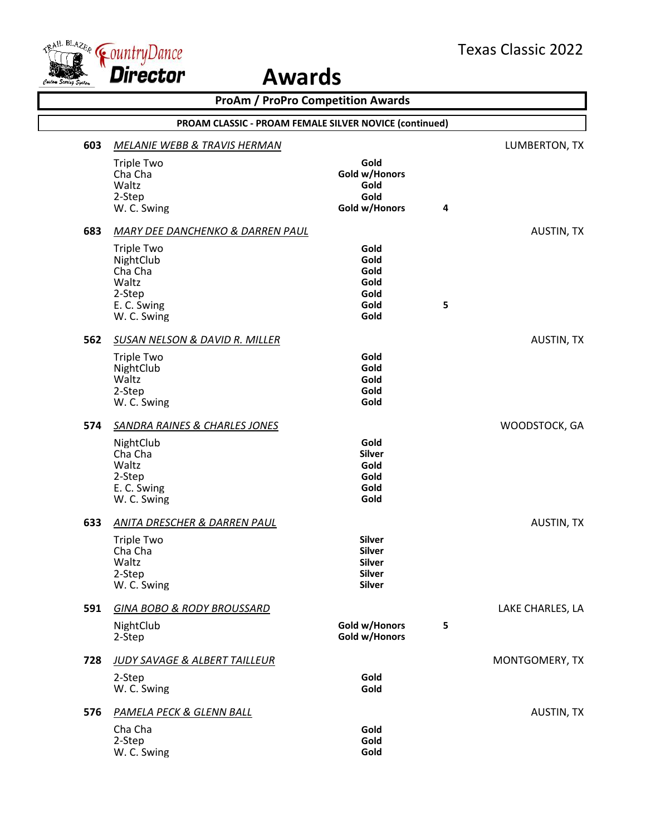



|                                                        | <b>ProAm / ProPro Competition Awards</b>                                                   |                                                                            |           |                   |  |  |
|--------------------------------------------------------|--------------------------------------------------------------------------------------------|----------------------------------------------------------------------------|-----------|-------------------|--|--|
| PROAM CLASSIC - PROAM FEMALE SILVER NOVICE (continued) |                                                                                            |                                                                            |           |                   |  |  |
| 603                                                    | MELANIE WEBB & TRAVIS HERMAN                                                               |                                                                            |           | LUMBERTON, TX     |  |  |
|                                                        | <b>Triple Two</b><br>Cha Cha<br>Waltz<br>2-Step<br>W. C. Swing                             | Gold<br>Gold w/Honors<br>Gold<br>Gold<br>Gold w/Honors                     | $\pmb{4}$ |                   |  |  |
| 683                                                    | <b>MARY DEE DANCHENKO &amp; DARREN PAUL</b>                                                |                                                                            |           | AUSTIN, TX        |  |  |
|                                                        | <b>Triple Two</b><br>NightClub<br>Cha Cha<br>Waltz<br>2-Step<br>E. C. Swing<br>W. C. Swing | Gold<br>Gold<br>Gold<br>Gold<br>Gold<br>Gold<br>Gold                       | 5         |                   |  |  |
| 562                                                    | <b>SUSAN NELSON &amp; DAVID R. MILLER</b>                                                  |                                                                            |           | <b>AUSTIN, TX</b> |  |  |
|                                                        | <b>Triple Two</b><br>NightClub<br>Waltz<br>2-Step<br>W. C. Swing                           | Gold<br>Gold<br>Gold<br>Gold<br>Gold                                       |           |                   |  |  |
| 574                                                    | <b>SANDRA RAINES &amp; CHARLES JONES</b>                                                   |                                                                            |           | WOODSTOCK, GA     |  |  |
|                                                        | NightClub<br>Cha Cha<br>Waltz<br>2-Step<br>E. C. Swing<br>W. C. Swing                      | Gold<br><b>Silver</b><br>Gold<br>Gold<br>Gold<br>Gold                      |           |                   |  |  |
| 633                                                    | ANITA DRESCHER & DARREN PAUL                                                               |                                                                            |           | AUSTIN, TX        |  |  |
|                                                        | <b>Triple Two</b><br>Cha Cha<br>Waltz<br>2-Step<br>W. C. Swing                             | <b>Silver</b><br>Silver<br><b>Silver</b><br><b>Silver</b><br><b>Silver</b> |           |                   |  |  |
| 591                                                    | <b>GINA BOBO &amp; RODY BROUSSARD</b>                                                      |                                                                            |           | LAKE CHARLES, LA  |  |  |
|                                                        | NightClub<br>2-Step                                                                        | Gold w/Honors<br>Gold w/Honors                                             | 5         |                   |  |  |
| 728                                                    | JUDY SAVAGE & ALBERT TAILLEUR                                                              |                                                                            |           | MONTGOMERY, TX    |  |  |
|                                                        | 2-Step<br>W. C. Swing                                                                      | Gold<br>Gold                                                               |           |                   |  |  |
| 576                                                    | <b>PAMELA PECK &amp; GLENN BALL</b>                                                        |                                                                            |           | AUSTIN, TX        |  |  |
|                                                        | Cha Cha<br>2-Step<br>W. C. Swing                                                           | Gold<br>Gold<br>Gold                                                       |           |                   |  |  |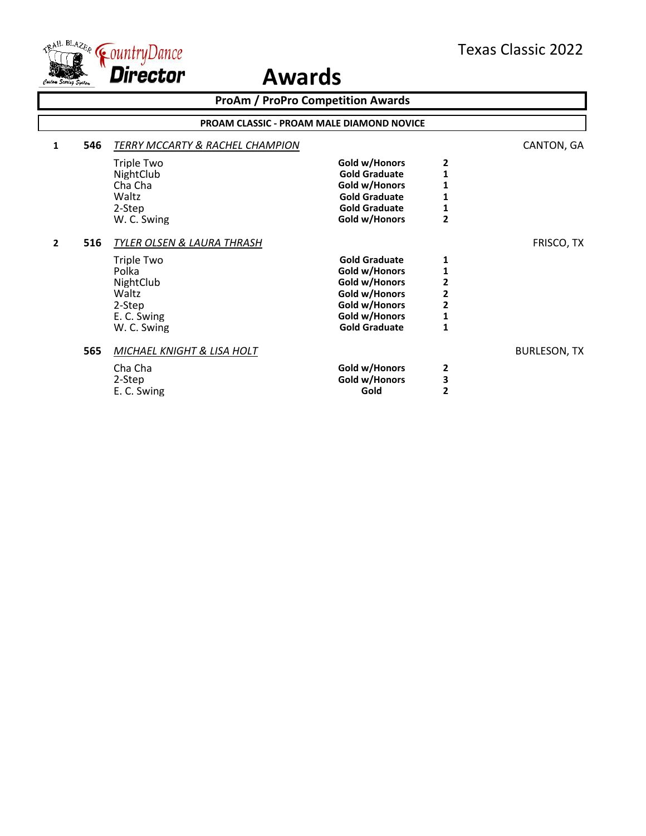

|                                                  |     | <b>ProAm / ProPro Competition Awards</b> |                      |                |                     |  |  |  |
|--------------------------------------------------|-----|------------------------------------------|----------------------|----------------|---------------------|--|--|--|
| <b>PROAM CLASSIC - PROAM MALE DIAMOND NOVICE</b> |     |                                          |                      |                |                     |  |  |  |
| 1                                                | 546 | TERRY MCCARTY & RACHEL CHAMPION          |                      |                | CANTON, GA          |  |  |  |
|                                                  |     | <b>Triple Two</b>                        | Gold w/Honors        | $\mathbf{2}$   |                     |  |  |  |
|                                                  |     | NightClub                                | <b>Gold Graduate</b> | 1              |                     |  |  |  |
|                                                  |     | Cha Cha                                  | Gold w/Honors        | $\mathbf{1}$   |                     |  |  |  |
|                                                  |     | Waltz                                    | <b>Gold Graduate</b> | 1              |                     |  |  |  |
|                                                  |     | 2-Step                                   | <b>Gold Graduate</b> | $\mathbf{1}$   |                     |  |  |  |
|                                                  |     | W. C. Swing                              | Gold w/Honors        | $\overline{2}$ |                     |  |  |  |
| $\overline{2}$                                   | 516 | TYLER OLSEN & LAURA THRASH               |                      |                | FRISCO, TX          |  |  |  |
|                                                  |     | <b>Triple Two</b>                        | <b>Gold Graduate</b> | 1              |                     |  |  |  |
|                                                  |     | Polka                                    | Gold w/Honors        | 1              |                     |  |  |  |
|                                                  |     | NightClub                                | Gold w/Honors        | $\mathbf{z}$   |                     |  |  |  |
|                                                  |     | Waltz                                    | Gold w/Honors        | $\overline{2}$ |                     |  |  |  |
|                                                  |     | 2-Step                                   | Gold w/Honors        | $\overline{2}$ |                     |  |  |  |
|                                                  |     | E. C. Swing                              | Gold w/Honors        | $\mathbf 1$    |                     |  |  |  |
|                                                  |     | W. C. Swing                              | <b>Gold Graduate</b> | 1              |                     |  |  |  |
|                                                  | 565 | MICHAEL KNIGHT & LISA HOLT               |                      |                | <b>BURLESON, TX</b> |  |  |  |
|                                                  |     | Cha Cha                                  | Gold w/Honors        | 2              |                     |  |  |  |
|                                                  |     | 2-Step                                   | Gold w/Honors        | 3              |                     |  |  |  |
|                                                  |     | E. C. Swing                              | Gold                 | $\overline{2}$ |                     |  |  |  |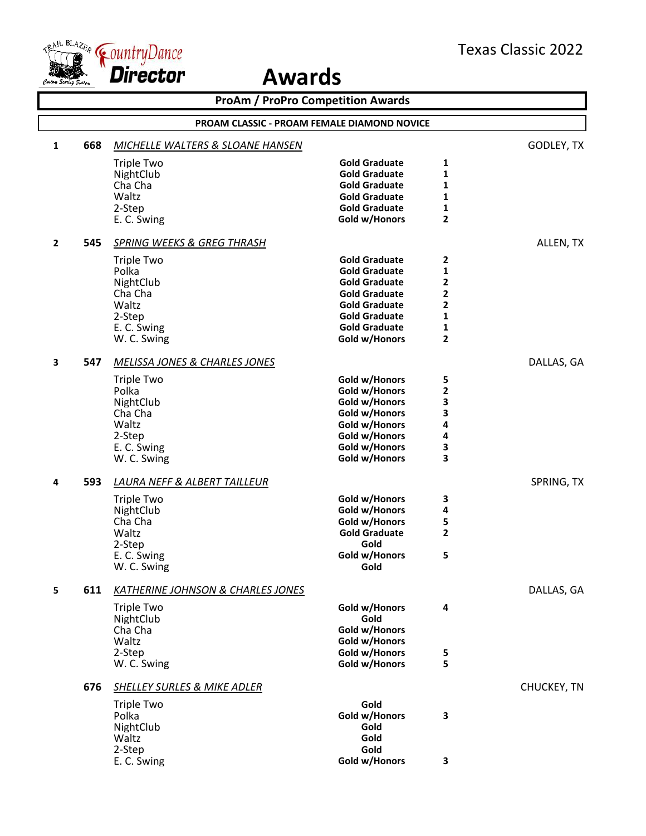

| <b>ProAm / ProPro Competition Awards</b> |     |                                                    |                                              |                   |             |
|------------------------------------------|-----|----------------------------------------------------|----------------------------------------------|-------------------|-------------|
|                                          |     | <b>PROAM CLASSIC - PROAM FEMALE DIAMOND NOVICE</b> |                                              |                   |             |
| $\mathbf{1}$                             | 668 | <b>MICHELLE WALTERS &amp; SLOANE HANSEN</b>        |                                              |                   | GODLEY, TX  |
|                                          |     | <b>Triple Two</b>                                  | <b>Gold Graduate</b>                         | 1                 |             |
|                                          |     | NightClub                                          | <b>Gold Graduate</b>                         | $\mathbf{1}$      |             |
|                                          |     | Cha Cha<br>Waltz                                   | <b>Gold Graduate</b><br><b>Gold Graduate</b> | 1                 |             |
|                                          |     | 2-Step                                             | <b>Gold Graduate</b>                         | 1<br>$\mathbf{1}$ |             |
|                                          |     | E. C. Swing                                        | Gold w/Honors                                | $\overline{2}$    |             |
| $\overline{2}$                           | 545 | <b>SPRING WEEKS &amp; GREG THRASH</b>              |                                              |                   | ALLEN, TX   |
|                                          |     | Triple Two                                         | <b>Gold Graduate</b>                         | $\mathbf{2}$      |             |
|                                          |     | Polka                                              | <b>Gold Graduate</b>                         | $\mathbf{1}$      |             |
|                                          |     | NightClub                                          | <b>Gold Graduate</b>                         | 2                 |             |
|                                          |     | Cha Cha                                            | <b>Gold Graduate</b>                         | 2                 |             |
|                                          |     | Waltz                                              | <b>Gold Graduate</b>                         | 2                 |             |
|                                          |     | 2-Step<br>E. C. Swing                              | <b>Gold Graduate</b><br><b>Gold Graduate</b> | 1<br>1            |             |
|                                          |     | W. C. Swing                                        | Gold w/Honors                                | $\overline{2}$    |             |
|                                          |     |                                                    |                                              |                   |             |
| 3                                        | 547 | <b>MELISSA JONES &amp; CHARLES JONES</b>           |                                              |                   | DALLAS, GA  |
|                                          |     | <b>Triple Two</b>                                  | Gold w/Honors                                | 5                 |             |
|                                          |     | Polka                                              | Gold w/Honors                                | $\mathbf{2}$      |             |
|                                          |     | NightClub<br>Cha Cha                               | Gold w/Honors<br>Gold w/Honors               | 3<br>3            |             |
|                                          |     | Waltz                                              | Gold w/Honors                                | 4                 |             |
|                                          |     | 2-Step                                             | Gold w/Honors                                | 4                 |             |
|                                          |     | E. C. Swing                                        | Gold w/Honors                                | 3                 |             |
|                                          |     | W. C. Swing                                        | Gold w/Honors                                | 3                 |             |
| 4                                        | 593 | <b>LAURA NEFF &amp; ALBERT TAILLEUR</b>            |                                              |                   | SPRING, TX  |
|                                          |     | Triple Two                                         | Gold w/Honors                                | 3                 |             |
|                                          |     | NightClub                                          | Gold w/Honors                                | 4                 |             |
|                                          |     | Cha Cha                                            | Gold w/Honors                                | 5                 |             |
|                                          |     | Waltz                                              | <b>Gold Graduate</b>                         | $\overline{2}$    |             |
|                                          |     | 2-Step<br>E. C. Swing                              | Gold<br>Gold w/Honors                        | 5                 |             |
|                                          |     | W. C. Swing                                        | Gold                                         |                   |             |
| 5                                        | 611 | <b>KATHERINE JOHNSON &amp; CHARLES JONES</b>       |                                              |                   | DALLAS, GA  |
|                                          |     | <b>Triple Two</b>                                  | Gold w/Honors                                | 4                 |             |
|                                          |     | NightClub                                          | Gold                                         |                   |             |
|                                          |     | Cha Cha                                            | Gold w/Honors                                |                   |             |
|                                          |     | Waltz                                              | Gold w/Honors                                |                   |             |
|                                          |     | 2-Step                                             | Gold w/Honors                                | 5                 |             |
|                                          |     | W. C. Swing                                        | Gold w/Honors                                | 5                 |             |
|                                          | 676 | <b>SHELLEY SURLES &amp; MIKE ADLER</b>             |                                              |                   | CHUCKEY, TN |
|                                          |     | <b>Triple Two</b>                                  | Gold                                         |                   |             |
|                                          |     | Polka                                              | Gold w/Honors                                | 3                 |             |
|                                          |     | NightClub<br>Waltz                                 | Gold<br>Gold                                 |                   |             |
|                                          |     | 2-Step                                             | Gold                                         |                   |             |
|                                          |     | E. C. Swing                                        | Gold w/Honors                                | 3                 |             |
|                                          |     |                                                    |                                              |                   |             |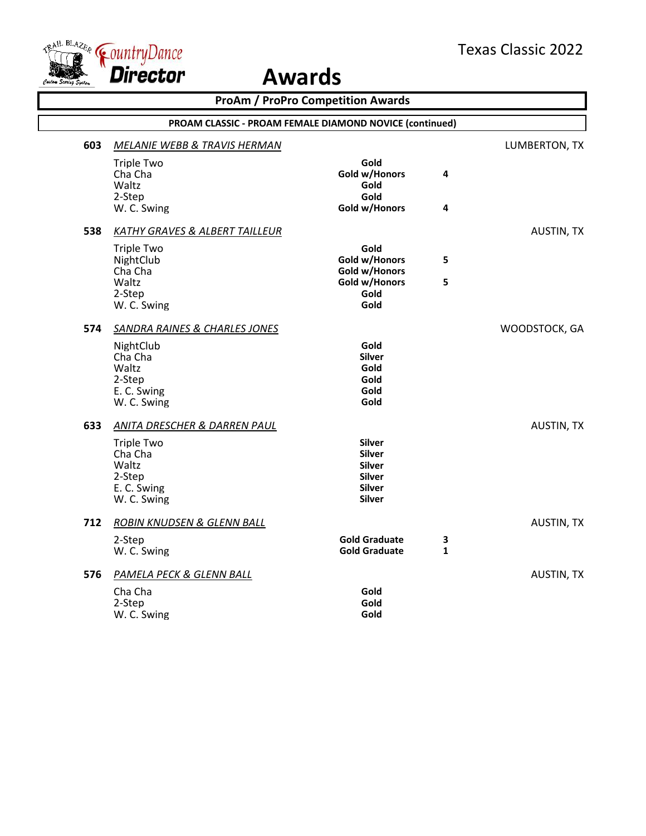

|     |                                                                                                                          | <b>ProAm / ProPro Competition Awards</b>                                                           |                   |                   |
|-----|--------------------------------------------------------------------------------------------------------------------------|----------------------------------------------------------------------------------------------------|-------------------|-------------------|
|     | PROAM CLASSIC - PROAM FEMALE DIAMOND NOVICE (continued)                                                                  |                                                                                                    |                   |                   |
| 603 | MELANIE WEBB & TRAVIS HERMAN                                                                                             |                                                                                                    |                   | LUMBERTON, TX     |
|     | <b>Triple Two</b><br>Cha Cha<br>Waltz<br>2-Step                                                                          | Gold<br>Gold w/Honors<br>Gold<br>Gold                                                              | 4                 |                   |
|     | W. C. Swing                                                                                                              | Gold w/Honors                                                                                      | 4                 |                   |
| 538 | <b>KATHY GRAVES &amp; ALBERT TAILLEUR</b>                                                                                |                                                                                                    |                   | <b>AUSTIN, TX</b> |
|     | <b>Triple Two</b><br>NightClub<br>Cha Cha<br>Waltz<br>2-Step<br>W. C. Swing                                              | Gold<br>Gold w/Honors<br>Gold w/Honors<br>Gold w/Honors<br>Gold<br>Gold                            | 5<br>5            |                   |
| 574 | <b>SANDRA RAINES &amp; CHARLES JONES</b><br>NightClub<br>Cha Cha<br>Waltz<br>2-Step<br>E. C. Swing<br>W. C. Swing        | Gold<br><b>Silver</b><br>Gold<br>Gold<br>Gold<br>Gold                                              |                   | WOODSTOCK, GA     |
| 633 | <b>ANITA DRESCHER &amp; DARREN PAUL</b><br><b>Triple Two</b><br>Cha Cha<br>Waltz<br>2-Step<br>E. C. Swing<br>W. C. Swing | <b>Silver</b><br><b>Silver</b><br><b>Silver</b><br><b>Silver</b><br><b>Silver</b><br><b>Silver</b> |                   | <b>AUSTIN, TX</b> |
| 712 | ROBIN KNUDSEN & GLENN BALL<br>2-Step<br>W. C. Swing                                                                      | <b>Gold Graduate</b><br><b>Gold Graduate</b>                                                       | 3<br>$\mathbf{1}$ | <b>AUSTIN, TX</b> |
| 576 | PAMELA PECK & GLENN BALL<br>Cha Cha<br>2-Step<br>W. C. Swing                                                             | Gold<br>Gold<br>Gold                                                                               |                   | <b>AUSTIN, TX</b> |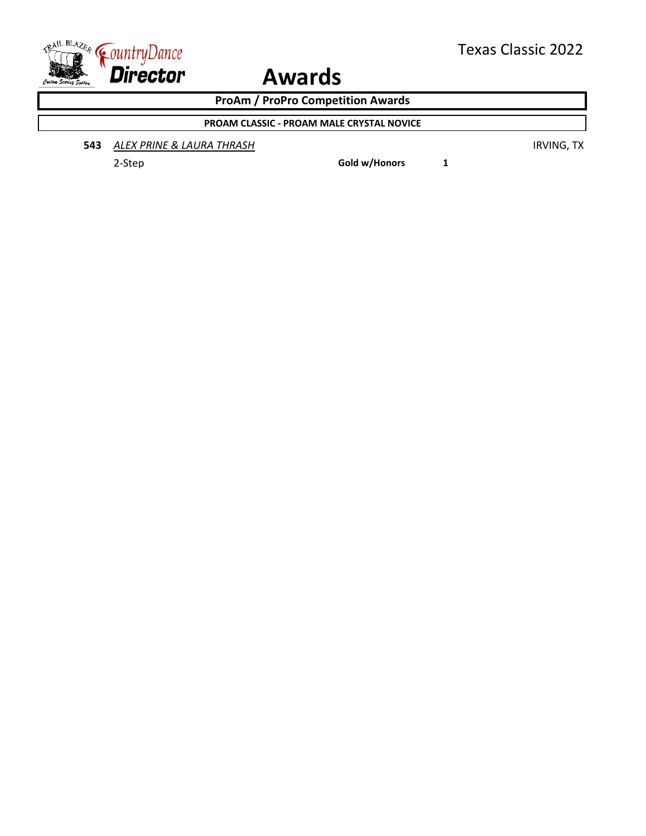

**ProAm / ProPro Competition Awards**

**PROAM CLASSIC - PROAM MALE CRYSTAL NOVICE**

**543** *ALEX PRINE & LAURA THRASH* IRVING, TX

2-Step **Gold w/Honors 1**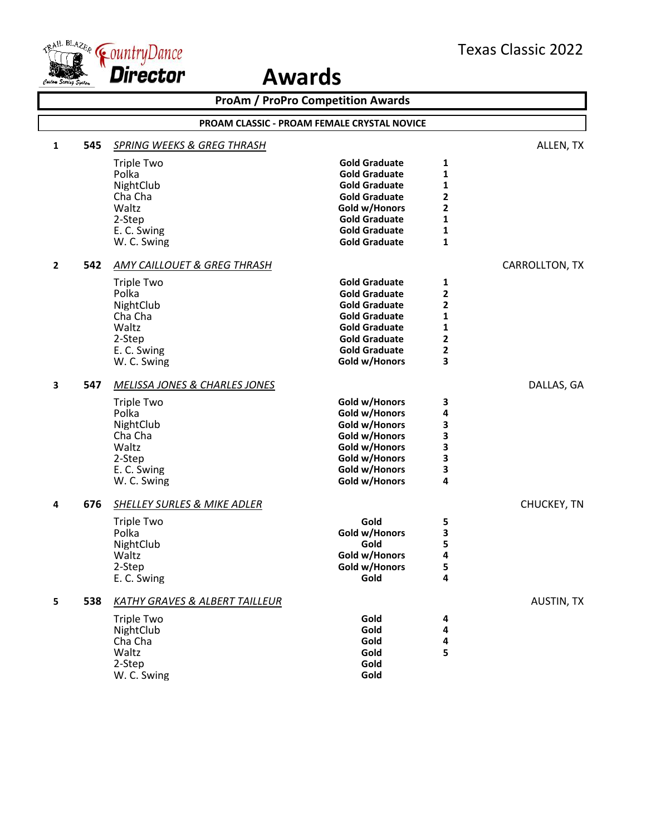

|              |                                             |                                           | <b>ProAm / ProPro Competition Awards</b> |                |                   |  |
|--------------|---------------------------------------------|-------------------------------------------|------------------------------------------|----------------|-------------------|--|
|              | PROAM CLASSIC - PROAM FEMALE CRYSTAL NOVICE |                                           |                                          |                |                   |  |
| 1            | 545                                         | <b>SPRING WEEKS &amp; GREG THRASH</b>     |                                          |                | ALLEN, TX         |  |
|              |                                             | <b>Triple Two</b>                         | <b>Gold Graduate</b>                     | 1              |                   |  |
|              |                                             | Polka                                     | <b>Gold Graduate</b>                     | 1              |                   |  |
|              |                                             | NightClub                                 | <b>Gold Graduate</b>                     | 1              |                   |  |
|              |                                             | Cha Cha                                   | <b>Gold Graduate</b>                     | 2              |                   |  |
|              |                                             | Waltz                                     | Gold w/Honors                            | 2              |                   |  |
|              |                                             | 2-Step                                    | <b>Gold Graduate</b>                     | 1              |                   |  |
|              |                                             | E. C. Swing                               | <b>Gold Graduate</b>                     | 1              |                   |  |
|              |                                             | W. C. Swing                               | <b>Gold Graduate</b>                     | 1              |                   |  |
| $\mathbf{2}$ | 542                                         | AMY CAILLOUET & GREG THRASH               |                                          |                | CARROLLTON, TX    |  |
|              |                                             | <b>Triple Two</b>                         | <b>Gold Graduate</b>                     | 1              |                   |  |
|              |                                             | Polka                                     | <b>Gold Graduate</b>                     | 2              |                   |  |
|              |                                             | NightClub                                 | <b>Gold Graduate</b>                     | 2              |                   |  |
|              |                                             | Cha Cha                                   | <b>Gold Graduate</b>                     | 1              |                   |  |
|              |                                             | Waltz                                     | <b>Gold Graduate</b>                     | 1              |                   |  |
|              |                                             | 2-Step                                    | <b>Gold Graduate</b>                     | $\overline{2}$ |                   |  |
|              |                                             | E. C. Swing                               | <b>Gold Graduate</b>                     | 2              |                   |  |
|              |                                             | W. C. Swing                               | Gold w/Honors                            | 3              |                   |  |
| 3            | 547                                         | MELISSA JONES & CHARLES JONES             |                                          |                | DALLAS, GA        |  |
|              |                                             | <b>Triple Two</b>                         | Gold w/Honors                            | 3              |                   |  |
|              |                                             | Polka                                     | Gold w/Honors                            | 4              |                   |  |
|              |                                             | NightClub                                 | Gold w/Honors                            | 3              |                   |  |
|              |                                             | Cha Cha                                   | Gold w/Honors                            | 3              |                   |  |
|              |                                             | Waltz                                     | Gold w/Honors                            | 3              |                   |  |
|              |                                             | 2-Step                                    | Gold w/Honors                            | 3              |                   |  |
|              |                                             | E. C. Swing                               | Gold w/Honors                            | 3<br>4         |                   |  |
|              |                                             | W. C. Swing                               | Gold w/Honors                            |                |                   |  |
| 4            | 676                                         | SHELLEY SURLES & MIKE ADLER               |                                          |                | CHUCKEY, TN       |  |
|              |                                             | <b>Triple Two</b>                         | Gold                                     | 5              |                   |  |
|              |                                             | Polka                                     | Gold w/Honors                            | 3              |                   |  |
|              |                                             | NightClub                                 | Gold                                     | 5              |                   |  |
|              |                                             | Waltz                                     | Gold w/Honors                            | 4              |                   |  |
|              |                                             | 2-Step                                    | Gold w/Honors                            | 5              |                   |  |
|              |                                             | E. C. Swing                               | Gold                                     | 4              |                   |  |
| 5            | 538                                         | <b>KATHY GRAVES &amp; ALBERT TAILLEUR</b> |                                          |                | <b>AUSTIN, TX</b> |  |
|              |                                             | <b>Triple Two</b>                         | Gold                                     | 4              |                   |  |
|              |                                             | NightClub                                 | Gold                                     | 4              |                   |  |
|              |                                             | Cha Cha                                   | Gold                                     | 4              |                   |  |
|              |                                             | Waltz                                     | Gold                                     | 5              |                   |  |
|              |                                             | 2-Step                                    | Gold                                     |                |                   |  |
|              |                                             | W. C. Swing                               | Gold                                     |                |                   |  |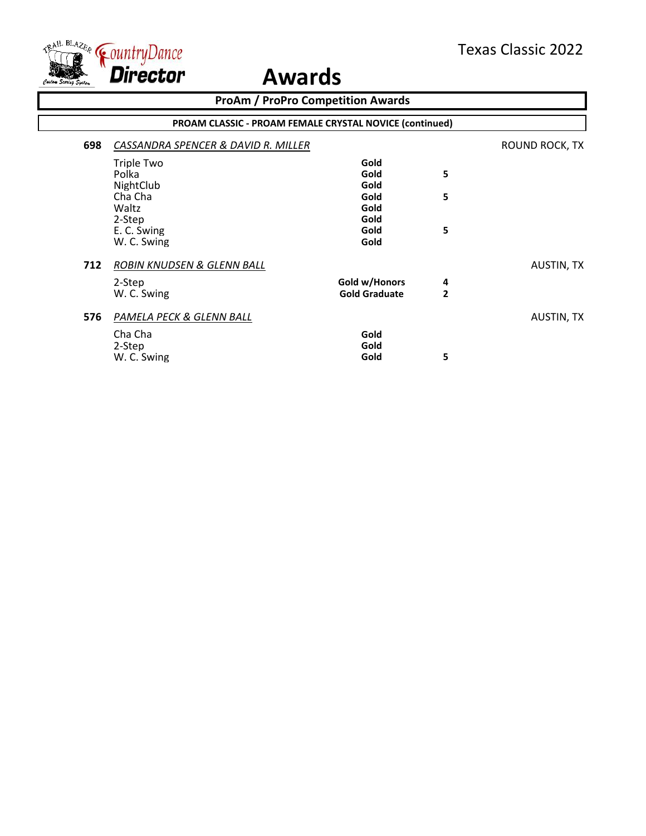

|     | <b>ProAm / ProPro Competition Awards</b>                |                      |                |                   |  |  |
|-----|---------------------------------------------------------|----------------------|----------------|-------------------|--|--|
|     | PROAM CLASSIC - PROAM FEMALE CRYSTAL NOVICE (continued) |                      |                |                   |  |  |
| 698 | CASSANDRA SPENCER & DAVID R. MILLER                     |                      |                | ROUND ROCK, TX    |  |  |
|     | Triple Two                                              | Gold                 |                |                   |  |  |
|     | Polka                                                   | Gold                 | 5              |                   |  |  |
|     | NightClub                                               | Gold                 |                |                   |  |  |
|     | Cha Cha                                                 | Gold                 | 5              |                   |  |  |
|     | Waltz                                                   | Gold                 |                |                   |  |  |
|     | 2-Step                                                  | Gold                 |                |                   |  |  |
|     | E. C. Swing                                             | Gold                 | 5              |                   |  |  |
|     | W. C. Swing                                             | Gold                 |                |                   |  |  |
| 712 | ROBIN KNUDSEN & GLENN BALL                              |                      |                | <b>AUSTIN, TX</b> |  |  |
|     | 2-Step                                                  | Gold w/Honors        | 4              |                   |  |  |
|     | W. C. Swing                                             | <b>Gold Graduate</b> | $\overline{2}$ |                   |  |  |
| 576 | PAMELA PECK & GLENN BALL                                |                      |                | AUSTIN, TX        |  |  |
|     | Cha Cha                                                 | Gold                 |                |                   |  |  |
|     | 2-Step                                                  | Gold                 |                |                   |  |  |
|     | W. C. Swing                                             | Gold                 | 5              |                   |  |  |
|     |                                                         |                      |                |                   |  |  |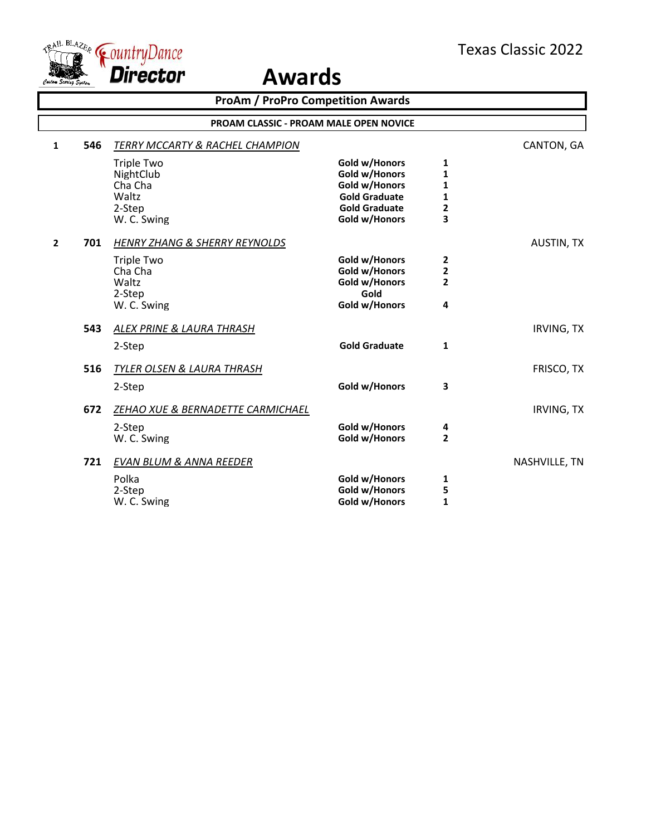

| <b>ProAm / ProPro Competition Awards</b> |     |                                            |                      |                |                   |
|------------------------------------------|-----|--------------------------------------------|----------------------|----------------|-------------------|
|                                          |     | PROAM CLASSIC - PROAM MALE OPEN NOVICE     |                      |                |                   |
| $\mathbf{1}$                             | 546 | <b>TERRY MCCARTY &amp; RACHEL CHAMPION</b> |                      |                | CANTON, GA        |
|                                          |     | <b>Triple Two</b>                          | Gold w/Honors        | 1              |                   |
|                                          |     | NightClub                                  | Gold w/Honors        | 1              |                   |
|                                          |     | Cha Cha                                    | Gold w/Honors        | 1              |                   |
|                                          |     | Waltz                                      | <b>Gold Graduate</b> | 1              |                   |
|                                          |     | 2-Step                                     | <b>Gold Graduate</b> | 2              |                   |
|                                          |     | W. C. Swing                                | Gold w/Honors        | 3              |                   |
| $\overline{2}$                           | 701 | <b>HENRY ZHANG &amp; SHERRY REYNOLDS</b>   |                      |                | <b>AUSTIN, TX</b> |
|                                          |     | <b>Triple Two</b>                          | Gold w/Honors        | $\overline{2}$ |                   |
|                                          |     | Cha Cha                                    | Gold w/Honors        | 2              |                   |
|                                          |     | Waltz                                      | Gold w/Honors        | $\overline{2}$ |                   |
|                                          |     | 2-Step                                     | Gold                 |                |                   |
|                                          |     | W. C. Swing                                | Gold w/Honors        | 4              |                   |
|                                          | 543 | ALEX PRINE & LAURA THRASH                  |                      |                | <b>IRVING, TX</b> |
|                                          |     | 2-Step                                     | <b>Gold Graduate</b> | 1              |                   |
|                                          | 516 | TYLER OLSEN & LAURA THRASH                 |                      |                | FRISCO, TX        |
|                                          |     | 2-Step                                     | Gold w/Honors        | 3              |                   |
|                                          | 672 | ZEHAO XUE & BERNADETTE CARMICHAEL          |                      |                | <b>IRVING, TX</b> |
|                                          |     | 2-Step                                     | Gold w/Honors        | 4              |                   |
|                                          |     | W. C. Swing                                | Gold w/Honors        | $\overline{2}$ |                   |
|                                          | 721 | <b>EVAN BLUM &amp; ANNA REEDER</b>         |                      |                | NASHVILLE, TN     |
|                                          |     | Polka                                      | Gold w/Honors        | 1              |                   |
|                                          |     | 2-Step                                     | Gold w/Honors        | 5              |                   |
|                                          |     | W. C. Swing                                | Gold w/Honors        | 1              |                   |
|                                          |     |                                            |                      |                |                   |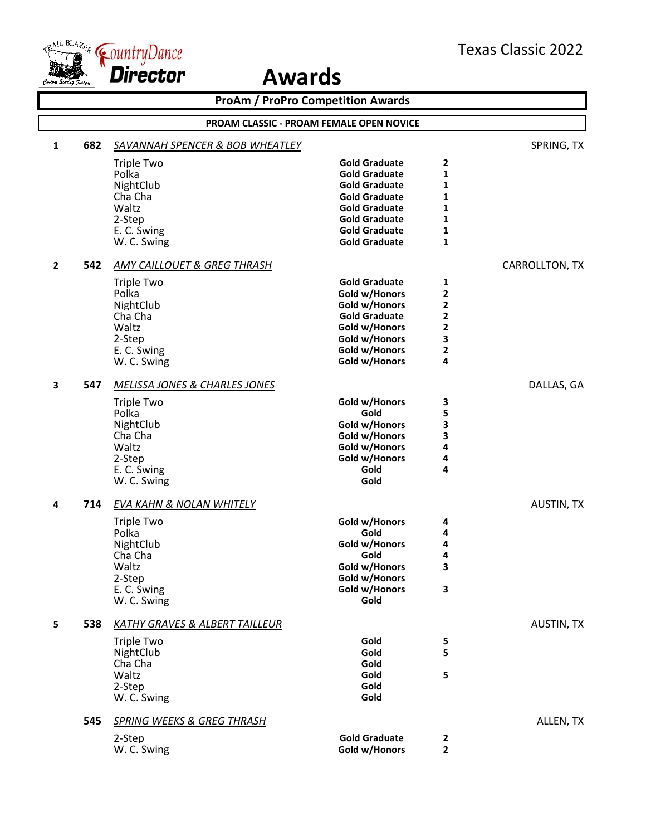

|              | <b>ProAm / ProPro Competition Awards</b> |                                            |                                                 |                   |                   |
|--------------|------------------------------------------|--------------------------------------------|-------------------------------------------------|-------------------|-------------------|
|              |                                          |                                            | <b>PROAM CLASSIC - PROAM FEMALE OPEN NOVICE</b> |                   |                   |
| $\mathbf{1}$ | 682                                      | <b>SAVANNAH SPENCER &amp; BOB WHEATLEY</b> |                                                 |                   | SPRING, TX        |
|              |                                          | Triple Two                                 | <b>Gold Graduate</b>                            | 2                 |                   |
|              |                                          | Polka                                      | <b>Gold Graduate</b>                            | 1                 |                   |
|              |                                          | NightClub                                  | <b>Gold Graduate</b>                            | 1                 |                   |
|              |                                          | Cha Cha                                    | <b>Gold Graduate</b>                            | 1<br>1            |                   |
|              |                                          | Waltz<br>2-Step                            | <b>Gold Graduate</b><br><b>Gold Graduate</b>    | 1                 |                   |
|              |                                          | E. C. Swing                                | <b>Gold Graduate</b>                            | 1                 |                   |
|              |                                          | W. C. Swing                                | <b>Gold Graduate</b>                            | $\mathbf{1}$      |                   |
| $\mathbf{2}$ | 542                                      | AMY CAILLOUET & GREG THRASH                |                                                 |                   | CARROLLTON, TX    |
|              |                                          | <b>Triple Two</b>                          | <b>Gold Graduate</b>                            | 1                 |                   |
|              |                                          | Polka                                      | Gold w/Honors                                   | 2                 |                   |
|              |                                          | NightClub                                  | Gold w/Honors                                   | $\mathbf 2$       |                   |
|              |                                          | Cha Cha                                    | <b>Gold Graduate</b>                            | $\mathbf 2$       |                   |
|              |                                          | Waltz                                      | Gold w/Honors                                   | 2                 |                   |
|              |                                          | 2-Step                                     | Gold w/Honors                                   | 3                 |                   |
|              |                                          | E. C. Swing<br>W. C. Swing                 | Gold w/Honors<br>Gold w/Honors                  | $\mathbf{2}$<br>4 |                   |
|              |                                          |                                            |                                                 |                   |                   |
| 3            | 547                                      | MELISSA JONES & CHARLES JONES              |                                                 |                   | DALLAS, GA        |
|              |                                          | <b>Triple Two</b>                          | Gold w/Honors                                   | 3                 |                   |
|              |                                          | Polka                                      | Gold                                            | 5                 |                   |
|              |                                          | NightClub<br>Cha Cha                       | Gold w/Honors<br>Gold w/Honors                  | 3                 |                   |
|              |                                          | Waltz                                      | Gold w/Honors                                   | 3<br>4            |                   |
|              |                                          | 2-Step                                     | Gold w/Honors                                   | 4                 |                   |
|              |                                          | E. C. Swing                                | Gold                                            | 4                 |                   |
|              |                                          | W. C. Swing                                | Gold                                            |                   |                   |
| 4            | 714                                      | EVA KAHN & NOLAN WHITELY                   |                                                 |                   | <b>AUSTIN, TX</b> |
|              |                                          | <b>Triple Two</b>                          | Gold w/Honors                                   | 4                 |                   |
|              |                                          | Polka                                      | Gold                                            | 4                 |                   |
|              |                                          | NightClub                                  | Gold w/Honors                                   | 4                 |                   |
|              |                                          | Cha Cha                                    | Gold                                            | 4                 |                   |
|              |                                          | Waltz                                      | Gold w/Honors                                   | 3                 |                   |
|              |                                          | 2-Step                                     | Gold w/Honors                                   |                   |                   |
|              |                                          | E. C. Swing<br>W. C. Swing                 | Gold w/Honors<br>Gold                           | 3                 |                   |
| 5            | 538                                      | KATHY GRAVES & ALBERT TAILLEUR             |                                                 |                   | <b>AUSTIN, TX</b> |
|              |                                          |                                            |                                                 |                   |                   |
|              |                                          | <b>Triple Two</b>                          | Gold                                            | 5                 |                   |
|              |                                          | NightClub<br>Cha Cha                       | Gold<br>Gold                                    | 5                 |                   |
|              |                                          | Waltz                                      | Gold                                            | 5                 |                   |
|              |                                          | 2-Step                                     | Gold                                            |                   |                   |
|              |                                          | W. C. Swing                                | Gold                                            |                   |                   |
|              | 545                                      | <b>SPRING WEEKS &amp; GREG THRASH</b>      |                                                 |                   | ALLEN, TX         |
|              |                                          | 2-Step                                     | <b>Gold Graduate</b>                            | $\mathbf{2}$      |                   |
|              |                                          | W. C. Swing                                | Gold w/Honors                                   | $\overline{2}$    |                   |
|              |                                          |                                            |                                                 |                   |                   |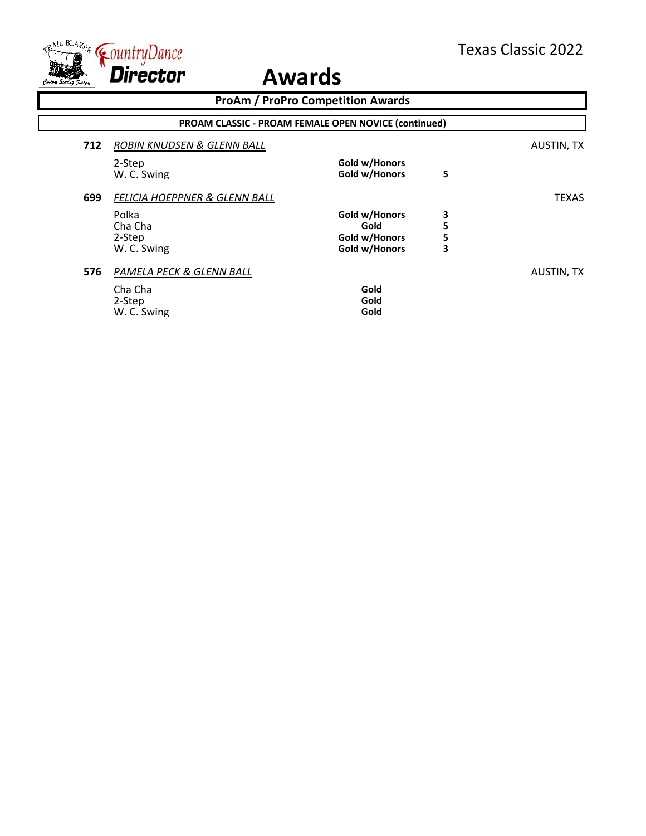

|     | <b>ProAm / ProPro Competition Awards</b>                    |                                                         |                  |              |  |
|-----|-------------------------------------------------------------|---------------------------------------------------------|------------------|--------------|--|
|     | <b>PROAM CLASSIC - PROAM FEMALE OPEN NOVICE (continued)</b> |                                                         |                  |              |  |
| 712 | ROBIN KNUDSEN & GLENN BALL                                  |                                                         |                  | AUSTIN, TX   |  |
|     | 2-Step<br>W. C. Swing                                       | Gold w/Honors<br>Gold w/Honors                          | 5                |              |  |
| 699 | FELICIA HOEPPNER & GLENN BALL                               |                                                         |                  | <b>TEXAS</b> |  |
|     | Polka<br>Cha Cha<br>2-Step<br>W. C. Swing                   | Gold w/Honors<br>Gold<br>Gold w/Honors<br>Gold w/Honors | 3<br>5<br>5<br>3 |              |  |
| 576 | PAMELA PECK & GLENN BALL<br>Cha Cha<br>2-Step               | Gold<br>Gold                                            |                  | AUSTIN, TX   |  |
|     | W. C. Swing                                                 | Gold                                                    |                  |              |  |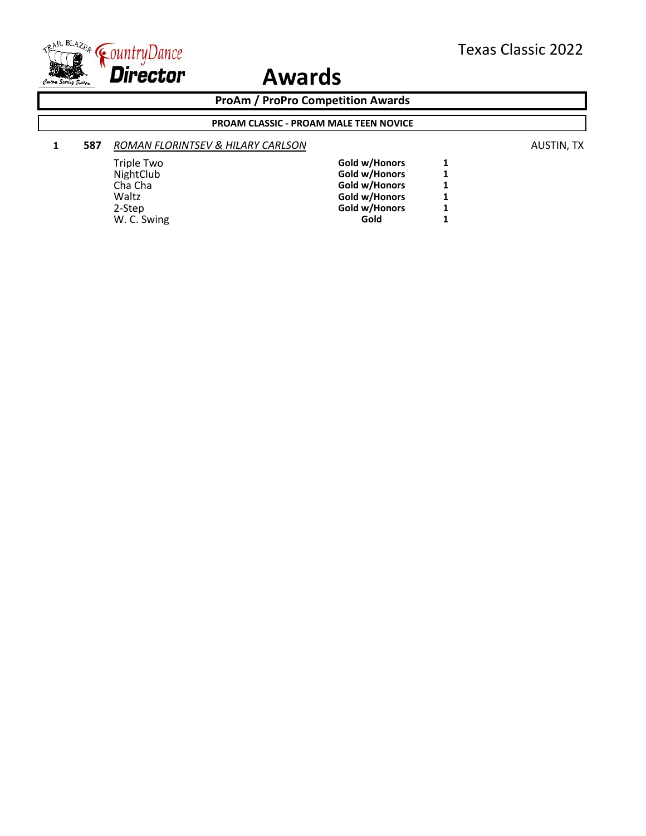

**ProAm / ProPro Competition Awards**

#### **PROAM CLASSIC - PROAM MALE TEEN NOVICE**

### **1 587** *ROMAN FLORINTSEV & HILARY CARLSON* **AUSTIN, TX AUSTIN, TX**

| Triple Two  | Gold w/Honors | 1 |
|-------------|---------------|---|
| NightClub   | Gold w/Honors | 1 |
| Cha Cha     | Gold w/Honors | 1 |
| Waltz       | Gold w/Honors | 1 |
| 2-Step      | Gold w/Honors | 1 |
| W. C. Swing | Gold          | 1 |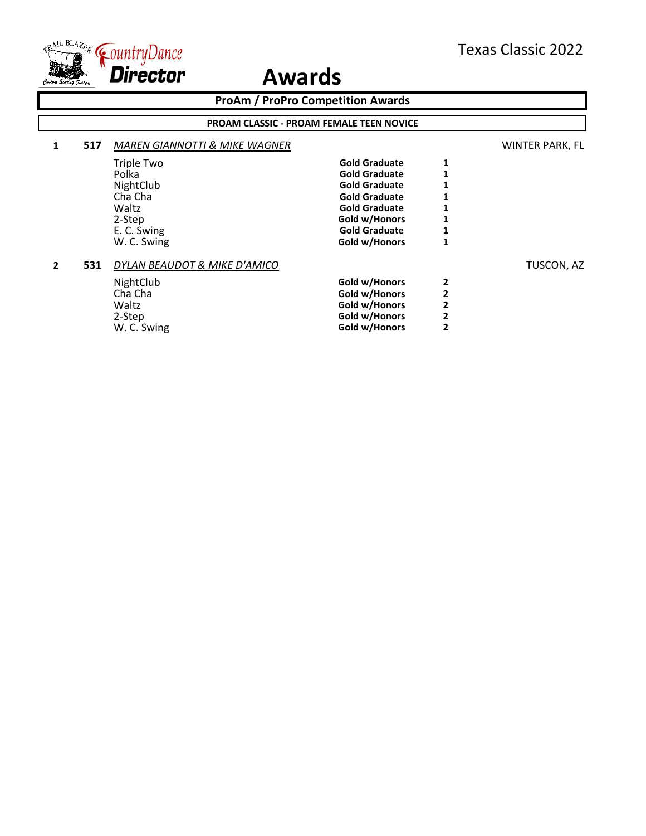

**ProAm / ProPro Competition Awards**

#### **PROAM CLASSIC - PROAM FEMALE TEEN NOVICE**

**Gold w/Honors** 

#### **1 517** *MAREN GIANNOTTI & MIKE WAGNER* WINTER PARK, FL Triple Two **Gold Graduate** 1<br>Polka **1 Gold Graduate** 1 Polka **Police Cold Graduate** 1<br> **NightClub Gold Graduate** 1 **NightClub Gold Graduate 1**<br> **Cha Cha Gold Graduate 1** Cha Cha **Gold Graduate 1** Waltz<br>
2-Step **1**2-Step **1 1 1 1 1 1 1 6old w/Honors 1** 2-Step **Cold w** Gold w/Honors 1<br>
E. C. Swing **Cold Graduate** 1 E. C. Swing **Gold Graduate** 1 **C.** Swing **Gold Graduate** 1 **W. C. Swing 1 W.** C. Swing

#### **2 531** *DYLAN BEAUDOT & MIKE D'AMICO* TUSCON, AZ

| NightClub   | Gold w/Honors | 2 |
|-------------|---------------|---|
| Cha Cha     | Gold w/Honors | 2 |
| Waltz       | Gold w/Honors | 2 |
| 2-Step      | Gold w/Honors | 2 |
| W. C. Swing | Gold w/Honors | 2 |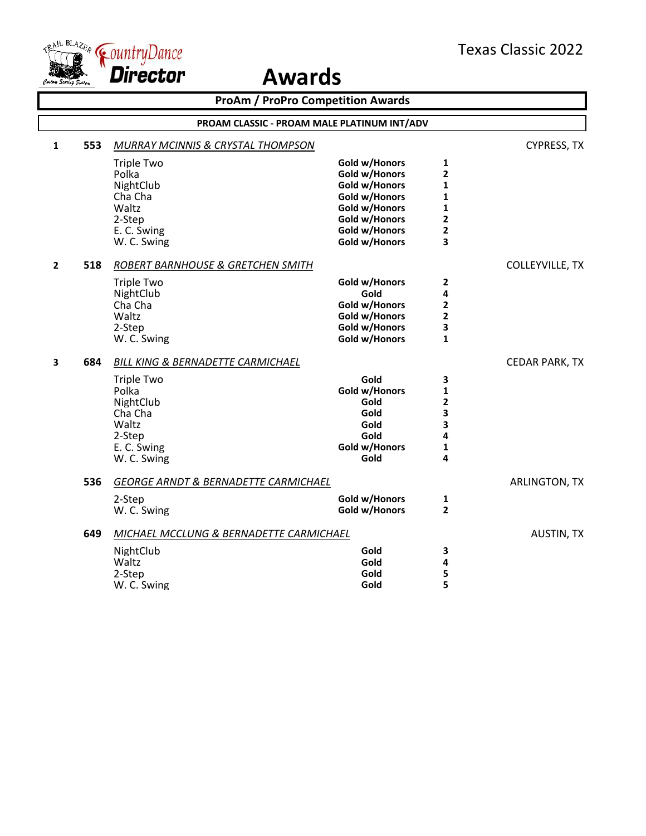

|              | <b>ProAm / ProPro Competition Awards</b> |                                                                                                                                                     |                                                                                                                                      |                                                                       |                        |  |
|--------------|------------------------------------------|-----------------------------------------------------------------------------------------------------------------------------------------------------|--------------------------------------------------------------------------------------------------------------------------------------|-----------------------------------------------------------------------|------------------------|--|
|              |                                          | PROAM CLASSIC - PROAM MALE PLATINUM INT/ADV                                                                                                         |                                                                                                                                      |                                                                       |                        |  |
| $\mathbf{1}$ | 553                                      | MURRAY MCINNIS & CRYSTAL THOMPSON                                                                                                                   |                                                                                                                                      |                                                                       | <b>CYPRESS, TX</b>     |  |
|              |                                          | <b>Triple Two</b><br>Polka<br>NightClub<br>Cha Cha<br>Waltz<br>2-Step<br>E. C. Swing<br>W. C. Swing                                                 | Gold w/Honors<br>Gold w/Honors<br>Gold w/Honors<br>Gold w/Honors<br>Gold w/Honors<br>Gold w/Honors<br>Gold w/Honors<br>Gold w/Honors | 1<br>2<br>$\mathbf{1}$<br>1<br>1<br>$\overline{\mathbf{2}}$<br>2<br>3 |                        |  |
| $\mathbf{2}$ | 518                                      | ROBERT BARNHOUSE & GRETCHEN SMITH<br><b>Triple Two</b><br>NightClub<br>Cha Cha<br>Waltz<br>2-Step<br>W. C. Swing                                    | Gold w/Honors<br>Gold<br>Gold w/Honors<br>Gold w/Honors<br>Gold w/Honors<br>Gold w/Honors                                            | 2<br>4<br>2<br>$\overline{\mathbf{2}}$<br>3<br>$\mathbf{1}$           | <b>COLLEYVILLE, TX</b> |  |
| 3            | 684                                      | <b>BILL KING &amp; BERNADETTE CARMICHAEL</b><br><b>Triple Two</b><br>Polka<br>NightClub<br>Cha Cha<br>Waltz<br>2-Step<br>E. C. Swing<br>W. C. Swing | Gold<br>Gold w/Honors<br>Gold<br>Gold<br>Gold<br>Gold<br>Gold w/Honors<br>Gold                                                       | 3<br>1<br>2<br>3<br>3<br>4<br>1<br>4                                  | <b>CEDAR PARK, TX</b>  |  |
|              | 536                                      | <b>GEORGE ARNDT &amp; BERNADETTE CARMICHAEL</b><br>2-Step<br>W. C. Swing                                                                            | Gold w/Honors<br>Gold w/Honors                                                                                                       | 1<br>$\overline{\mathbf{c}}$                                          | ARLINGTON, TX          |  |
|              | 649                                      | MICHAEL MCCLUNG & BERNADETTE CARMICHAEL<br>NightClub<br>Waltz<br>2-Step<br>W. C. Swing                                                              | Gold<br>Gold<br>Gold<br>Gold                                                                                                         | 3<br>4<br>5<br>5                                                      | <b>AUSTIN, TX</b>      |  |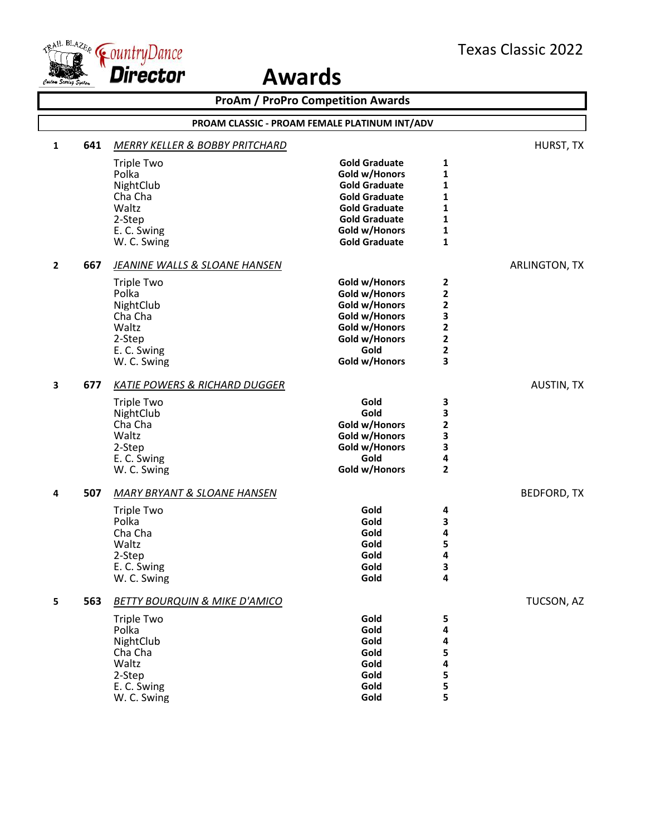

| <b>ProAm / ProPro Competition Awards</b> |     |                                               |                       |                   |                    |
|------------------------------------------|-----|-----------------------------------------------|-----------------------|-------------------|--------------------|
|                                          |     | PROAM CLASSIC - PROAM FEMALE PLATINUM INT/ADV |                       |                   |                    |
| 1                                        | 641 | <b>MERRY KELLER &amp; BOBBY PRITCHARD</b>     |                       |                   | HURST, TX          |
|                                          |     | <b>Triple Two</b>                             | <b>Gold Graduate</b>  | 1                 |                    |
|                                          |     | Polka                                         | Gold w/Honors         | 1                 |                    |
|                                          |     | NightClub                                     | <b>Gold Graduate</b>  | 1                 |                    |
|                                          |     | Cha Cha                                       | <b>Gold Graduate</b>  | 1                 |                    |
|                                          |     | Waltz                                         | <b>Gold Graduate</b>  | 1                 |                    |
|                                          |     | 2-Step                                        | <b>Gold Graduate</b>  | 1                 |                    |
|                                          |     | E. C. Swing                                   | Gold w/Honors         | 1                 |                    |
|                                          |     | W. C. Swing                                   | <b>Gold Graduate</b>  | $\mathbf{1}$      |                    |
| $\overline{2}$                           | 667 | <b>JEANINE WALLS &amp; SLOANE HANSEN</b>      |                       |                   | ARLINGTON, TX      |
|                                          |     | <b>Triple Two</b>                             | Gold w/Honors         | 2                 |                    |
|                                          |     | Polka                                         | Gold w/Honors         | $\mathbf 2$       |                    |
|                                          |     | NightClub                                     | Gold w/Honors         | 2                 |                    |
|                                          |     | Cha Cha                                       | Gold w/Honors         | 3                 |                    |
|                                          |     | Waltz                                         | Gold w/Honors         | 2                 |                    |
|                                          |     | 2-Step                                        | Gold w/Honors         | 2                 |                    |
|                                          |     | E. C. Swing                                   | Gold                  | 2                 |                    |
|                                          |     | W. C. Swing                                   | Gold w/Honors         | 3                 |                    |
| 3                                        | 677 | <b>KATIE POWERS &amp; RICHARD DUGGER</b>      |                       |                   | <b>AUSTIN, TX</b>  |
|                                          |     | <b>Triple Two</b>                             | Gold                  | 3                 |                    |
|                                          |     | NightClub                                     | Gold                  | 3                 |                    |
|                                          |     | Cha Cha                                       | Gold w/Honors         | 2                 |                    |
|                                          |     | Waltz                                         | Gold w/Honors         | 3                 |                    |
|                                          |     | 2-Step                                        | Gold w/Honors         | 3                 |                    |
|                                          |     | E. C. Swing                                   | Gold<br>Gold w/Honors | 4<br>$\mathbf{2}$ |                    |
|                                          |     | W. C. Swing                                   |                       |                   |                    |
| 4                                        | 507 | <b>MARY BRYANT &amp; SLOANE HANSEN</b>        |                       |                   | <b>BEDFORD, TX</b> |
|                                          |     | <b>Triple Two</b>                             | Gold                  | 4                 |                    |
|                                          |     | Polka                                         | Gold                  | 3                 |                    |
|                                          |     | Cha Cha                                       | Gold                  | 4                 |                    |
|                                          |     | Waltz                                         | Gold                  | 5                 |                    |
|                                          |     | 2-Step                                        | Gold                  | 4                 |                    |
|                                          |     | E. C. Swing                                   | Gold                  | 3<br>4            |                    |
|                                          |     | W. C. Swing                                   | Gold                  |                   |                    |
| 5                                        | 563 | <b>BETTY BOURQUIN &amp; MIKE D'AMICO</b>      |                       |                   | TUCSON, AZ         |
|                                          |     | <b>Triple Two</b>                             | Gold                  | 5                 |                    |
|                                          |     | Polka                                         | Gold                  | 4                 |                    |
|                                          |     | NightClub                                     | Gold                  | 4                 |                    |
|                                          |     | Cha Cha                                       | Gold                  | 5                 |                    |
|                                          |     | Waltz                                         | Gold<br>Gold          | 4                 |                    |
|                                          |     | 2-Step<br>E. C. Swing                         | Gold                  | 5<br>5            |                    |
|                                          |     | W. C. Swing                                   | Gold                  | 5                 |                    |
|                                          |     |                                               |                       |                   |                    |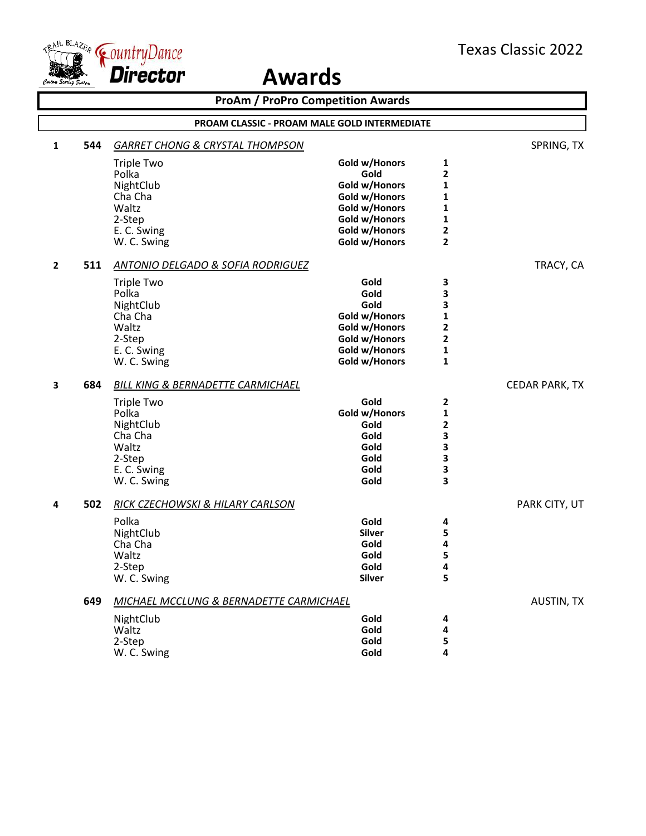



|              |     | <b>ProAm / ProPro Competition Awards</b>           |               |                         |                       |
|--------------|-----|----------------------------------------------------|---------------|-------------------------|-----------------------|
|              |     | PROAM CLASSIC - PROAM MALE GOLD INTERMEDIATE       |               |                         |                       |
| 1            | 544 | <b>GARRET CHONG &amp; CRYSTAL THOMPSON</b>         |               |                         | SPRING, TX            |
|              |     | <b>Triple Two</b>                                  | Gold w/Honors | 1                       |                       |
|              |     | Polka                                              | Gold          | 2                       |                       |
|              |     | NightClub                                          | Gold w/Honors | 1                       |                       |
|              |     | Cha Cha                                            | Gold w/Honors | 1                       |                       |
|              |     | Waltz                                              | Gold w/Honors | 1                       |                       |
|              |     | 2-Step                                             | Gold w/Honors | 1                       |                       |
|              |     | E. C. Swing                                        | Gold w/Honors | 2                       |                       |
|              |     | W. C. Swing                                        | Gold w/Honors | $\overline{\mathbf{2}}$ |                       |
| $\mathbf{2}$ | 511 | ANTONIO DELGADO & SOFIA RODRIGUEZ                  |               |                         | TRACY, CA             |
|              |     | <b>Triple Two</b>                                  | Gold          | 3                       |                       |
|              |     | Polka                                              | Gold          | 3                       |                       |
|              |     | NightClub                                          | Gold          | 3                       |                       |
|              |     | Cha Cha                                            | Gold w/Honors | 1                       |                       |
|              |     | Waltz                                              | Gold w/Honors | 2                       |                       |
|              |     | 2-Step                                             | Gold w/Honors | $\overline{\mathbf{2}}$ |                       |
|              |     | E. C. Swing                                        | Gold w/Honors | 1                       |                       |
|              |     | W. C. Swing                                        | Gold w/Honors | $\mathbf{1}$            |                       |
| 3            | 684 | <b>BILL KING &amp; BERNADETTE CARMICHAEL</b>       |               |                         | <b>CEDAR PARK, TX</b> |
|              |     | <b>Triple Two</b>                                  | Gold          | 2                       |                       |
|              |     | Polka                                              | Gold w/Honors | 1                       |                       |
|              |     | NightClub                                          | Gold          | 2                       |                       |
|              |     | Cha Cha                                            | Gold          | 3                       |                       |
|              |     | Waltz                                              | Gold          | 3                       |                       |
|              |     | 2-Step                                             | Gold          | 3                       |                       |
|              |     | E. C. Swing                                        | Gold          | 3                       |                       |
|              |     | W. C. Swing                                        | Gold          | 3                       |                       |
| 4            | 502 | <b>RICK CZECHOWSKI &amp; HILARY CARLSON</b>        |               |                         | PARK CITY, UT         |
|              |     | Polka                                              | Gold          | 4                       |                       |
|              |     | NightClub                                          | <b>Silver</b> | 5                       |                       |
|              |     | Cha Cha                                            | Gold          | 4                       |                       |
|              |     | Waltz                                              | Gold          | 5                       |                       |
|              |     | 2-Step                                             | Gold          | Λ                       |                       |
|              |     | W. C. Swing                                        | <b>Silver</b> | 5                       |                       |
|              | 649 | <b>MICHAEL MCCLUNG &amp; BERNADETTE CARMICHAEL</b> |               |                         | <b>AUSTIN, TX</b>     |
|              |     | NightClub                                          | Gold          | 4                       |                       |
|              |     | Waltz                                              | Gold          | 4                       |                       |
|              |     | 2-Step                                             | Gold          | 5                       |                       |
|              |     | W. C. Swing                                        | Gold          | 4                       |                       |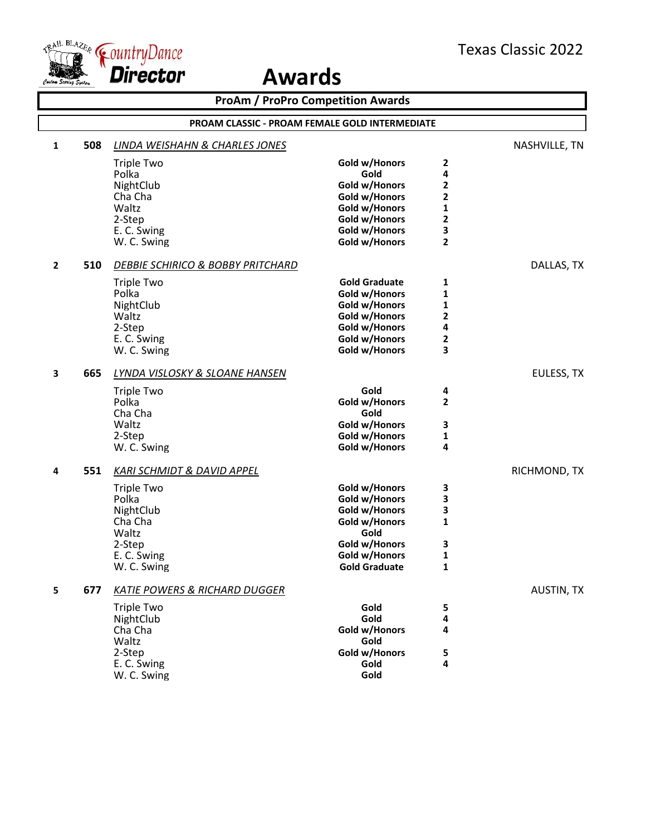

|              | <b>ProAm / ProPro Competition Awards</b> |                                                       |                      |   |                   |
|--------------|------------------------------------------|-------------------------------------------------------|----------------------|---|-------------------|
|              |                                          | <b>PROAM CLASSIC - PROAM FEMALE GOLD INTERMEDIATE</b> |                      |   |                   |
| 1            | 508                                      | <b>LINDA WEISHAHN &amp; CHARLES JONES</b>             |                      |   | NASHVILLE, TN     |
|              |                                          | <b>Triple Two</b>                                     | Gold w/Honors        | 2 |                   |
|              |                                          | Polka                                                 | Gold                 | 4 |                   |
|              |                                          | NightClub                                             | Gold w/Honors        | 2 |                   |
|              |                                          | Cha Cha                                               | Gold w/Honors        | 2 |                   |
|              |                                          | Waltz                                                 | Gold w/Honors        | 1 |                   |
|              |                                          | 2-Step                                                | Gold w/Honors        | 2 |                   |
|              |                                          | E. C. Swing                                           | Gold w/Honors        | 3 |                   |
|              |                                          | W. C. Swing                                           | Gold w/Honors        | 2 |                   |
| $\mathbf{2}$ | 510                                      | DEBBIE SCHIRICO & BOBBY PRITCHARD                     |                      |   | DALLAS, TX        |
|              |                                          | <b>Triple Two</b>                                     | <b>Gold Graduate</b> | 1 |                   |
|              |                                          | Polka                                                 | Gold w/Honors        | 1 |                   |
|              |                                          | NightClub                                             | Gold w/Honors        | 1 |                   |
|              |                                          | Waltz                                                 | Gold w/Honors        | 2 |                   |
|              |                                          | 2-Step                                                | Gold w/Honors        | 4 |                   |
|              |                                          | E. C. Swing                                           | Gold w/Honors        | 2 |                   |
|              |                                          | W. C. Swing                                           | Gold w/Honors        | 3 |                   |
| 3            | 665                                      | LYNDA VISLOSKY & SLOANE HANSEN                        |                      |   | EULESS, TX        |
|              |                                          | <b>Triple Two</b>                                     | Gold                 | 4 |                   |
|              |                                          | Polka                                                 | Gold w/Honors        | 2 |                   |
|              |                                          | Cha Cha                                               | Gold                 |   |                   |
|              |                                          | Waltz                                                 | Gold w/Honors        | 3 |                   |
|              |                                          | 2-Step                                                | Gold w/Honors        | 1 |                   |
|              |                                          | W. C. Swing                                           | Gold w/Honors        | 4 |                   |
| 4            | 551                                      | <b>KARI SCHMIDT &amp; DAVID APPEL</b>                 |                      |   | RICHMOND, TX      |
|              |                                          | <b>Triple Two</b>                                     | Gold w/Honors        | 3 |                   |
|              |                                          | Polka                                                 | Gold w/Honors        | 3 |                   |
|              |                                          | NightClub                                             | Gold w/Honors        | 3 |                   |
|              |                                          | Cha Cha                                               | Gold w/Honors        | 1 |                   |
|              |                                          | Waltz                                                 | Gold                 |   |                   |
|              |                                          | 2-Step                                                | Gold w/Honors        | 3 |                   |
|              |                                          | E. C. Swing                                           | Gold w/Honors        | 1 |                   |
|              |                                          | W. C. Swing                                           | <b>Gold Graduate</b> | 1 |                   |
| 5            | 677                                      | <b>KATIE POWERS &amp; RICHARD DUGGER</b>              |                      |   | <b>AUSTIN, TX</b> |
|              |                                          | <b>Triple Two</b>                                     | Gold                 | 5 |                   |
|              |                                          | NightClub                                             | Gold                 | 4 |                   |
|              |                                          | Cha Cha                                               | Gold w/Honors        | 4 |                   |
|              |                                          | Waltz                                                 | Gold                 |   |                   |
|              |                                          | 2-Step                                                | Gold w/Honors        | 5 |                   |
|              |                                          | E. C. Swing                                           | Gold                 | 4 |                   |
|              |                                          | W. C. Swing                                           | Gold                 |   |                   |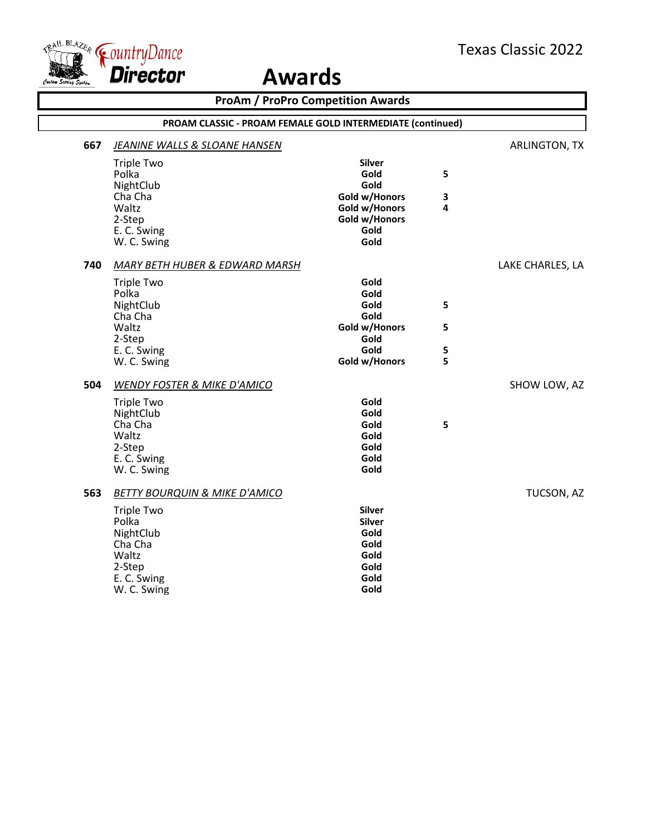



|     |                                                                                                     | <b>ProAm / ProPro Competition Awards</b>                                       |        |                  |
|-----|-----------------------------------------------------------------------------------------------------|--------------------------------------------------------------------------------|--------|------------------|
|     | PROAM CLASSIC - PROAM FEMALE GOLD INTERMEDIATE (continued)                                          |                                                                                |        |                  |
| 667 | <b>JEANINE WALLS &amp; SLOANE HANSEN</b>                                                            |                                                                                |        | ARLINGTON, TX    |
|     | <b>Triple Two</b><br>Polka                                                                          | <b>Silver</b><br>Gold                                                          | 5      |                  |
|     | NightClub<br>Cha Cha<br>Waltz                                                                       | Gold<br>Gold w/Honors                                                          | 3<br>4 |                  |
|     | 2-Step<br>E. C. Swing<br>W. C. Swing                                                                | Gold w/Honors<br>Gold w/Honors<br>Gold<br>Gold                                 |        |                  |
| 740 | MARY BETH HUBER & EDWARD MARSH                                                                      |                                                                                |        | LAKE CHARLES, LA |
|     | <b>Triple Two</b><br>Polka<br>NightClub                                                             | Gold<br>Gold<br>Gold                                                           | 5      |                  |
|     | Cha Cha<br>Waltz<br>2-Step                                                                          | Gold<br>Gold w/Honors<br>Gold                                                  | 5      |                  |
|     | E. C. Swing<br>W. C. Swing                                                                          | Gold<br>Gold w/Honors                                                          | 5<br>5 |                  |
| 504 | <b>WENDY FOSTER &amp; MIKE D'AMICO</b>                                                              |                                                                                |        | SHOW LOW, AZ     |
|     | <b>Triple Two</b><br>NightClub<br>Cha Cha<br>Waltz                                                  | Gold<br>Gold<br>Gold<br>Gold                                                   | 5      |                  |
|     | 2-Step<br>E. C. Swing<br>W. C. Swing                                                                | Gold<br>Gold<br>Gold                                                           |        |                  |
| 563 | <b>BETTY BOURQUIN &amp; MIKE D'AMICO</b>                                                            |                                                                                |        | TUCSON, AZ       |
|     | <b>Triple Two</b><br>Polka<br>NightClub<br>Cha Cha<br>Waltz<br>2-Step<br>E. C. Swing<br>W. C. Swing | <b>Silver</b><br><b>Silver</b><br>Gold<br>Gold<br>Gold<br>Gold<br>Gold<br>Gold |        |                  |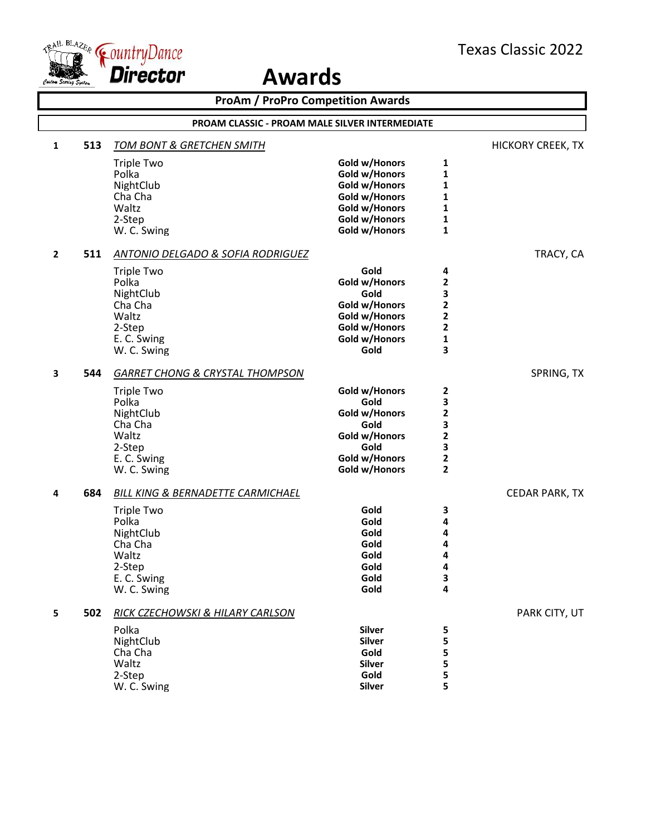

|                |                                                       | <b>ProAm / ProPro Competition Awards</b>     |                                |                         |                   |  |  |
|----------------|-------------------------------------------------------|----------------------------------------------|--------------------------------|-------------------------|-------------------|--|--|
|                | <b>PROAM CLASSIC - PROAM MALE SILVER INTERMEDIATE</b> |                                              |                                |                         |                   |  |  |
| 1              | 513                                                   | <u>TOM BONT &amp; GRETCHEN SMITH</u>         |                                |                         | HICKORY CREEK, TX |  |  |
|                |                                                       | <b>Triple Two</b>                            | Gold w/Honors                  | 1                       |                   |  |  |
|                |                                                       | Polka                                        | Gold w/Honors                  | 1                       |                   |  |  |
|                |                                                       | NightClub                                    | Gold w/Honors                  | 1                       |                   |  |  |
|                |                                                       | Cha Cha                                      | Gold w/Honors                  | 1                       |                   |  |  |
|                |                                                       | Waltz                                        | Gold w/Honors                  | 1                       |                   |  |  |
|                |                                                       | 2-Step                                       | Gold w/Honors                  | 1                       |                   |  |  |
|                |                                                       | W. C. Swing                                  | Gold w/Honors                  | 1                       |                   |  |  |
| $\overline{2}$ | 511                                                   | <b>ANTONIO DELGADO &amp; SOFIA RODRIGUEZ</b> |                                |                         | TRACY, CA         |  |  |
|                |                                                       | <b>Triple Two</b>                            | Gold                           | 4                       |                   |  |  |
|                |                                                       | Polka                                        | Gold w/Honors                  | 2                       |                   |  |  |
|                |                                                       | NightClub                                    | Gold                           | 3                       |                   |  |  |
|                |                                                       | Cha Cha                                      | Gold w/Honors                  | $\overline{\mathbf{c}}$ |                   |  |  |
|                |                                                       | Waltz                                        | Gold w/Honors                  | 2                       |                   |  |  |
|                |                                                       | 2-Step<br>E. C. Swing                        | Gold w/Honors<br>Gold w/Honors | 2<br>1                  |                   |  |  |
|                |                                                       | W. C. Swing                                  | Gold                           | 3                       |                   |  |  |
|                |                                                       |                                              |                                |                         |                   |  |  |
| 3              | 544                                                   | <b>GARRET CHONG &amp; CRYSTAL THOMPSON</b>   |                                |                         | SPRING, TX        |  |  |
|                |                                                       | <b>Triple Two</b>                            | Gold w/Honors                  | 2                       |                   |  |  |
|                |                                                       | Polka                                        | Gold                           | 3                       |                   |  |  |
|                |                                                       | NightClub                                    | Gold w/Honors                  | 2                       |                   |  |  |
|                |                                                       | Cha Cha                                      | Gold                           | 3                       |                   |  |  |
|                |                                                       | Waltz                                        | Gold w/Honors                  | 2                       |                   |  |  |
|                |                                                       | 2-Step                                       | Gold                           | 3<br>2                  |                   |  |  |
|                |                                                       | E. C. Swing<br>W. C. Swing                   | Gold w/Honors<br>Gold w/Honors | $\overline{\mathbf{2}}$ |                   |  |  |
|                |                                                       |                                              |                                |                         |                   |  |  |
| 4              | 684                                                   | BILL KING & BERNADETTE CARMICHAEL            |                                |                         | CEDAR PARK, TX    |  |  |
|                |                                                       | <b>Triple Two</b>                            | Gold                           | 3                       |                   |  |  |
|                |                                                       | Polka                                        | Gold                           | 4                       |                   |  |  |
|                |                                                       | NightClub                                    | Gold                           | 4                       |                   |  |  |
|                |                                                       | Cha Cha<br>Waltz                             | Gold<br>Gold                   | 4<br>4                  |                   |  |  |
|                |                                                       | 2-Step                                       | Gold                           | 4                       |                   |  |  |
|                |                                                       | E. C. Swing                                  | Gold                           | 3                       |                   |  |  |
|                |                                                       | W. C. Swing                                  | Gold                           | 4                       |                   |  |  |
| 5              | 502                                                   | RICK CZECHOWSKI & HILARY CARLSON             |                                |                         | PARK CITY, UT     |  |  |
|                |                                                       | Polka                                        | <b>Silver</b>                  | 5                       |                   |  |  |
|                |                                                       | NightClub                                    | <b>Silver</b>                  | 5                       |                   |  |  |
|                |                                                       | Cha Cha                                      | Gold                           | 5                       |                   |  |  |
|                |                                                       | Waltz                                        | <b>Silver</b>                  | 5                       |                   |  |  |
|                |                                                       | 2-Step                                       | Gold                           | 5                       |                   |  |  |
|                |                                                       | W. C. Swing                                  | <b>Silver</b>                  | 5                       |                   |  |  |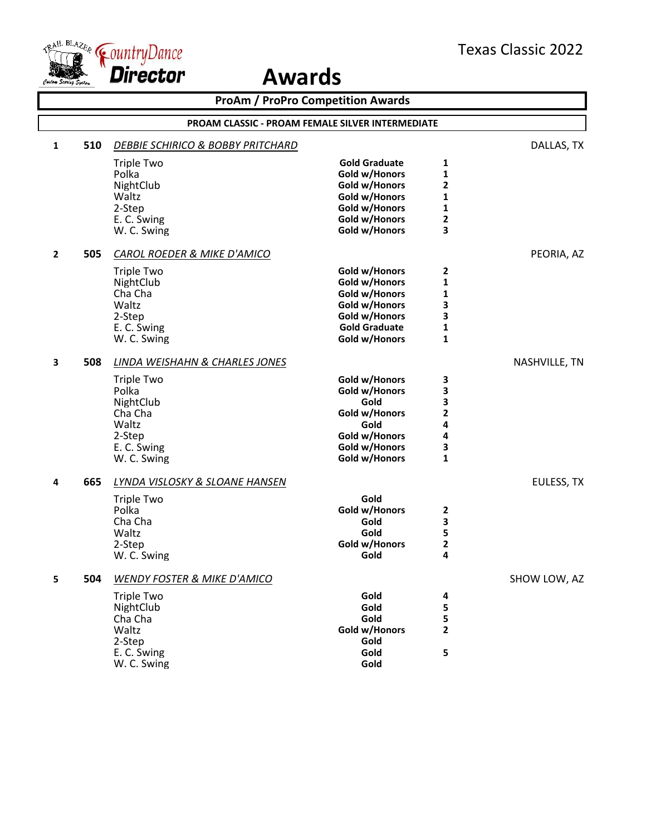



| <b>ProAm / ProPro Competition Awards</b> |                                                         |                                              |                      |                |               |  |  |
|------------------------------------------|---------------------------------------------------------|----------------------------------------------|----------------------|----------------|---------------|--|--|
|                                          | <b>PROAM CLASSIC - PROAM FEMALE SILVER INTERMEDIATE</b> |                                              |                      |                |               |  |  |
| 1                                        | 510                                                     | <b>DEBBIE SCHIRICO &amp; BOBBY PRITCHARD</b> |                      |                | DALLAS, TX    |  |  |
|                                          |                                                         | <b>Triple Two</b>                            | <b>Gold Graduate</b> | 1              |               |  |  |
|                                          |                                                         | Polka                                        | Gold w/Honors        | $\mathbf{1}$   |               |  |  |
|                                          |                                                         | NightClub                                    | Gold w/Honors        | $\overline{2}$ |               |  |  |
|                                          |                                                         | Waltz                                        | Gold w/Honors        | 1              |               |  |  |
|                                          |                                                         | 2-Step                                       | Gold w/Honors        | 1              |               |  |  |
|                                          |                                                         | E. C. Swing                                  | Gold w/Honors        | $\mathbf{2}$   |               |  |  |
|                                          |                                                         | W. C. Swing                                  | Gold w/Honors        | 3              |               |  |  |
| $\mathbf{2}$                             | 505                                                     | <b>CAROL ROEDER &amp; MIKE D'AMICO</b>       |                      |                | PEORIA, AZ    |  |  |
|                                          |                                                         | <b>Triple Two</b>                            | Gold w/Honors        | 2              |               |  |  |
|                                          |                                                         | NightClub                                    | Gold w/Honors        | 1              |               |  |  |
|                                          |                                                         | Cha Cha                                      | Gold w/Honors        | $\mathbf{1}$   |               |  |  |
|                                          |                                                         | Waltz                                        | Gold w/Honors        | 3              |               |  |  |
|                                          |                                                         | 2-Step                                       | Gold w/Honors        | 3              |               |  |  |
|                                          |                                                         | E. C. Swing                                  | <b>Gold Graduate</b> | $\mathbf{1}$   |               |  |  |
|                                          |                                                         | W. C. Swing                                  | Gold w/Honors        | $\mathbf{1}$   |               |  |  |
| 3                                        | 508                                                     | LINDA WEISHAHN & CHARLES JONES               |                      |                | NASHVILLE, TN |  |  |
|                                          |                                                         | <b>Triple Two</b>                            | Gold w/Honors        | 3              |               |  |  |
|                                          |                                                         | Polka                                        | Gold w/Honors        | 3              |               |  |  |
|                                          |                                                         | NightClub                                    | Gold                 | 3              |               |  |  |
|                                          |                                                         | Cha Cha                                      | Gold w/Honors        | $\mathbf{2}$   |               |  |  |
|                                          |                                                         | Waltz                                        | Gold                 | 4              |               |  |  |
|                                          |                                                         | 2-Step                                       | Gold w/Honors        | 4              |               |  |  |
|                                          |                                                         | E. C. Swing                                  | Gold w/Honors        | 3              |               |  |  |
|                                          |                                                         | W. C. Swing                                  | Gold w/Honors        | $\mathbf{1}$   |               |  |  |
| 4                                        | 665                                                     | <b>LYNDA VISLOSKY &amp; SLOANE HANSEN</b>    |                      |                | EULESS, TX    |  |  |
|                                          |                                                         | <b>Triple Two</b>                            | Gold                 |                |               |  |  |
|                                          |                                                         | Polka                                        | Gold w/Honors        | 2              |               |  |  |
|                                          |                                                         | Cha Cha                                      | Gold                 | 3              |               |  |  |
|                                          |                                                         | Waltz                                        | Gold                 | 5              |               |  |  |
|                                          |                                                         | 2-Step                                       | Gold w/Honors        | $\mathbf{2}$   |               |  |  |
|                                          |                                                         | W. C. Swing                                  | Gold                 | 4              |               |  |  |
| 5                                        | 504                                                     | <b>WENDY FOSTER &amp; MIKE D'AMICO</b>       |                      |                | SHOW LOW, AZ  |  |  |
|                                          |                                                         | <b>Triple Two</b>                            | Gold                 | 4              |               |  |  |
|                                          |                                                         | NightClub                                    | Gold                 | 5              |               |  |  |
|                                          |                                                         | Cha Cha                                      | Gold                 | 5              |               |  |  |
|                                          |                                                         | Waltz                                        | Gold w/Honors        | $\mathbf{2}$   |               |  |  |
|                                          |                                                         | 2-Step                                       | Gold                 |                |               |  |  |
|                                          |                                                         | E. C. Swing                                  | Gold                 | 5              |               |  |  |
|                                          |                                                         | W. C. Swing                                  | Gold                 |                |               |  |  |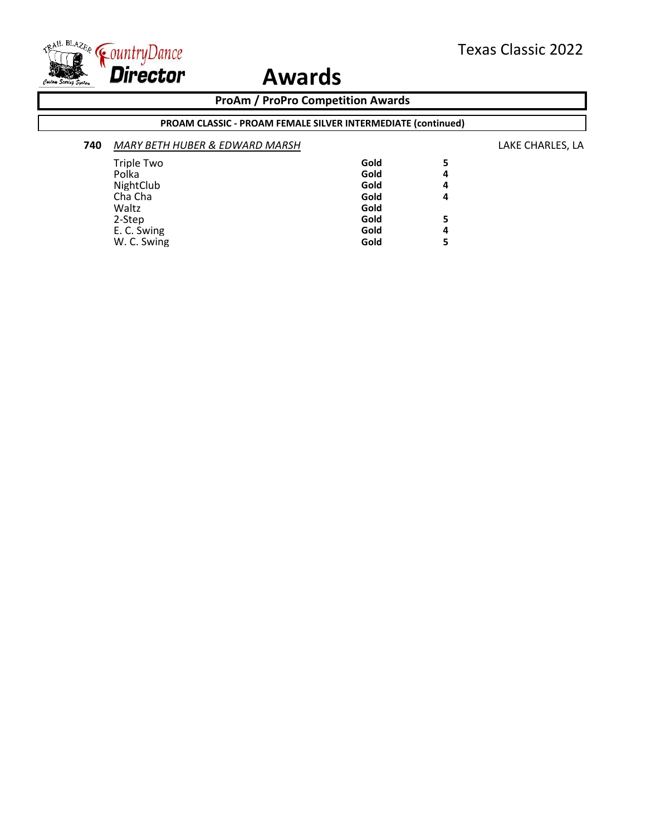

### **ProAm / ProPro Competition Awards**

### **PROAM CLASSIC - PROAM FEMALE SILVER INTERMEDIATE (continued)**

| 740 | MARY BETH HUBER & EDWARD MARSH |      |   | LAKE CHARLES, LA |
|-----|--------------------------------|------|---|------------------|
|     | <b>Triple Two</b>              | Gold | 5 |                  |
|     | Polka                          | Gold | 4 |                  |
|     | NightClub                      | Gold | 4 |                  |
|     | Cha Cha                        | Gold | 4 |                  |
|     | Waltz                          | Gold |   |                  |
|     |                                | Gold | 5 |                  |
|     |                                | Gold | 4 |                  |
|     | W. C. Swing                    | Gold | 5 |                  |
|     | 2-Step<br>E. C. Swing          |      |   |                  |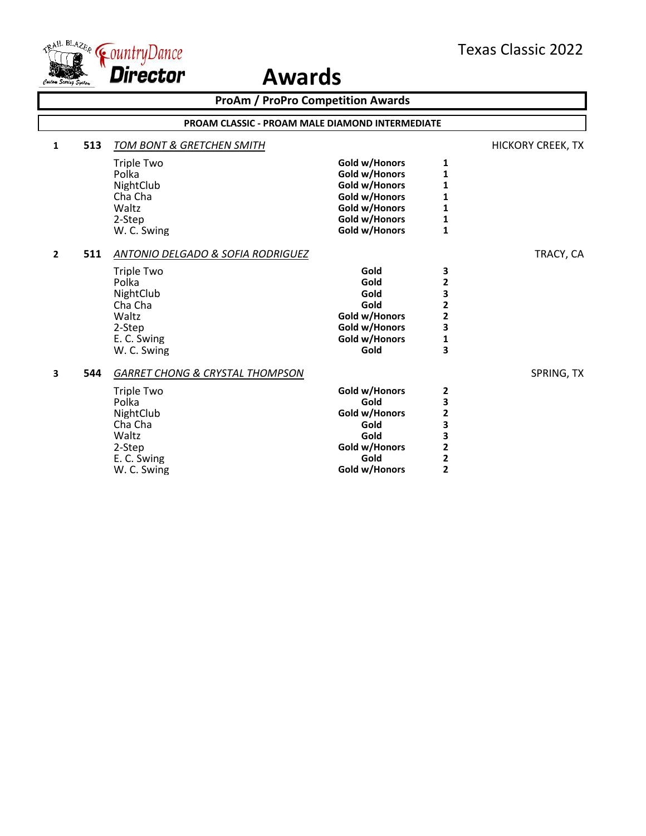

| <b>ProAm / ProPro Competition Awards</b> |     |                                                                                                                                                     |                                                                                                                     |                                                                                                                   |                          |  |
|------------------------------------------|-----|-----------------------------------------------------------------------------------------------------------------------------------------------------|---------------------------------------------------------------------------------------------------------------------|-------------------------------------------------------------------------------------------------------------------|--------------------------|--|
|                                          |     | <b>PROAM CLASSIC - PROAM MALE DIAMOND INTERMEDIATE</b>                                                                                              |                                                                                                                     |                                                                                                                   |                          |  |
| 1                                        | 513 | <b>TOM BONT &amp; GRETCHEN SMITH</b>                                                                                                                |                                                                                                                     |                                                                                                                   | <b>HICKORY CREEK, TX</b> |  |
|                                          |     | <b>Triple Two</b><br>Polka<br>NightClub<br>Cha Cha<br>Waltz<br>2-Step<br>W. C. Swing                                                                | Gold w/Honors<br>Gold w/Honors<br>Gold w/Honors<br>Gold w/Honors<br>Gold w/Honors<br>Gold w/Honors<br>Gold w/Honors | 1<br>1<br>1<br>1<br>1<br>1<br>$\mathbf 1$                                                                         |                          |  |
| $\mathbf{2}$                             | 511 | <b>ANTONIO DELGADO &amp; SOFIA RODRIGUEZ</b><br><b>Triple Two</b><br>Polka<br>NightClub<br>Cha Cha<br>Waltz<br>2-Step<br>E. C. Swing<br>W. C. Swing | Gold<br>Gold<br>Gold<br>Gold<br>Gold w/Honors<br>Gold w/Honors<br>Gold w/Honors<br>Gold                             | З<br>2<br>3<br>$\overline{\mathbf{c}}$<br>$\overline{\mathbf{c}}$<br>3<br>1<br>3                                  | TRACY, CA                |  |
| 3                                        | 544 | <b>GARRET CHONG &amp; CRYSTAL THOMPSON</b><br><b>Triple Two</b><br>Polka<br>NightClub<br>Cha Cha<br>Waltz<br>2-Step<br>E. C. Swing<br>W. C. Swing   | Gold w/Honors<br>Gold<br>Gold w/Honors<br>Gold<br>Gold<br>Gold w/Honors<br>Gold<br>Gold w/Honors                    | 2<br>3<br>$\overline{\mathbf{c}}$<br>3<br>3<br>$\overline{\mathbf{c}}$<br>$\overline{\mathbf{c}}$<br>$\mathbf{z}$ | SPRING, TX               |  |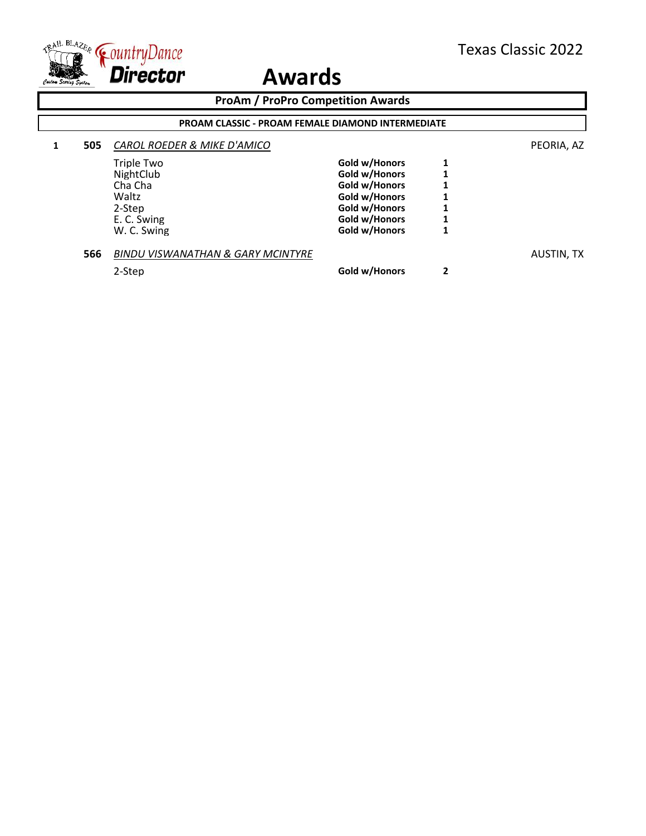

### **ProAm / ProPro Competition Awards 1 505** *CAROL ROEDER & MIKE D'AMICO* PEORIA, AZ Triple Two **Gold w/Honors** 1<br>
NightClub **Gold w/Honors** 1 NightClub **Gold w/Honors** 1<br>
Cha Cha **1 Gold w/Honors** 1 Cha Cha **Gold w/Honors 1** Waltz<br>
2-Step
1
2-Step
1
2
and the Cold w/Honors
1
2
and the Cold with the Cold with the Cold with the Cold with the Cold with the Cold with the Cold with the Cold with the Cold with the Cold with the Cold with the Cold wi 2-Step **Gold w/Honors** 1<br>
E. C. Swing **1** E. C. Swing **Gold w/Honors** 1<br>
W. C. Swing **Gold w/Honors** 1 **Gold w/Honors 566** *BINDU VISWANATHAN & GARY MCINTYRE* AUSTIN, TX 2-Step **Gold w/Honors 2 PROAM CLASSIC - PROAM FEMALE DIAMOND INTERMEDIATE**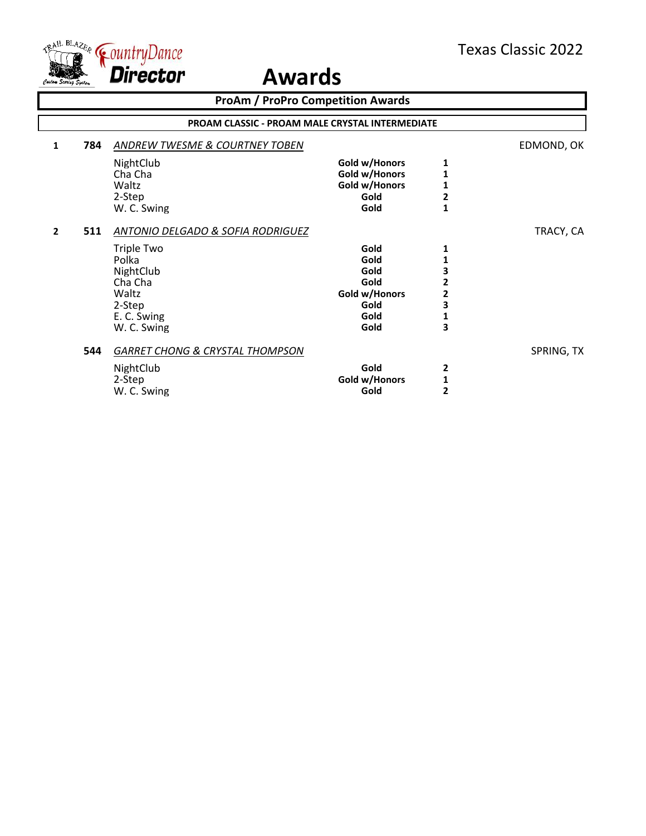

| <b>ProAm / ProPro Competition Awards</b> |                                                 |                                                                                                                                          |                                                                       |                                            |            |  |  |  |
|------------------------------------------|-------------------------------------------------|------------------------------------------------------------------------------------------------------------------------------------------|-----------------------------------------------------------------------|--------------------------------------------|------------|--|--|--|
|                                          | PROAM CLASSIC - PROAM MALE CRYSTAL INTERMEDIATE |                                                                                                                                          |                                                                       |                                            |            |  |  |  |
| 1                                        | 784                                             | ANDREW TWESME & COURTNEY TOBEN                                                                                                           |                                                                       |                                            | EDMOND, OK |  |  |  |
|                                          |                                                 | NightClub<br>Cha Cha<br>Waltz<br>2-Step                                                                                                  | Gold w/Honors<br>Gold w/Honors<br>Gold w/Honors<br>Gold               | 1<br>1<br>1<br>2                           |            |  |  |  |
|                                          |                                                 | W. C. Swing                                                                                                                              | Gold                                                                  | $\mathbf{1}$                               |            |  |  |  |
| $\overline{2}$                           | 511                                             | ANTONIO DELGADO & SOFIA RODRIGUEZ<br><b>Triple Two</b><br>Polka<br>NightClub<br>Cha Cha<br>Waltz<br>2-Step<br>E. C. Swing<br>W. C. Swing | Gold<br>Gold<br>Gold<br>Gold<br>Gold w/Honors<br>Gold<br>Gold<br>Gold | 1<br>3<br>2<br>$\mathbf{z}$<br>3<br>1<br>3 | TRACY, CA  |  |  |  |
|                                          | 544                                             | <b>GARRET CHONG &amp; CRYSTAL THOMPSON</b><br>NightClub<br>2-Step<br>W. C. Swing                                                         | Gold<br>Gold w/Honors<br>Gold                                         | 2<br>1<br>2                                | SPRING, TX |  |  |  |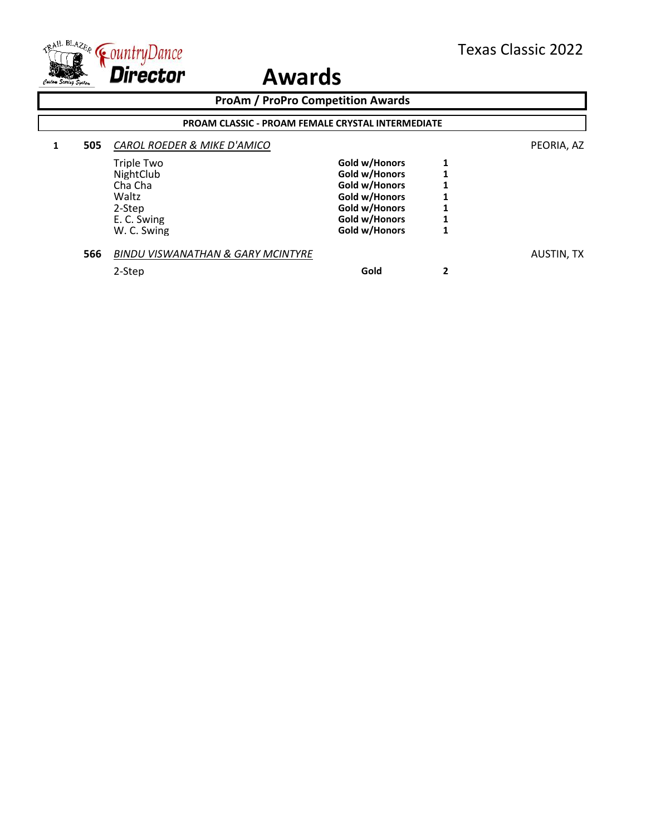

| <b>ProAm / ProPro Competition Awards</b> |     |                                                          |               |   |            |  |
|------------------------------------------|-----|----------------------------------------------------------|---------------|---|------------|--|
|                                          |     | <b>PROAM CLASSIC - PROAM FEMALE CRYSTAL INTERMEDIATE</b> |               |   |            |  |
|                                          | 505 | CAROL ROEDER & MIKE D'AMICO                              |               |   | PEORIA, AZ |  |
|                                          |     | <b>Triple Two</b>                                        | Gold w/Honors | 1 |            |  |
|                                          |     | NightClub                                                | Gold w/Honors |   |            |  |
|                                          |     | Cha Cha                                                  | Gold w/Honors |   |            |  |
|                                          |     | Waltz                                                    | Gold w/Honors |   |            |  |
|                                          |     | 2-Step                                                   | Gold w/Honors |   |            |  |
|                                          |     | E. C. Swing                                              | Gold w/Honors |   |            |  |
|                                          |     | W. C. Swing                                              | Gold w/Honors |   |            |  |
|                                          | 566 | <b>BINDU VISWANATHAN &amp; GARY MCINTYRE</b>             |               |   | AUSTIN, TX |  |
|                                          |     | 2-Step                                                   | Gold          | 2 |            |  |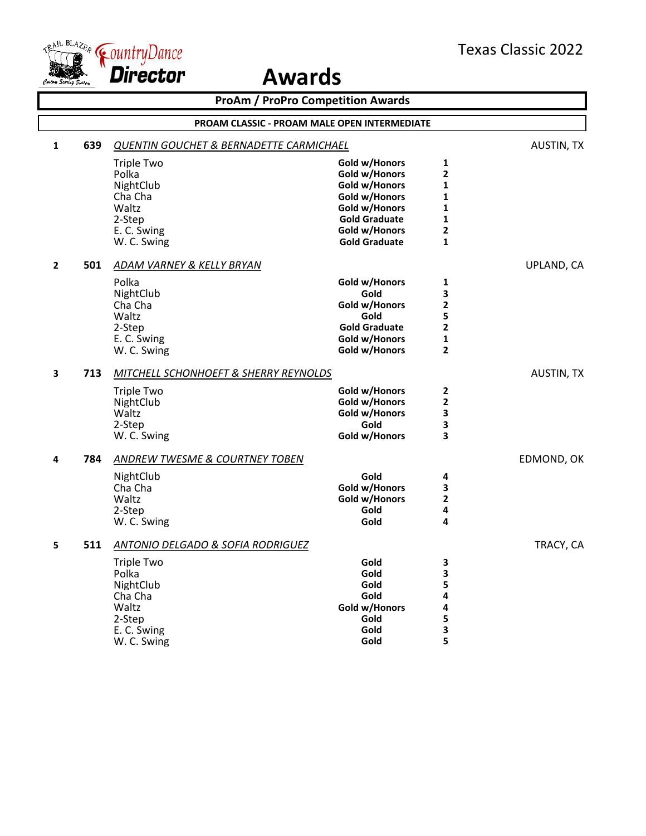

| <b>ProAm / ProPro Competition Awards</b> |                                              |                                                    |                      |                         |                   |  |
|------------------------------------------|----------------------------------------------|----------------------------------------------------|----------------------|-------------------------|-------------------|--|
|                                          | PROAM CLASSIC - PROAM MALE OPEN INTERMEDIATE |                                                    |                      |                         |                   |  |
| $\mathbf{1}$                             | 639                                          | <b>QUENTIN GOUCHET &amp; BERNADETTE CARMICHAEL</b> |                      |                         | <b>AUSTIN, TX</b> |  |
|                                          |                                              | <b>Triple Two</b>                                  | Gold w/Honors        | 1                       |                   |  |
|                                          |                                              | Polka                                              | Gold w/Honors        | $\overline{\mathbf{2}}$ |                   |  |
|                                          |                                              | NightClub                                          | Gold w/Honors        | $\mathbf{1}$            |                   |  |
|                                          |                                              | Cha Cha                                            | Gold w/Honors        | $\mathbf{1}$            |                   |  |
|                                          |                                              | Waltz                                              | Gold w/Honors        | 1                       |                   |  |
|                                          |                                              | 2-Step                                             | <b>Gold Graduate</b> | 1                       |                   |  |
|                                          |                                              | E. C. Swing                                        | Gold w/Honors        | $\overline{\mathbf{2}}$ |                   |  |
|                                          |                                              | W. C. Swing                                        | <b>Gold Graduate</b> | $\mathbf{1}$            |                   |  |
| $\overline{2}$                           | 501                                          | ADAM VARNEY & KELLY BRYAN                          |                      |                         | UPLAND, CA        |  |
|                                          |                                              | Polka                                              | Gold w/Honors        | 1                       |                   |  |
|                                          |                                              | NightClub                                          | Gold                 | 3                       |                   |  |
|                                          |                                              | Cha Cha                                            | Gold w/Honors        | 2                       |                   |  |
|                                          |                                              | Waltz                                              | Gold                 | 5                       |                   |  |
|                                          |                                              | 2-Step                                             | <b>Gold Graduate</b> | $\overline{\mathbf{2}}$ |                   |  |
|                                          |                                              | E. C. Swing                                        | Gold w/Honors        | 1                       |                   |  |
|                                          |                                              | W. C. Swing                                        | Gold w/Honors        | $\overline{\mathbf{2}}$ |                   |  |
| 3                                        | 713                                          | MITCHELL SCHONHOEFT & SHERRY REYNOLDS              |                      |                         | <b>AUSTIN, TX</b> |  |
|                                          |                                              | Triple Two                                         | Gold w/Honors        | 2                       |                   |  |
|                                          |                                              | NightClub                                          | Gold w/Honors        | $\overline{\mathbf{2}}$ |                   |  |
|                                          |                                              | Waltz                                              | Gold w/Honors        | 3                       |                   |  |
|                                          |                                              | 2-Step                                             | Gold                 | 3                       |                   |  |
|                                          |                                              | W. C. Swing                                        | Gold w/Honors        | 3                       |                   |  |
| 4                                        | 784                                          | <b>ANDREW TWESME &amp; COURTNEY TOBEN</b>          |                      |                         | EDMOND, OK        |  |
|                                          |                                              | NightClub                                          | Gold                 | 4                       |                   |  |
|                                          |                                              | Cha Cha                                            | Gold w/Honors        | 3                       |                   |  |
|                                          |                                              | Waltz                                              | Gold w/Honors        | 2                       |                   |  |
|                                          |                                              | 2-Step                                             | Gold                 | 4                       |                   |  |
|                                          |                                              | W. C. Swing                                        | Gold                 | 4                       |                   |  |
| 5                                        | 511                                          | ANTONIO DELGADO & SOFIA RODRIGUEZ                  |                      |                         | TRACY, CA         |  |
|                                          |                                              | Triple Two                                         | Gold                 | 3                       |                   |  |
|                                          |                                              | Polka                                              | Gold                 | 3                       |                   |  |
|                                          |                                              | NightClub                                          | Gold                 | 5                       |                   |  |
|                                          |                                              | Cha Cha                                            | Gold                 | 4                       |                   |  |
|                                          |                                              | Waltz                                              | Gold w/Honors        | 4                       |                   |  |
|                                          |                                              | 2-Step                                             | Gold                 | 5                       |                   |  |
|                                          |                                              | E. C. Swing                                        | Gold                 | 3                       |                   |  |
|                                          |                                              | W. C. Swing                                        | Gold                 | 5                       |                   |  |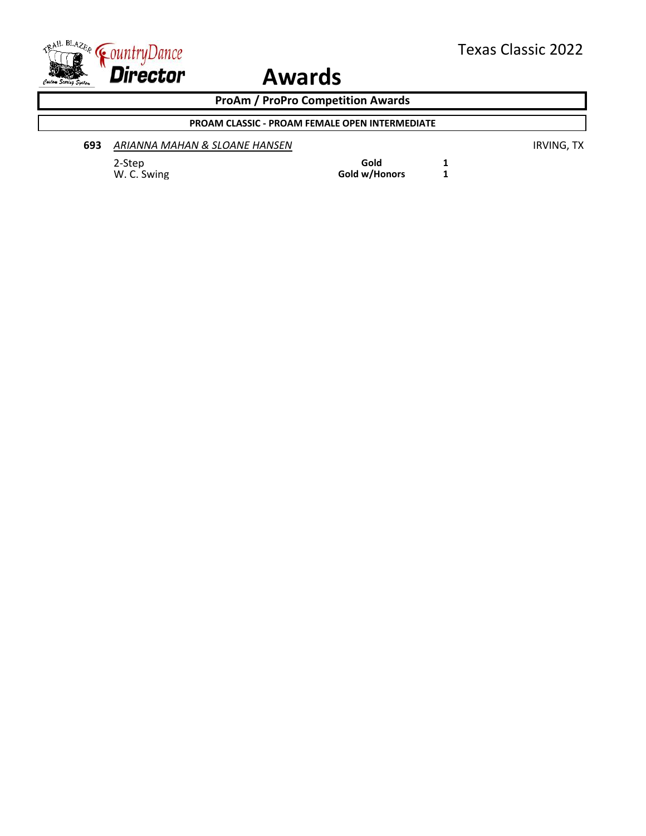

**ProAm / ProPro Competition Awards**

### **PROAM CLASSIC - PROAM FEMALE OPEN INTERMEDIATE**

| 693 | ARIANNA MAHAN & SLOANE HANSEN |
|-----|-------------------------------|
|     |                               |

2-Step **Gold 1** W. C. Swing **Gold w/Honors 1**  **693** *ARIANNA MAHAN & SLOANE HANSEN* IRVING, TX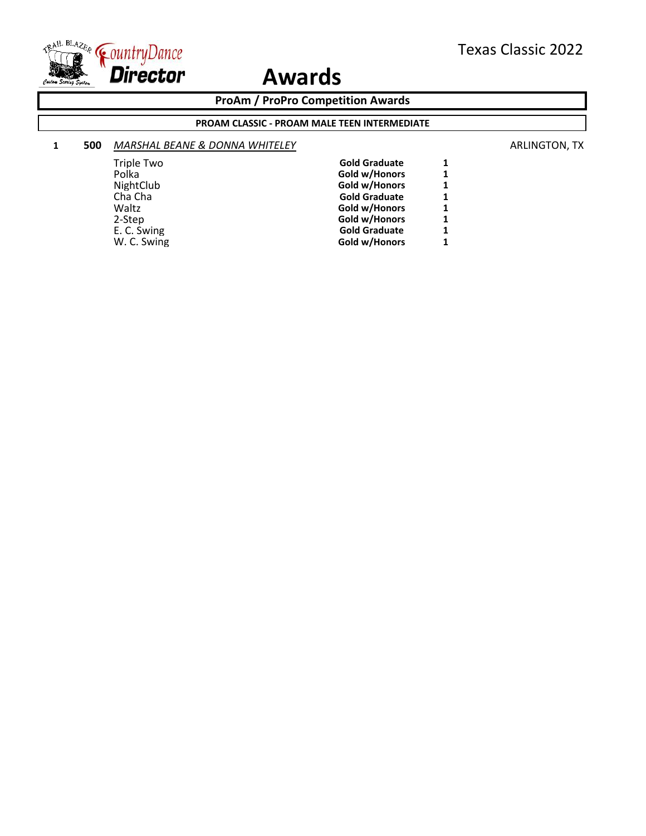

**ProAm / ProPro Competition Awards**

#### **PROAM CLASSIC - PROAM MALE TEEN INTERMEDIATE**

#### **1 500** *MARSHAL BEANE & DONNA WHITELEY* **ARLINGTON, TX**

| Triple Two  | <b>Gold Graduate</b> |   |
|-------------|----------------------|---|
| Polka       | Gold w/Honors        | 1 |
| NightClub   | Gold w/Honors        |   |
| Cha Cha     | <b>Gold Graduate</b> | 1 |
| Waltz       | Gold w/Honors        | 1 |
| 2-Step      | Gold w/Honors        | 1 |
| E. C. Swing | <b>Gold Graduate</b> |   |
| W. C. Swing | Gold w/Honors        |   |
|             |                      |   |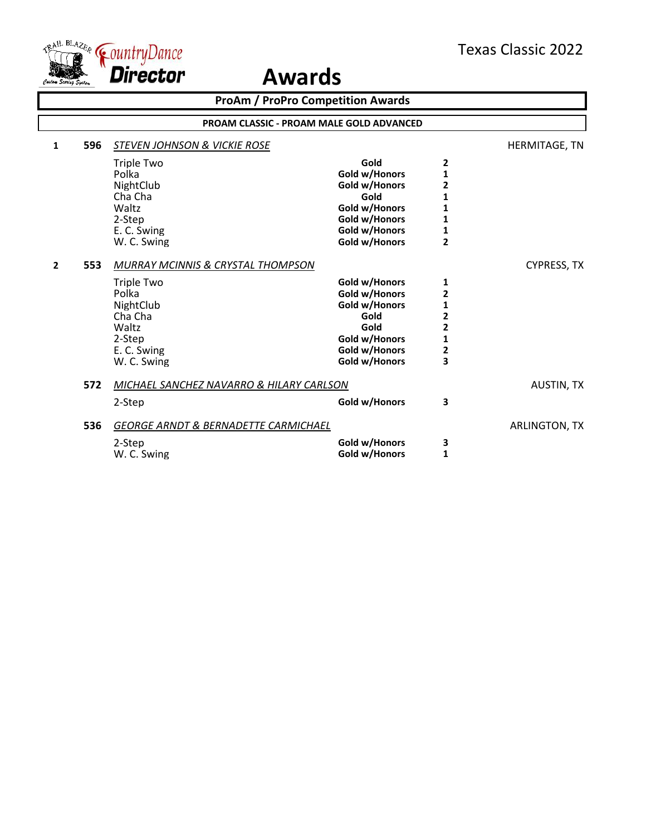

|                |                                                 |                                                                                                                                              | <b>ProAm / ProPro Competition Awards</b>                                                                           |                                                                                                                             |                    |  |
|----------------|-------------------------------------------------|----------------------------------------------------------------------------------------------------------------------------------------------|--------------------------------------------------------------------------------------------------------------------|-----------------------------------------------------------------------------------------------------------------------------|--------------------|--|
|                | <b>PROAM CLASSIC - PROAM MALE GOLD ADVANCED</b> |                                                                                                                                              |                                                                                                                    |                                                                                                                             |                    |  |
| 1              | 596                                             | <b>STEVEN JOHNSON &amp; VICKIE ROSE</b>                                                                                                      |                                                                                                                    |                                                                                                                             | HERMITAGE, TN      |  |
|                |                                                 | <b>Triple Two</b><br>Polka<br>NightClub<br>Cha Cha<br>Waltz<br>2-Step<br>E. C. Swing<br>W. C. Swing                                          | Gold<br>Gold w/Honors<br>Gold w/Honors<br>Gold<br>Gold w/Honors<br>Gold w/Honors<br>Gold w/Honors<br>Gold w/Honors | 2<br>$\mathbf 1$<br>$\overline{\mathbf{2}}$<br>$\mathbf{1}$<br>$\mathbf{1}$<br>$\mathbf{1}$<br>$\mathbf{1}$<br>$\mathbf{2}$ |                    |  |
| $\overline{2}$ | 553                                             | <b>MURRAY MCINNIS &amp; CRYSTAL THOMPSON</b><br>Triple Two<br>Polka<br>NightClub<br>Cha Cha<br>Waltz<br>2-Step<br>E. C. Swing<br>W. C. Swing | Gold w/Honors<br>Gold w/Honors<br>Gold w/Honors<br>Gold<br>Gold<br>Gold w/Honors<br>Gold w/Honors<br>Gold w/Honors | 1<br>$\mathbf{2}$<br>$\mathbf 1$<br>$\overline{2}$<br>$\overline{2}$<br>$\mathbf{1}$<br>$\mathbf{2}$<br>3                   | <b>CYPRESS, TX</b> |  |
|                | 572                                             | MICHAEL SANCHEZ NAVARRO & HILARY CARLSON<br>2-Step                                                                                           | Gold w/Honors                                                                                                      | 3                                                                                                                           | <b>AUSTIN, TX</b>  |  |
|                | 536                                             | <b>GEORGE ARNDT &amp; BERNADETTE CARMICHAEL</b><br>2-Step<br>W. C. Swing                                                                     | Gold w/Honors<br>Gold w/Honors                                                                                     | 3<br>$\mathbf{1}$                                                                                                           | ARLINGTON, TX      |  |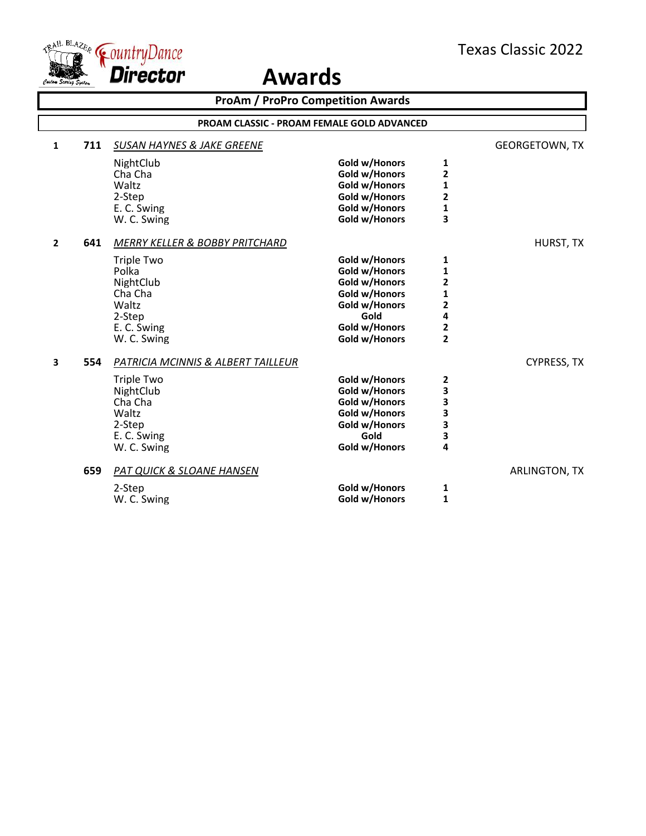

|                | <b>ProAm / ProPro Competition Awards</b>          |                                       |               |                         |                       |  |  |
|----------------|---------------------------------------------------|---------------------------------------|---------------|-------------------------|-----------------------|--|--|
|                | <b>PROAM CLASSIC - PROAM FEMALE GOLD ADVANCED</b> |                                       |               |                         |                       |  |  |
| $\mathbf{1}$   | 711                                               | <b>SUSAN HAYNES &amp; JAKE GREENE</b> |               |                         | <b>GEORGETOWN, TX</b> |  |  |
|                |                                                   | NightClub                             | Gold w/Honors | 1                       |                       |  |  |
|                |                                                   | Cha Cha                               | Gold w/Honors | 2                       |                       |  |  |
|                |                                                   | Waltz                                 | Gold w/Honors | $\mathbf{1}$            |                       |  |  |
|                |                                                   | 2-Step                                | Gold w/Honors | $\overline{\mathbf{c}}$ |                       |  |  |
|                |                                                   | E. C. Swing                           | Gold w/Honors | $\mathbf{1}$            |                       |  |  |
|                |                                                   | W. C. Swing                           | Gold w/Honors | 3                       |                       |  |  |
| $\overline{2}$ | 641                                               | MERRY KELLER & BOBBY PRITCHARD        |               |                         | HURST, TX             |  |  |
|                |                                                   | <b>Triple Two</b>                     | Gold w/Honors | 1                       |                       |  |  |
|                |                                                   | Polka                                 | Gold w/Honors | $\mathbf{1}$            |                       |  |  |
|                |                                                   | NightClub                             | Gold w/Honors | $\overline{\mathbf{c}}$ |                       |  |  |
|                |                                                   | Cha Cha                               | Gold w/Honors | 1                       |                       |  |  |
|                |                                                   | Waltz                                 | Gold w/Honors | 2                       |                       |  |  |
|                |                                                   | 2-Step                                | Gold          | 4                       |                       |  |  |
|                |                                                   | E. C. Swing                           | Gold w/Honors | 2                       |                       |  |  |
|                |                                                   | W. C. Swing                           | Gold w/Honors | $\overline{2}$          |                       |  |  |
| 3              | 554                                               | PATRICIA MCINNIS & ALBERT TAILLEUR    |               |                         | <b>CYPRESS, TX</b>    |  |  |
|                |                                                   | <b>Triple Two</b>                     | Gold w/Honors | 2                       |                       |  |  |
|                |                                                   | NightClub                             | Gold w/Honors | 3                       |                       |  |  |
|                |                                                   | Cha Cha                               | Gold w/Honors | 3                       |                       |  |  |
|                |                                                   | Waltz                                 | Gold w/Honors | 3                       |                       |  |  |
|                |                                                   | 2-Step                                | Gold w/Honors | 3                       |                       |  |  |
|                |                                                   | E. C. Swing                           | Gold          | 3                       |                       |  |  |
|                |                                                   | W. C. Swing                           | Gold w/Honors | 4                       |                       |  |  |
|                | 659                                               | <b>PAT QUICK &amp; SLOANE HANSEN</b>  |               |                         | ARLINGTON, TX         |  |  |
|                |                                                   | 2-Step                                | Gold w/Honors | 1                       |                       |  |  |
|                |                                                   | W. C. Swing                           | Gold w/Honors | 1                       |                       |  |  |
|                |                                                   |                                       |               |                         |                       |  |  |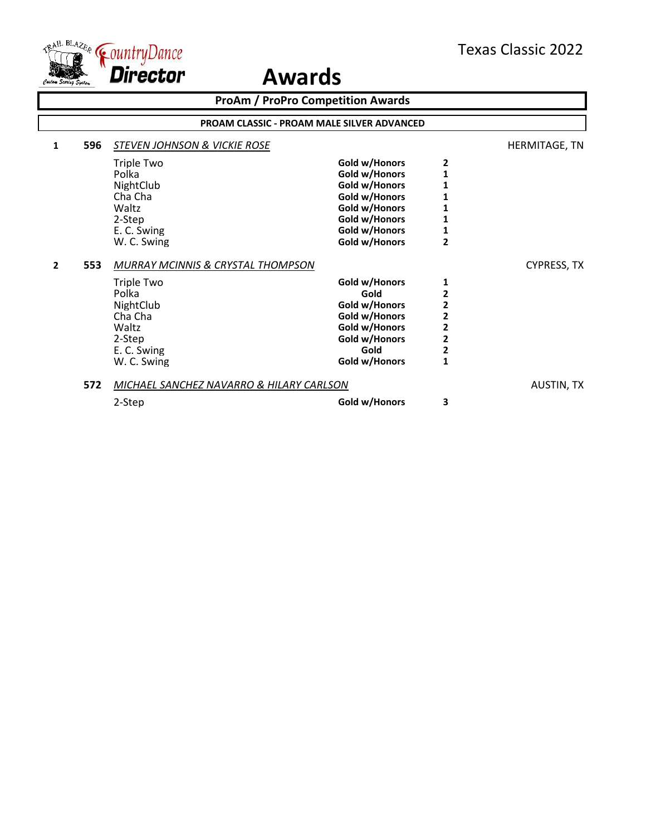

|                       |                                                                                                                                   | <b>ProAm / ProPro Competition Awards</b>                                                                                             |                                                                                                                                                      |                    |  |  |  |
|-----------------------|-----------------------------------------------------------------------------------------------------------------------------------|--------------------------------------------------------------------------------------------------------------------------------------|------------------------------------------------------------------------------------------------------------------------------------------------------|--------------------|--|--|--|
|                       | <b>PROAM CLASSIC - PROAM MALE SILVER ADVANCED</b>                                                                                 |                                                                                                                                      |                                                                                                                                                      |                    |  |  |  |
| 596<br>1              | <b>STEVEN JOHNSON &amp; VICKIE ROSE</b>                                                                                           |                                                                                                                                      |                                                                                                                                                      | HERMITAGE, TN      |  |  |  |
|                       | Triple Two<br>Polka<br>NightClub<br>Cha Cha<br>Waltz<br>2-Step<br>E. C. Swing<br>W. C. Swing                                      | Gold w/Honors<br>Gold w/Honors<br>Gold w/Honors<br>Gold w/Honors<br>Gold w/Honors<br>Gold w/Honors<br>Gold w/Honors<br>Gold w/Honors | 2<br>$\overline{\mathbf{1}}$<br>1<br>1<br>$\mathbf{1}$<br>$\overline{2}$                                                                             |                    |  |  |  |
| 553<br>$\overline{2}$ | MURRAY MCINNIS & CRYSTAL THOMPSON<br>Triple Two<br>Polka<br>NightClub<br>Cha Cha<br>Waltz<br>2-Step<br>E. C. Swing<br>W. C. Swing | Gold w/Honors<br>Gold<br>Gold w/Honors<br>Gold w/Honors<br>Gold w/Honors<br>Gold w/Honors<br>Gold<br>Gold w/Honors                   | 1<br>2<br>$\overline{\mathbf{c}}$<br>$\overline{\mathbf{c}}$<br>$\overline{2}$<br>$\overline{\mathbf{c}}$<br>$\overline{\mathbf{c}}$<br>$\mathbf{1}$ | <b>CYPRESS, TX</b> |  |  |  |
| 572                   | MICHAEL SANCHEZ NAVARRO & HILARY CARLSON                                                                                          |                                                                                                                                      |                                                                                                                                                      | <b>AUSTIN, TX</b>  |  |  |  |
|                       | 2-Step                                                                                                                            | Gold w/Honors                                                                                                                        | 3                                                                                                                                                    |                    |  |  |  |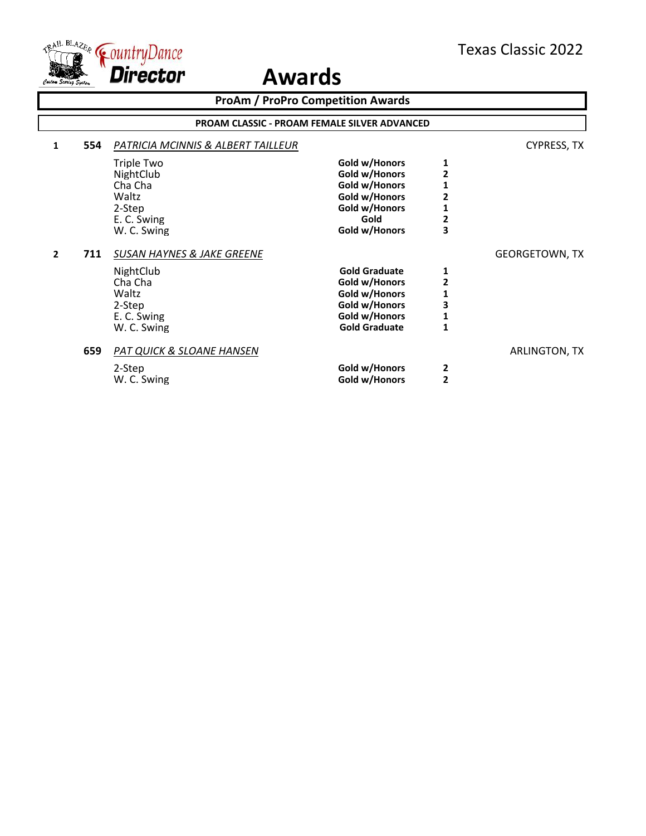

**ProAm / ProPro Competition Awards 1 554** *PATRICIA MCINNIS & ALBERT TAILLEUR* CYPRESS, TX Triple Two **Gold w/Honors** 1<br>
NightClub **Cold w/Honors** 2 NightClub **Gold w/Honors** 2<br>
Cha Cha **2**<br>
Gold w/Honors 2 Cha Cha **Gold w/Honors 1** Waltz **Collection Collection Collection Collection Collection Collection Collection Collection Collection Collection Collection Collection Collection Collection Collection Collection Collection Collection Collection Collec** 2-Step **Gold w/Honors 1** E. C. Swing **Gold** 2<br>
W. C. Swing **Gold** W/Honors 3 **Gold w/Honors 2 711** *SUSAN HAYNES & JAKE GREENE* GEORGETOWN, TX NightClub **Gold Graduate 1** Cha Cha **Gold w/Honors 2** Waltz<br>
2-Step **1**2-Step
3 2-Step **3**<br> **E. C. Swing Collection Collection Collection Collection Collection Collection Collection Collection Collection**<br> **Gold w/Honors** E. C. Swing **Gold w/Honors** 1<br>
W. C. Swing **Gold Graduate** 1 **Gold Graduate 659** *PAT QUICK & SLOANE HANSEN* ARLINGTON, TX 2-Step **2**<br> **2**<br> **2**<br> **2**<br> **2**<br> **2 Gold w/Honors PROAM CLASSIC - PROAM FEMALE SILVER ADVANCED**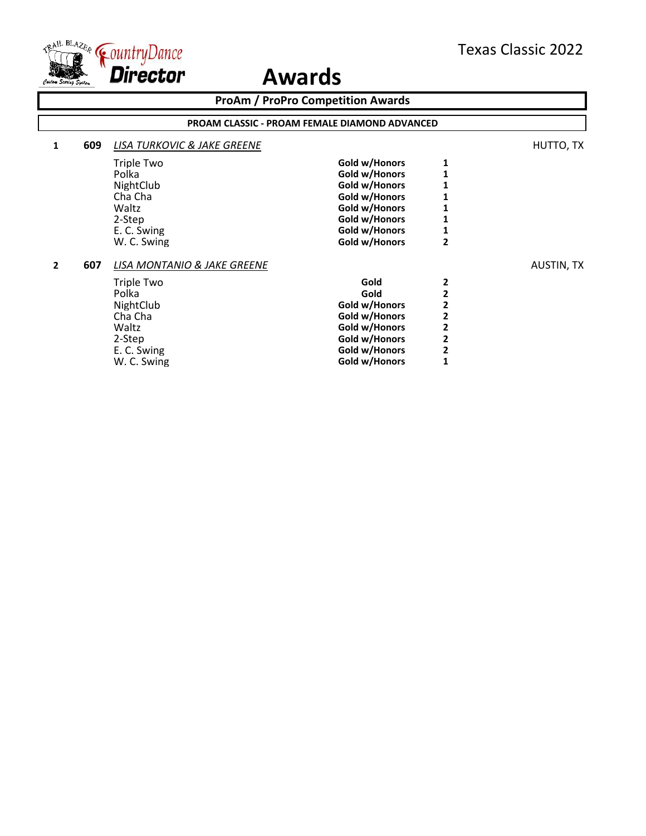

| <b>ProAm / ProPro Competition Awards</b> |                                                      |                                        |               |                |                   |
|------------------------------------------|------------------------------------------------------|----------------------------------------|---------------|----------------|-------------------|
|                                          | <b>PROAM CLASSIC - PROAM FEMALE DIAMOND ADVANCED</b> |                                        |               |                |                   |
| 1                                        | 609                                                  | <b>LISA TURKOVIC &amp; JAKE GREENE</b> |               |                | HUTTO, TX         |
|                                          |                                                      | Triple Two                             | Gold w/Honors |                |                   |
|                                          |                                                      | Polka                                  | Gold w/Honors |                |                   |
|                                          |                                                      | NightClub                              | Gold w/Honors |                |                   |
|                                          |                                                      | Cha Cha                                | Gold w/Honors |                |                   |
|                                          |                                                      | Waltz                                  | Gold w/Honors |                |                   |
|                                          |                                                      | 2-Step                                 | Gold w/Honors |                |                   |
|                                          |                                                      | E. C. Swing                            | Gold w/Honors |                |                   |
|                                          |                                                      | W. C. Swing                            | Gold w/Honors | 2              |                   |
| $\mathbf{2}$                             | 607                                                  | LISA MONTANIO & JAKE GREENE            |               |                | <b>AUSTIN, TX</b> |
|                                          |                                                      | Triple Two                             | Gold          | 2              |                   |
|                                          |                                                      | Polka                                  | Gold          | 2              |                   |
|                                          |                                                      | NightClub                              | Gold w/Honors | 2              |                   |
|                                          |                                                      | Cha Cha                                | Gold w/Honors | 2              |                   |
|                                          |                                                      | Waltz                                  | Gold w/Honors | $\overline{2}$ |                   |
|                                          |                                                      | 2-Step                                 | Gold w/Honors | 2              |                   |
|                                          |                                                      | E. C. Swing                            | Gold w/Honors | $\overline{2}$ |                   |
|                                          |                                                      | W. C. Swing                            | Gold w/Honors |                |                   |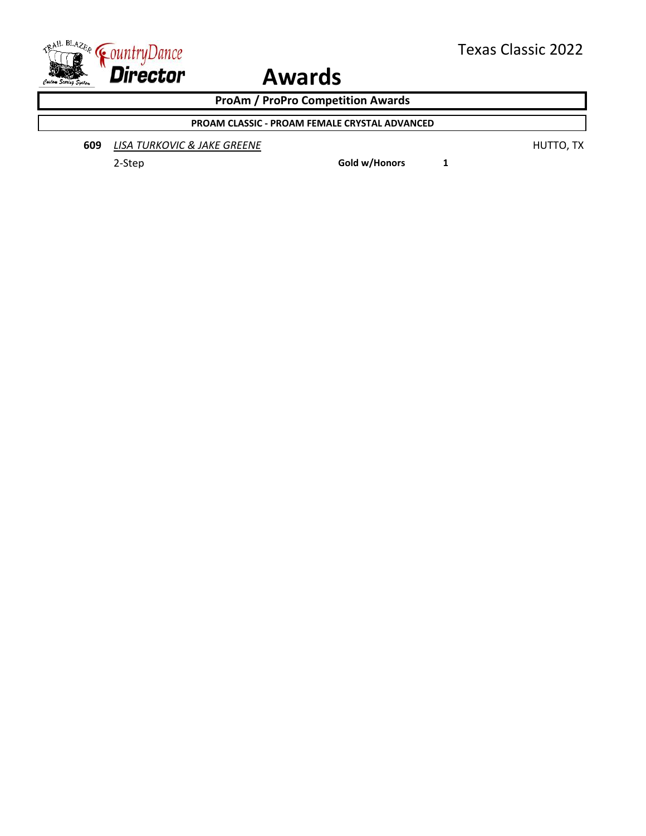

**ProAm / ProPro Competition Awards**

**PROAM CLASSIC - PROAM FEMALE CRYSTAL ADVANCED**

**609 LISA TURKOVIC & JAKE GREENE HUTTO, TX** 

2-Step **Gold w/Honors 1**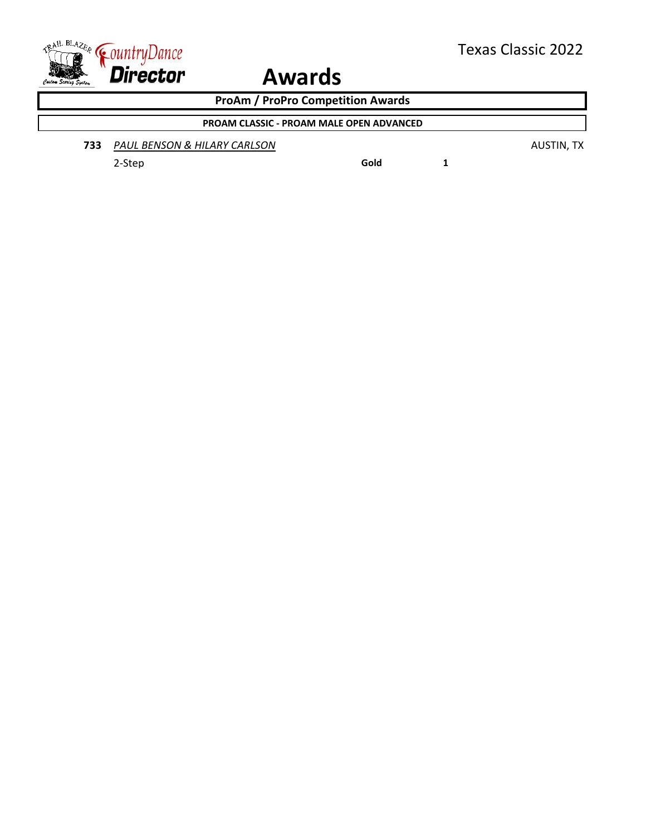

**ProAm / ProPro Competition Awards**

### **PROAM CLASSIC - PROAM MALE OPEN ADVANCED**

**733** *PAUL BENSON & HILARY CARLSON* AUSTIN, TX

2-Step **Gold 1**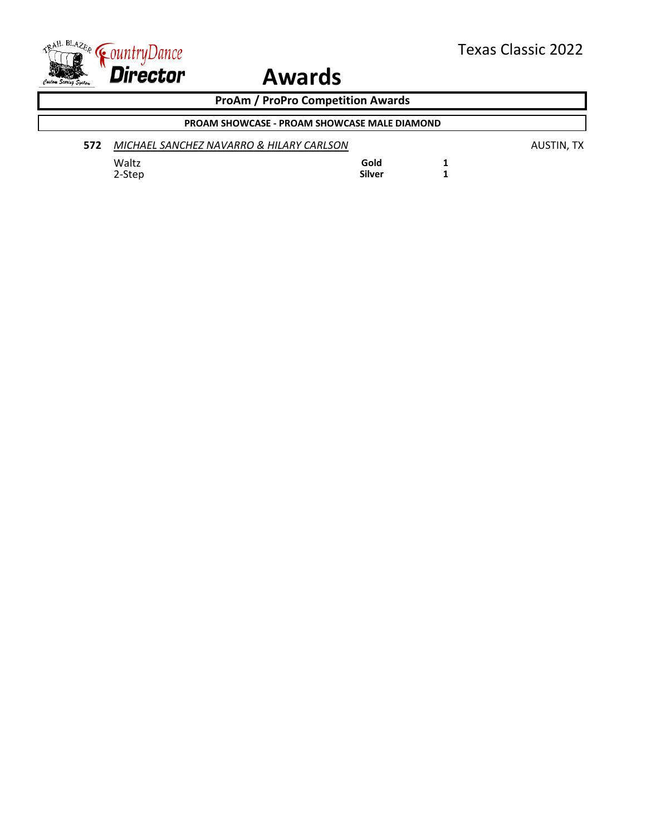

**ProAm / ProPro Competition Awards**

### **PROAM SHOWCASE - PROAM SHOWCASE MALE DIAMOND**

| 572 | MICHAEL SANCHEZ NAVARRO & HILARY CARLSON |        | AUSTIN. TX |
|-----|------------------------------------------|--------|------------|
|     | Waltz                                    | Gold   |            |
|     | 2-Step                                   | Silver |            |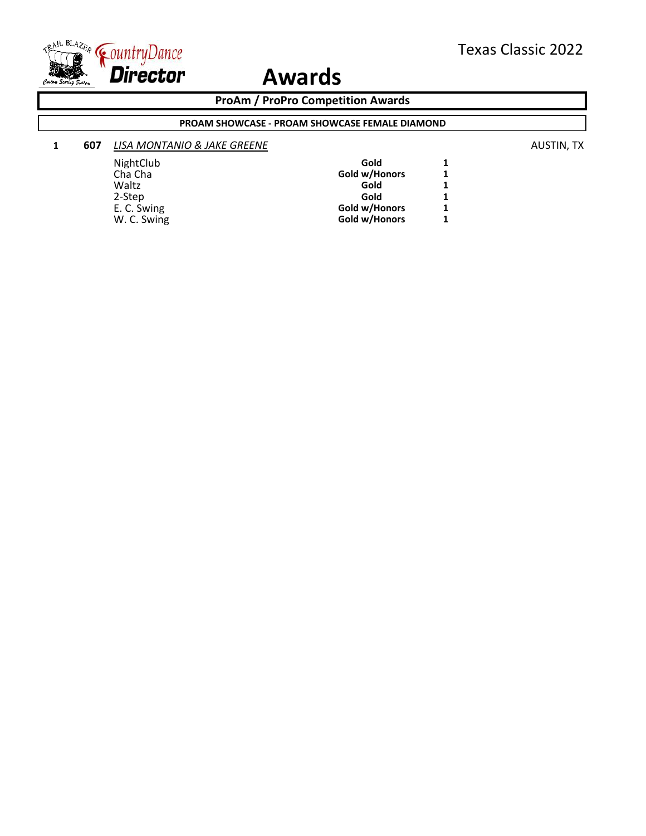

#### **ProAm / ProPro Competition Awards**

#### **PROAM SHOWCASE - PROAM SHOWCASE FEMALE DIAMOND**

### **1 607** *LISA MONTANIO & JAKE GREENE* **AUSTIN, TX AUSTIN, TX**

NightClub **Gold** 1<br>
Cha Cha **1 Gold w/Honors** 1 Cha Cha **Gold w/Honors 1**<br>
Waltz **Gold 1** Waltz **Gold 1** 2-Step **Gold 1** E. C. Swing **Gold w/Honors** 1<br>
W. C. Swing **Gold w/Honors** 1 **Gold w/Honors**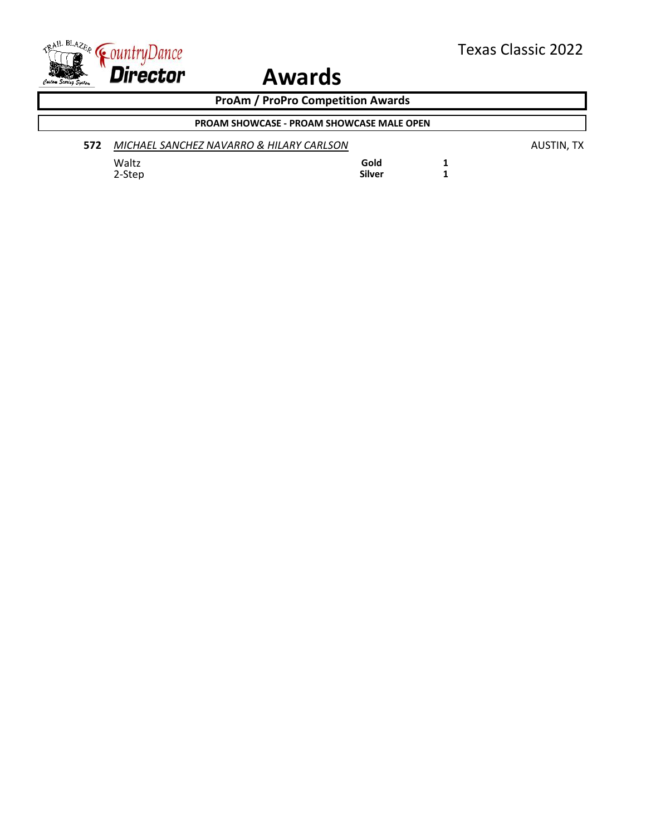

**ProAm / ProPro Competition Awards**

### **PROAM SHOWCASE - PROAM SHOWCASE MALE OPEN**

| 572 | MICHAEL SANCHEZ NAVARRO & HILARY CARLSON |        | AUSTIN, TX |
|-----|------------------------------------------|--------|------------|
|     | Waltz                                    | Gold   |            |
|     | 2-Step                                   | Silver |            |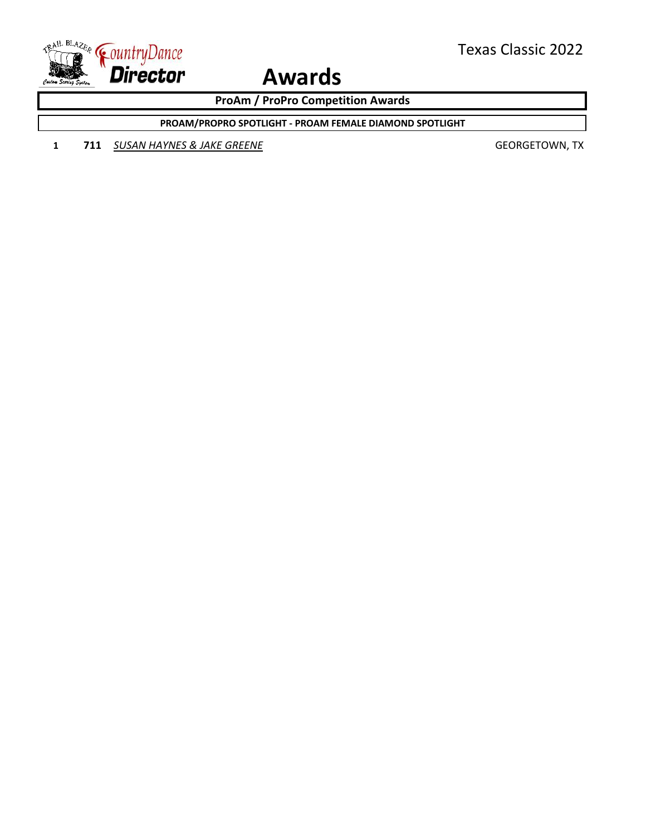

**ProAm / ProPro Competition Awards**

**PROAM/PROPRO SPOTLIGHT - PROAM FEMALE DIAMOND SPOTLIGHT**

**1 711** *SUSAN HAYNES & JAKE GREENE* GEORGETOWN, TX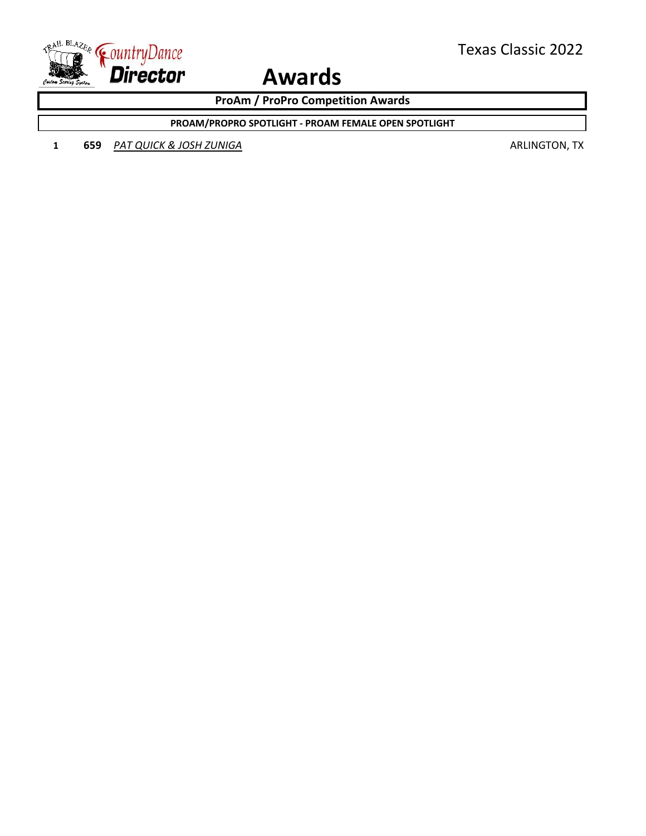

**ProAm / ProPro Competition Awards**

**PROAM/PROPRO SPOTLIGHT - PROAM FEMALE OPEN SPOTLIGHT**

**1 659** *PAT QUICK & JOSH ZUNIGA* **ARLINGTON, TX ARLINGTON, TX**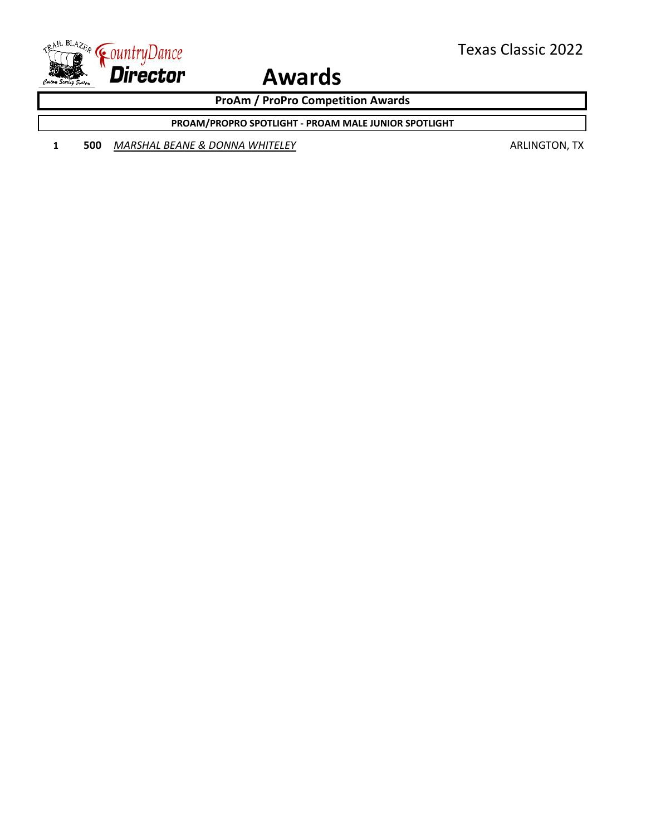

**ProAm / ProPro Competition Awards**

**PROAM/PROPRO SPOTLIGHT - PROAM MALE JUNIOR SPOTLIGHT**

**1 500** *MARSHAL BEANE & DONNA WHITELEY* **ARLINGTON, TX**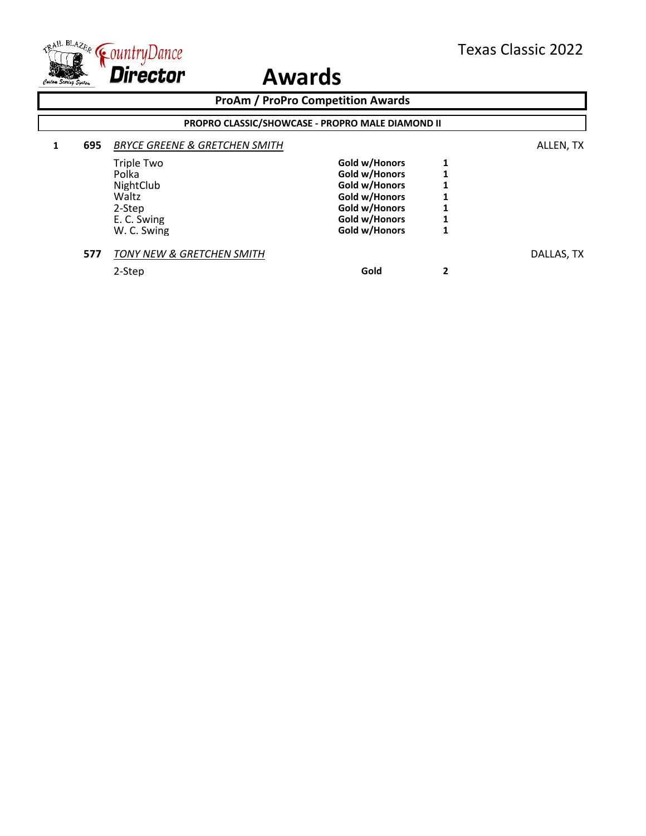

| <b>ProAm / ProPro Competition Awards</b> |                                                  |                                          |               |   |            |  |
|------------------------------------------|--------------------------------------------------|------------------------------------------|---------------|---|------------|--|
|                                          | PROPRO CLASSIC/SHOWCASE - PROPRO MALE DIAMOND II |                                          |               |   |            |  |
|                                          | 695                                              | <b>BRYCE GREENE &amp; GRETCHEN SMITH</b> |               |   | ALLEN, TX  |  |
|                                          |                                                  | <b>Triple Two</b>                        | Gold w/Honors |   |            |  |
|                                          |                                                  | Polka                                    | Gold w/Honors |   |            |  |
|                                          |                                                  | NightClub                                | Gold w/Honors |   |            |  |
|                                          |                                                  | Waltz                                    | Gold w/Honors |   |            |  |
|                                          |                                                  | 2-Step                                   | Gold w/Honors |   |            |  |
|                                          |                                                  | E. C. Swing                              | Gold w/Honors |   |            |  |
|                                          |                                                  | W. C. Swing                              | Gold w/Honors | 1 |            |  |
|                                          | 577                                              | <b>TONY NEW &amp; GRETCHEN SMITH</b>     |               |   | DALLAS, TX |  |
|                                          |                                                  | 2-Step                                   | Gold          | 2 |            |  |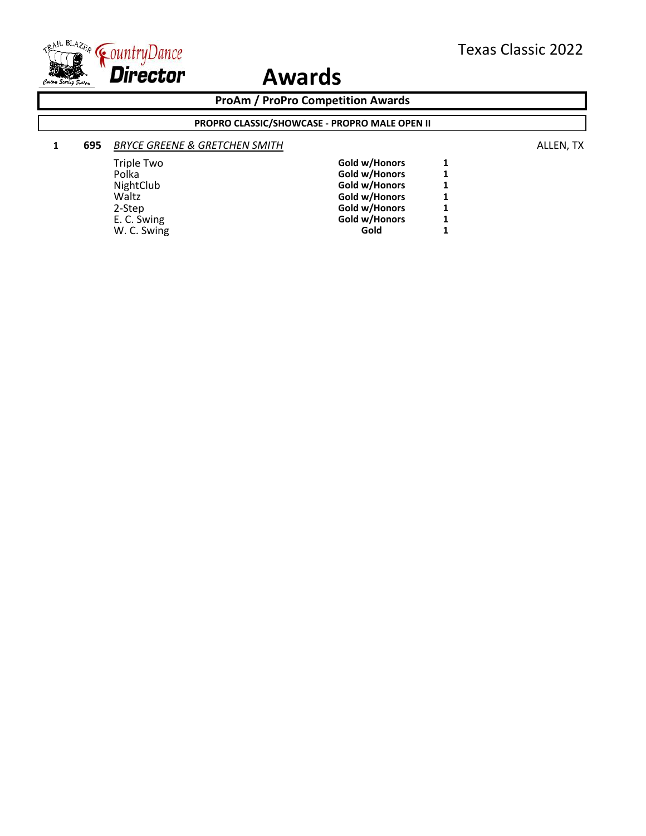

**ProAm / ProPro Competition Awards**

#### **PROPRO CLASSIC/SHOWCASE - PROPRO MALE OPEN II**

### **1 695** *BRYCE GREENE & GRETCHEN SMITH* ALLEN, TX

| <b>Triple Two</b> | Gold w/Honors | 1 |
|-------------------|---------------|---|
| Polka             | Gold w/Honors | 1 |
| NightClub         | Gold w/Honors | 1 |
| Waltz             | Gold w/Honors | 1 |
| 2-Step            | Gold w/Honors | 1 |
| E. C. Swing       | Gold w/Honors | 1 |
| W. C. Swing       | Gold          | 1 |
|                   |               |   |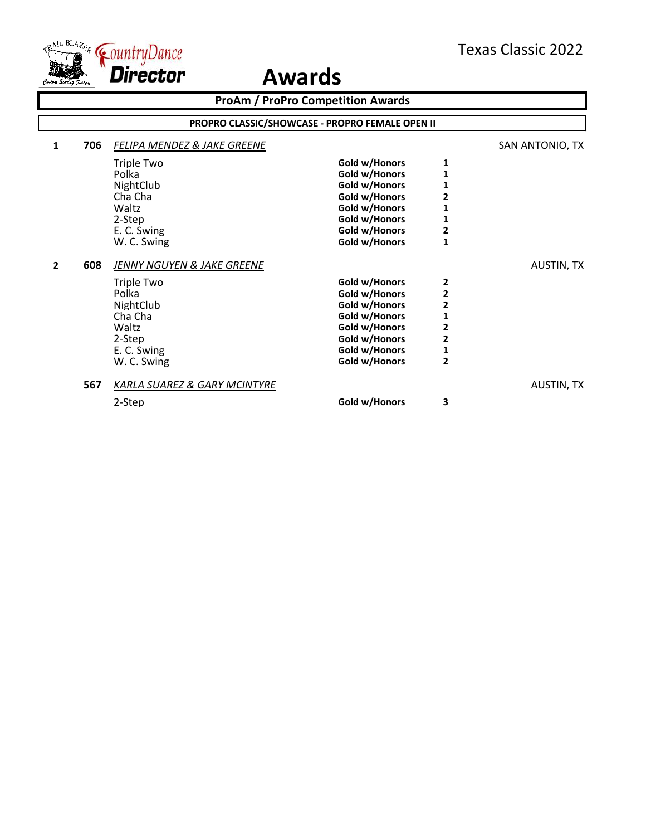

**ProAm / ProPro Competition Awards 1 706 FELIPA MENDEZ & JAKE GREENE SAN ANTONIO, TX** Triple Two **Gold w/Honors** 1<br>Polka **1 Gold w/Honors** 1 Polka **Collection Collection Collection** Cold W/Honors 1<br>
MightClub **Collection Collection Collection Collection Collection Collection Collection Collection Collection** Co NightClub **Gold w/Honors** 1<br>
Cha Cha **1 Gold w/Honors** 2 Cha Cha **Gold w/Honors 2** Waltz **Gold w/Honors** 1<br>
2-Step **1** Cold w/Honors 1 2-Step **1**<br>
2. C. Swing **COLOUT COLOUT COLOUT COLOUT COLOUT COLOUT COLOUT COLOUT COLOUT 2** E. C. Swing **Collection Collection Collection Collection Collection Collection Collection Collection Collection Collection Collection Collection Collection Collection Collection Collection Collection Collection Collection Gold w/Honors 2 608** *JENNY NGUYEN & JAKE GREENE* AUSTIN, TX Triple Two **Gold w/Honors 2** Polka **Police 2**<br> **Cold w/Honors** 2<br> **Gold w/Honors** 2 NightClub **Cold with Cold with Club**<br> **Gold with Cha**<br> **Gold with Cha**<br> **Gold with Cha**<br> **Gold with Cha** Cha Cha **Gold w/Honors 1** Waltz **Collection Collection Collection Collection Collection Collection Collection Collection Collection Collection Collection Collection Collection Collection Collection Collection Collection Collection Collection Collec** 2-Step **2**<br> **2** Gold w/Honors **2**<br> **2** Gold w/Honors 1 E. C. Swing **Gold w/Honors** 1<br>
W. C. Swing **Gold w/Honors** 2 **Gold w/Honors 567** *KARLA SUAREZ & GARY MCINTYRE* AUSTIN, TX 2-Step **Gold w/Honors 3 PROPRO CLASSIC/SHOWCASE - PROPRO FEMALE OPEN II**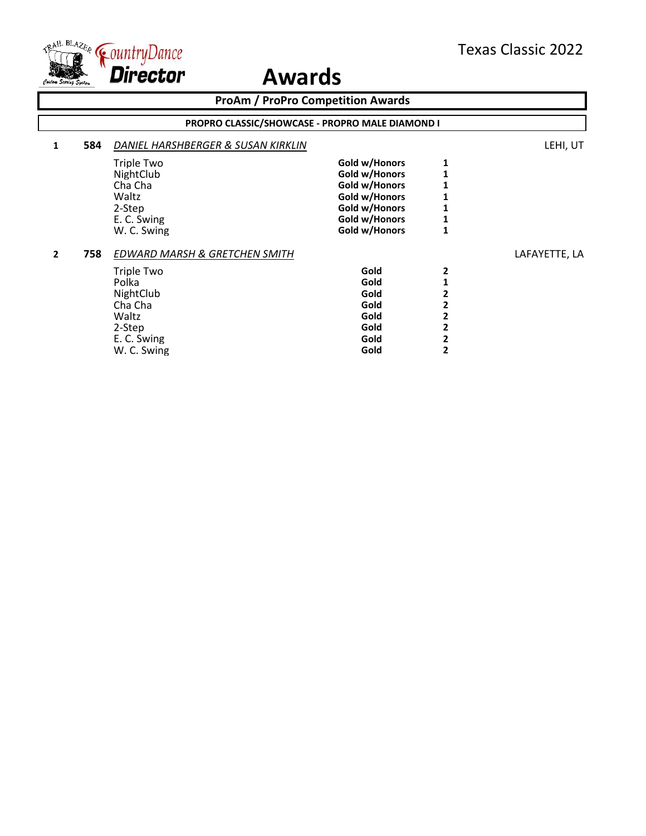

|              |                                                 | <b>ProAm / ProPro Competition Awards</b>                                                                                                 |                                                                                                                     |        |               |  |
|--------------|-------------------------------------------------|------------------------------------------------------------------------------------------------------------------------------------------|---------------------------------------------------------------------------------------------------------------------|--------|---------------|--|
|              | PROPRO CLASSIC/SHOWCASE - PROPRO MALE DIAMOND I |                                                                                                                                          |                                                                                                                     |        |               |  |
| 1            | 584                                             | DANIEL HARSHBERGER & SUSAN KIRKLIN                                                                                                       |                                                                                                                     |        | LEHI, UT      |  |
|              |                                                 | Triple Two<br>NightClub<br>Cha Cha<br>Waltz<br>2-Step<br>E. C. Swing<br>W. C. Swing                                                      | Gold w/Honors<br>Gold w/Honors<br>Gold w/Honors<br>Gold w/Honors<br>Gold w/Honors<br>Gold w/Honors<br>Gold w/Honors |        |               |  |
| $\mathbf{z}$ | 758                                             | <b>EDWARD MARSH &amp; GRETCHEN SMITH</b><br>Triple Two<br>Polka<br>NightClub<br>Cha Cha<br>Waltz<br>2-Step<br>E. C. Swing<br>W. C. Swing | Gold<br>Gold<br>Gold<br>Gold<br>Gold<br>Gold<br>Gold<br>Gold                                                        | 2<br>2 | LAFAYETTE, LA |  |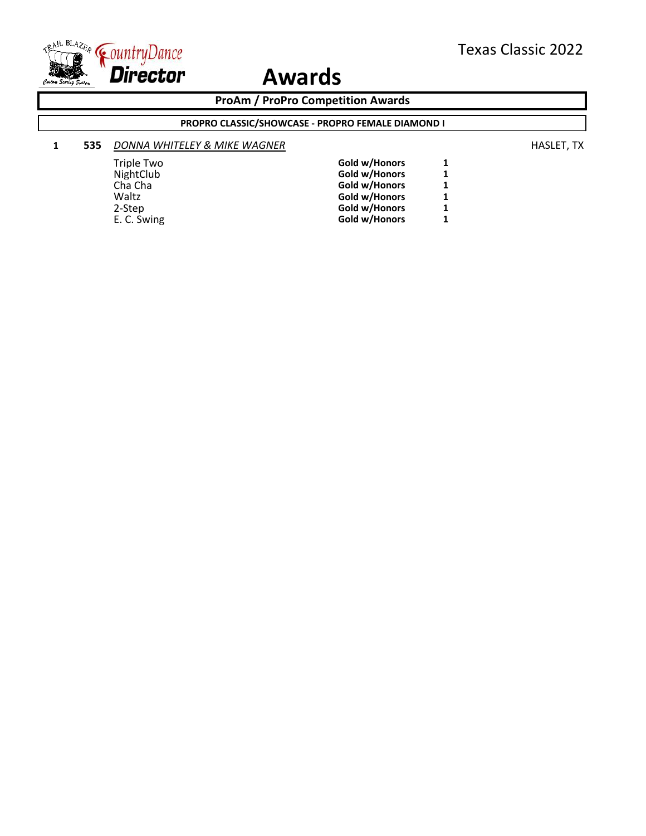

**ProAm / ProPro Competition Awards**

### **PROPRO CLASSIC/SHOWCASE - PROPRO FEMALE DIAMOND I**

#### **1 535** *DONNA WHITELEY & MIKE WAGNER* **HASLET, TX HASLET**, TX

| Triple Two  | Gold w/Honors | 1 |
|-------------|---------------|---|
| NightClub   | Gold w/Honors | 1 |
| Cha Cha     | Gold w/Honors | 1 |
| Waltz       | Gold w/Honors | 1 |
| 2-Step      | Gold w/Honors | 1 |
| E. C. Swing | Gold w/Honors | 1 |
|             |               |   |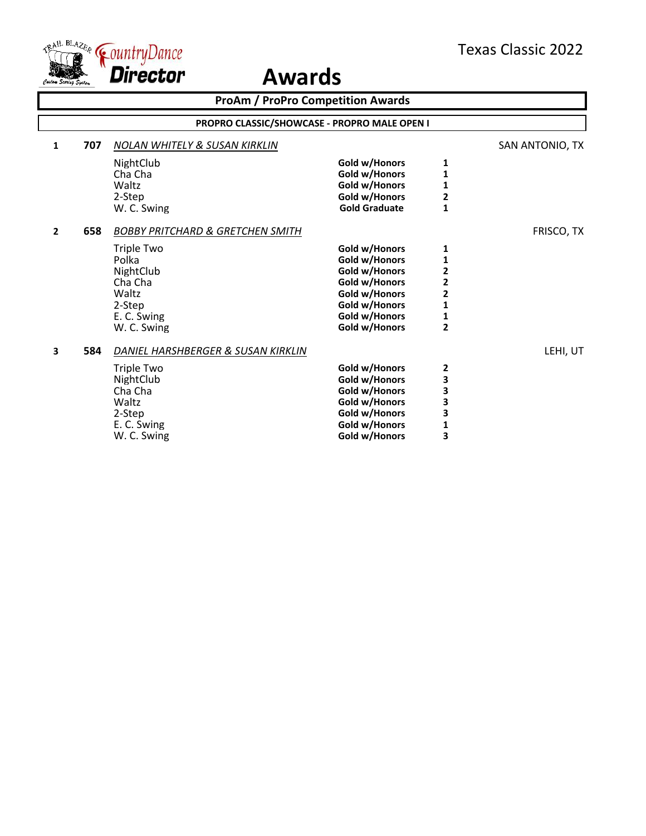

| PROPRO CLASSIC/SHOWCASE - PROPRO MALE OPEN I |                                                                                                                                                                             |                                                                                                                                                                                                                                                                                                         |                                                                                                                                                         |  |  |
|----------------------------------------------|-----------------------------------------------------------------------------------------------------------------------------------------------------------------------------|---------------------------------------------------------------------------------------------------------------------------------------------------------------------------------------------------------------------------------------------------------------------------------------------------------|---------------------------------------------------------------------------------------------------------------------------------------------------------|--|--|
| <b>NOLAN WHITELY &amp; SUSAN KIRKLIN</b>     |                                                                                                                                                                             |                                                                                                                                                                                                                                                                                                         | SAN ANTONIO, TX                                                                                                                                         |  |  |
|                                              |                                                                                                                                                                             |                                                                                                                                                                                                                                                                                                         |                                                                                                                                                         |  |  |
|                                              |                                                                                                                                                                             | 1                                                                                                                                                                                                                                                                                                       |                                                                                                                                                         |  |  |
| Waltz                                        |                                                                                                                                                                             |                                                                                                                                                                                                                                                                                                         |                                                                                                                                                         |  |  |
| 2-Step                                       |                                                                                                                                                                             |                                                                                                                                                                                                                                                                                                         |                                                                                                                                                         |  |  |
| W. C. Swing                                  | <b>Gold Graduate</b>                                                                                                                                                        | $\overline{\mathbf{1}}$                                                                                                                                                                                                                                                                                 |                                                                                                                                                         |  |  |
| <b>BOBBY PRITCHARD &amp; GRETCHEN SMITH</b>  |                                                                                                                                                                             |                                                                                                                                                                                                                                                                                                         | FRISCO, TX                                                                                                                                              |  |  |
|                                              |                                                                                                                                                                             |                                                                                                                                                                                                                                                                                                         |                                                                                                                                                         |  |  |
|                                              |                                                                                                                                                                             |                                                                                                                                                                                                                                                                                                         |                                                                                                                                                         |  |  |
|                                              |                                                                                                                                                                             |                                                                                                                                                                                                                                                                                                         |                                                                                                                                                         |  |  |
|                                              |                                                                                                                                                                             |                                                                                                                                                                                                                                                                                                         |                                                                                                                                                         |  |  |
|                                              |                                                                                                                                                                             |                                                                                                                                                                                                                                                                                                         |                                                                                                                                                         |  |  |
|                                              |                                                                                                                                                                             |                                                                                                                                                                                                                                                                                                         |                                                                                                                                                         |  |  |
|                                              |                                                                                                                                                                             | $\mathbf{1}$                                                                                                                                                                                                                                                                                            |                                                                                                                                                         |  |  |
| W. C. Swing                                  | Gold w/Honors                                                                                                                                                               | $\overline{2}$                                                                                                                                                                                                                                                                                          |                                                                                                                                                         |  |  |
| DANIEL HARSHBERGER & SUSAN KIRKLIN           |                                                                                                                                                                             |                                                                                                                                                                                                                                                                                                         | LEHI, UT                                                                                                                                                |  |  |
|                                              |                                                                                                                                                                             |                                                                                                                                                                                                                                                                                                         |                                                                                                                                                         |  |  |
|                                              | Gold w/Honors                                                                                                                                                               |                                                                                                                                                                                                                                                                                                         |                                                                                                                                                         |  |  |
|                                              |                                                                                                                                                                             |                                                                                                                                                                                                                                                                                                         |                                                                                                                                                         |  |  |
| Waltz                                        |                                                                                                                                                                             | 3                                                                                                                                                                                                                                                                                                       |                                                                                                                                                         |  |  |
|                                              |                                                                                                                                                                             |                                                                                                                                                                                                                                                                                                         |                                                                                                                                                         |  |  |
|                                              | Gold w/Honors                                                                                                                                                               | 1                                                                                                                                                                                                                                                                                                       |                                                                                                                                                         |  |  |
| W. C. Swing                                  | Gold w/Honors                                                                                                                                                               | 3                                                                                                                                                                                                                                                                                                       |                                                                                                                                                         |  |  |
|                                              | NightClub<br>Cha Cha<br><b>Triple Two</b><br>Polka<br>NightClub<br>Cha Cha<br>Waltz<br>2-Step<br>E. C. Swing<br>Triple Two<br>NightClub<br>Cha Cha<br>2-Step<br>E. C. Swing | <b>ProAm / ProPro Competition Awards</b><br>Gold w/Honors<br>Gold w/Honors<br>Gold w/Honors<br>Gold w/Honors<br>Gold w/Honors<br>Gold w/Honors<br>Gold w/Honors<br>Gold w/Honors<br>Gold w/Honors<br>Gold w/Honors<br>Gold w/Honors<br>Gold w/Honors<br>Gold w/Honors<br>Gold w/Honors<br>Gold w/Honors | 1<br>1<br>$\overline{\mathbf{c}}$<br>1<br>1<br>$\overline{\mathbf{c}}$<br>$\overline{2}$<br>$\overline{\mathbf{c}}$<br>$\mathbf{1}$<br>2<br>3<br>3<br>3 |  |  |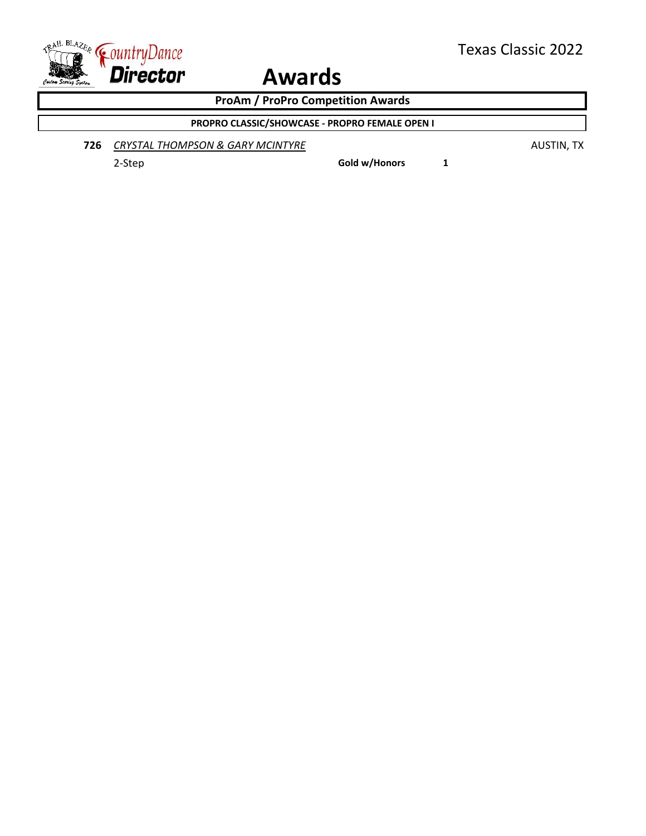

**ProAm / ProPro Competition Awards**

### **PROPRO CLASSIC/SHOWCASE - PROPRO FEMALE OPEN I**

**726 CRYSTAL THOMPSON & GARY MCINTYRE AUSTIN, TX AUSTIN, TX** 

2-Step **Gold w/Honors 1**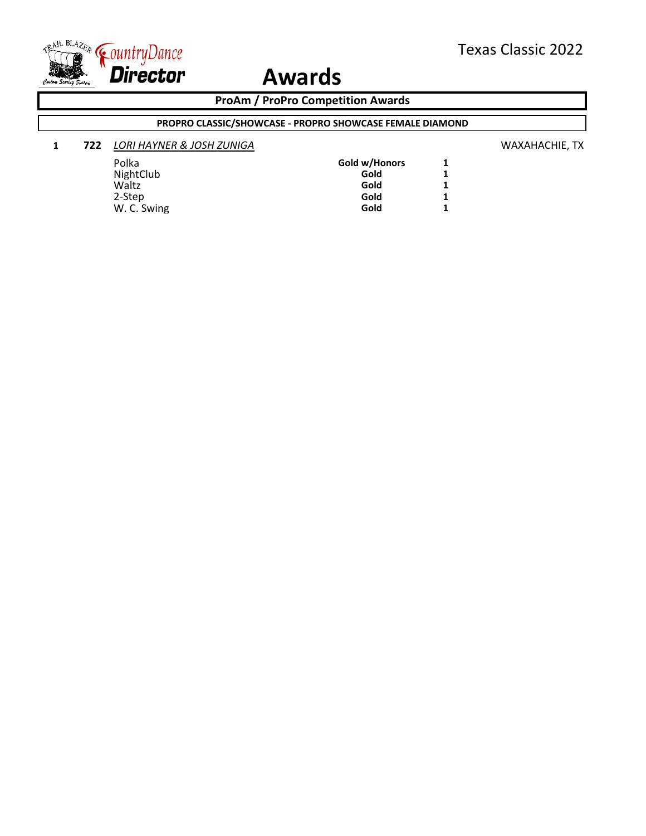

### **ProAm / ProPro Competition Awards**

### **PROPRO CLASSIC/SHOWCASE - PROPRO SHOWCASE FEMALE DIAMOND**

### **1 722** *LORI HAYNER & JOSH ZUNIGA* WAXAHACHIE, TX

| Polka       | Gold w/Honors | 1 |
|-------------|---------------|---|
| NightClub   | Gold          | 1 |
| Waltz       | Gold          | 1 |
| 2-Step      | Gold          | 1 |
| W. C. Swing | Gold          | 1 |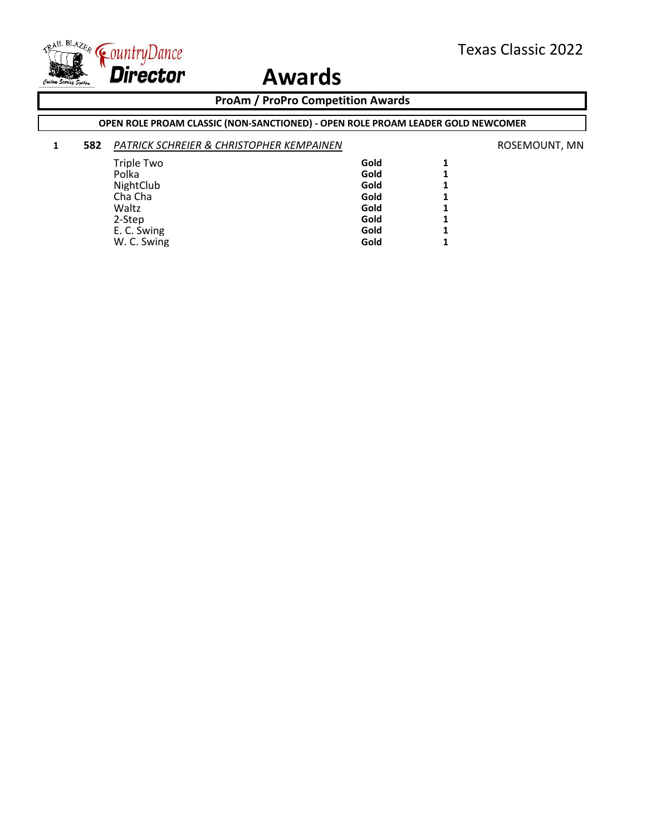

### **ProAm / ProPro Competition Awards**

### **OPEN ROLE PROAM CLASSIC (NON-SANCTIONED) - OPEN ROLE PROAM LEADER GOLD NEWCOMER**

### **1 582** *PATRICK SCHREIER & CHRISTOPHER KEMPAINEN* ROSEMOUNT, MN

| Triple Two  | Gold | 1            |
|-------------|------|--------------|
| Polka       | Gold | 1            |
| NightClub   | Gold | $\mathbf{1}$ |
| Cha Cha     | Gold | 1            |
| Waltz       | Gold | 1            |
| 2-Step      | Gold | 1            |
| E. C. Swing | Gold | $\mathbf{1}$ |
| W. C. Swing | Gold | 1            |
|             |      |              |